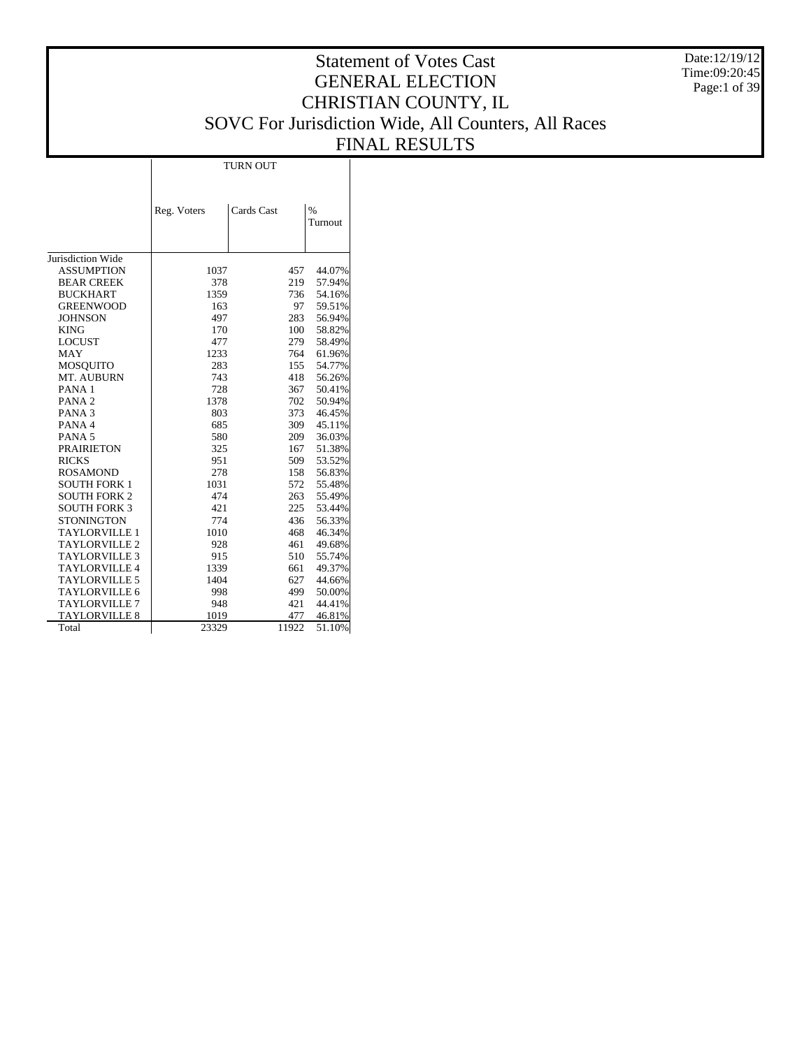Date:12/19/12 Time:09:20:45 Page:1 of 39

# Statement of Votes Cast GENERAL ELECTION CHRISTIAN COUNTY, IL SOVC For Jurisdiction Wide, All Counters, All Races FINAL RESULTS

TURN OUT

|                      | Reg. Voters | Cards Cast |       | $\%$<br>Turnout |
|----------------------|-------------|------------|-------|-----------------|
| Jurisdiction Wide    |             |            |       |                 |
| <b>ASSUMPTION</b>    | 1037        |            | 457   | 44.07%          |
| <b>BEAR CREEK</b>    | 378         |            | 219   | 57.94%          |
| <b>BUCKHART</b>      | 1359        |            | 736   | 54.16%          |
| <b>GREENWOOD</b>     | 163         |            | 97    | 59.51%          |
| <b>JOHNSON</b>       | 497         |            | 283   | 56.94%          |
| <b>KING</b>          | 170         |            | 100   | 58.82%          |
| <b>LOCUST</b>        | 477         |            | 279   | 58.49%          |
| <b>MAY</b>           | 1233        |            | 764   | 61.96%          |
| <b>MOSOUITO</b>      | 283         |            | 155   | 54.77%          |
| MT. AUBURN           | 743         |            | 418   | 56.26%          |
| PANA <sub>1</sub>    | 728         |            | 367   | 50.41%          |
| PANA <sub>2</sub>    | 1378        |            | 702   | 50.94%          |
| PANA <sub>3</sub>    | 803         |            | 373   | 46.45%          |
| PANA4                | 685         |            | 309   | 45.11%          |
| PANA <sub>5</sub>    | 580         |            | 209   | 36.03%          |
| <b>PRAIRIETON</b>    | 325         |            | 167   | 51.38%          |
| <b>RICKS</b>         | 951         |            | 509   | 53.52%          |
| <b>ROSAMOND</b>      | 278         |            | 158   | 56.83%          |
| <b>SOUTH FORK 1</b>  | 1031        |            | 572   | 55.48%          |
| <b>SOUTH FORK 2</b>  | 474         |            | 263   | 55.49%          |
| <b>SOUTH FORK 3</b>  | 421         |            | 225   | 53.44%          |
| <b>STONINGTON</b>    | 774         |            | 436   | 56.33%          |
| <b>TAYLORVILLE 1</b> | 1010        |            | 468   | 46.34%          |
| <b>TAYLORVILLE 2</b> | 928         |            | 461   | 49.68%          |
| <b>TAYLORVILLE 3</b> | 915         |            | 510   | 55.74%          |
| <b>TAYLORVILLE 4</b> | 1339        |            | 661   | 49.37%          |
| <b>TAYLORVILLE 5</b> | 1404        |            | 627   | 44.66%          |
| <b>TAYLORVILLE 6</b> | 998         |            | 499   | 50.00%          |
| <b>TAYLORVILLE 7</b> | 948         |            | 421   | 44.41%          |
| <b>TAYLORVILLE 8</b> | 1019        |            | 477   | 46.81%          |
| Total                | 23329       |            | 11922 | 51.10%          |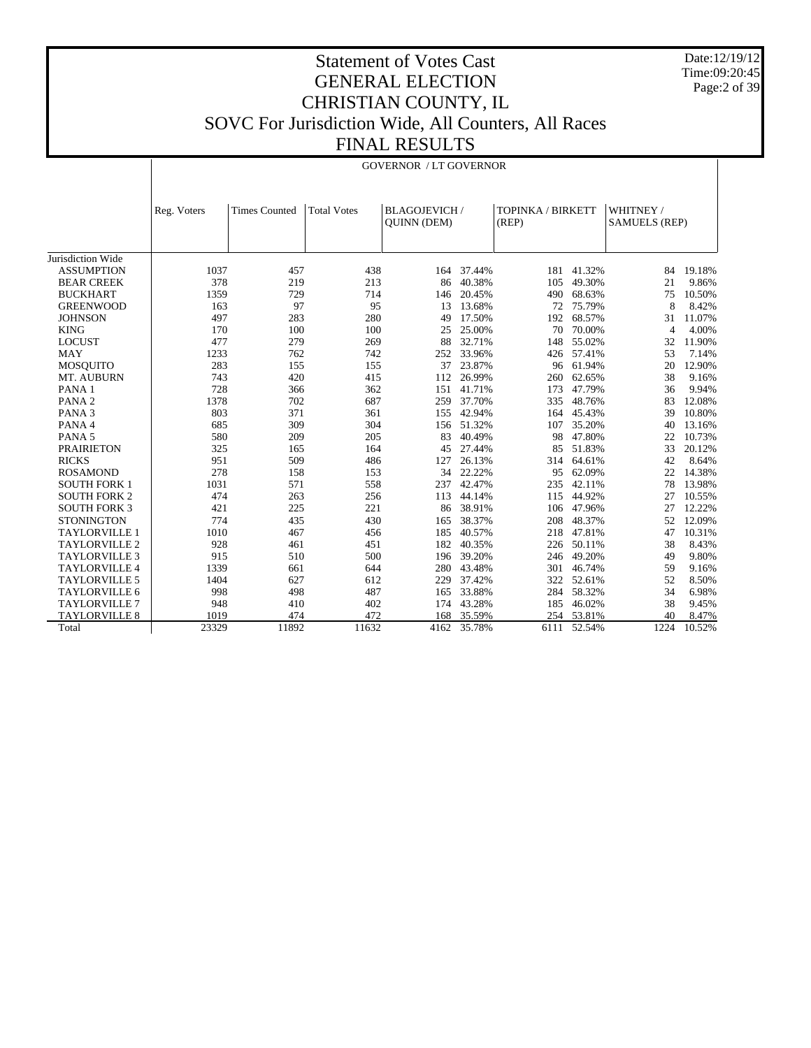Date:12/19/12 Time:09:20:45 Page:2 of 39

## Statement of Votes Cast GENERAL ELECTION CHRISTIAN COUNTY, IL SOVC For Jurisdiction Wide, All Counters, All Races FINAL RESULTS

|                      |             |                      |                    | <b>GOVERNOR / LT GOVERNOR</b>              |             |                            |             |                                   |        |
|----------------------|-------------|----------------------|--------------------|--------------------------------------------|-------------|----------------------------|-------------|-----------------------------------|--------|
|                      |             |                      |                    |                                            |             |                            |             |                                   |        |
|                      | Reg. Voters | <b>Times Counted</b> | <b>Total Votes</b> | <b>BLAGOJEVICH /</b><br><b>OUINN (DEM)</b> |             | TOPINKA / BIRKETT<br>(REP) |             | WHITNEY /<br><b>SAMUELS (REP)</b> |        |
| Jurisdiction Wide    |             |                      |                    |                                            |             |                            |             |                                   |        |
| <b>ASSUMPTION</b>    | 1037        | 457                  | 438                |                                            | 164 37.44%  | 181                        | 41.32%      | 84                                | 19.18% |
| <b>BEAR CREEK</b>    | 378         | 219                  | 213                | 86                                         | 40.38%      | 105                        | 49.30%      | 21                                | 9.86%  |
| <b>BUCKHART</b>      | 1359        | 729                  | 714                | 146                                        | 20.45%      | 490                        | 68.63%      | 75                                | 10.50% |
| <b>GREENWOOD</b>     | 163         | 97                   | 95                 | 13                                         | 13.68%      | 72                         | 75.79%      | 8                                 | 8.42%  |
| <b>JOHNSON</b>       | 497         | 283                  | 280                | 49                                         | 17.50%      | 192                        | 68.57%      | 31                                | 11.07% |
| <b>KING</b>          | 170         | 100                  | 100                | 25                                         | 25.00%      | 70                         | 70.00%      | $\overline{4}$                    | 4.00%  |
| <b>LOCUST</b>        | 477         | 279                  | 269                | 88                                         | 32.71%      | 148                        | 55.02%      | 32                                | 11.90% |
| <b>MAY</b>           | 1233        | 762                  | 742                | 252                                        | 33.96%      | 426                        | 57.41%      | 53                                | 7.14%  |
| <b>MOSQUITO</b>      | 283         | 155                  | 155                | 37                                         | 23.87%      |                            | 96 61.94%   | 20                                | 12.90% |
| MT. AUBURN           | 743         | 420                  | 415                | 112                                        | 26.99%      | 260                        | 62.65%      | 38                                | 9.16%  |
| PANA <sub>1</sub>    | 728         | 366                  | 362                | 151                                        | 41.71%      | 173                        | 47.79%      | 36                                | 9.94%  |
| PANA <sub>2</sub>    | 1378        | 702                  | 687                | 259                                        | 37.70%      | 335                        | 48.76%      | 83                                | 12.08% |
| PANA <sub>3</sub>    | 803         | 371                  | 361                | 155                                        | 42.94%      | 164                        | 45.43%      | 39                                | 10.80% |
| PANA 4               | 685         | 309                  | 304                | 156                                        | 51.32%      | 107                        | 35.20%      | 40                                | 13.16% |
| PANA <sub>5</sub>    | 580         | 209                  | 205                | 83                                         | 40.49%      | 98                         | 47.80%      | 22                                | 10.73% |
| <b>PRAIRIETON</b>    | 325         | 165                  | 164                | 45                                         | 27.44%      | 85                         | 51.83%      | 33                                | 20.12% |
| <b>RICKS</b>         | 951         | 509                  | 486                | 127                                        | 26.13%      | 314                        | 64.61%      | 42                                | 8.64%  |
| <b>ROSAMOND</b>      | 278         | 158                  | 153                | 34                                         | 22.22%      | 95                         | 62.09%      | 22                                | 14.38% |
| <b>SOUTH FORK 1</b>  | 1031        | 571                  | 558                | 237                                        | 42.47%      | 235                        | 42.11%      | 78                                | 13.98% |
| <b>SOUTH FORK 2</b>  | 474         | 263                  | 256                | 113                                        | 44.14%      | 115                        | 44.92%      | 27                                | 10.55% |
| <b>SOUTH FORK 3</b>  | 421         | 225                  | 221                | 86                                         | 38.91%      | 106                        | 47.96%      | 27                                | 12.22% |
| <b>STONINGTON</b>    | 774         | 435                  | 430                | 165                                        | 38.37%      | 208                        | 48.37%      | 52                                | 12.09% |
| <b>TAYLORVILLE 1</b> | 1010        | 467                  | 456                | 185                                        | 40.57%      | 218                        | 47.81%      | 47                                | 10.31% |
| <b>TAYLORVILLE 2</b> | 928         | 461                  | 451                | 182                                        | 40.35%      | 226                        | 50.11%      | 38                                | 8.43%  |
| <b>TAYLORVILLE 3</b> | 915         | 510                  | 500                | 196                                        | 39.20%      | 246                        | 49.20%      | 49                                | 9.80%  |
| TAYLORVILLE 4        | 1339        | 661                  | 644                | 280                                        | 43.48%      | 301                        | 46.74%      | 59                                | 9.16%  |
| <b>TAYLORVILLE 5</b> | 1404        | 627                  | 612                | 229                                        | 37.42%      | 322                        | 52.61%      | 52                                | 8.50%  |
| TAYLORVILLE 6        | 998         | 498                  | 487                | 165                                        | 33.88%      | 284                        | 58.32%      | 34                                | 6.98%  |
| <b>TAYLORVILLE 7</b> | 948         | 410                  | 402                | 174                                        | 43.28%      | 185                        | 46.02%      | 38                                | 9.45%  |
| <b>TAYLORVILLE 8</b> | 1019        | 474                  | 472                | 168                                        | 35.59%      |                            | 254 53.81%  | 40                                | 8.47%  |
| Total                | 23329       | 11892                | 11632              |                                            | 4162 35.78% |                            | 6111 52.54% | 1224                              | 10.52% |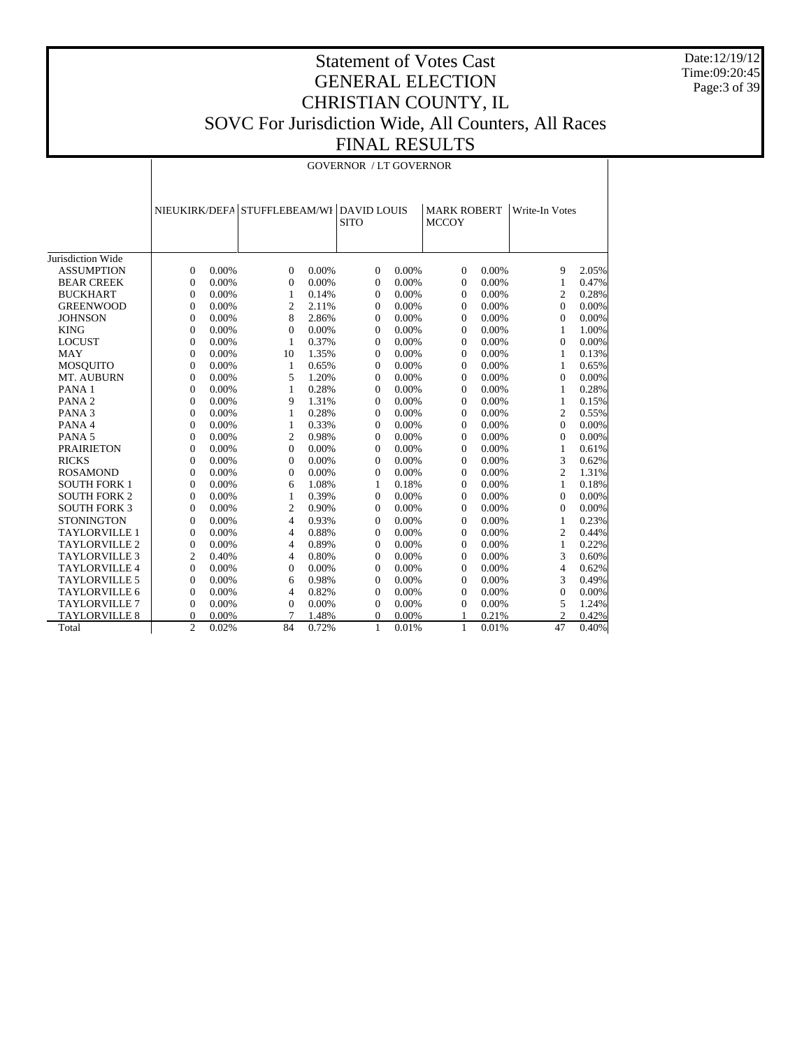Date:12/19/12 Time:09:20:45 Page:3 of 39

## Statement of Votes Cast GENERAL ELECTION CHRISTIAN COUNTY, IL SOVC For Jurisdiction Wide, All Counters, All Races FINAL RESULTS

|                      |                | <b>GOVERNOR / LT GOVERNOR</b> |                            |       |                  |       |                                    |       |                |       |  |
|----------------------|----------------|-------------------------------|----------------------------|-------|------------------|-------|------------------------------------|-------|----------------|-------|--|
|                      | NIEUKIRK/DEFA  |                               | STUFFLEBEAM/WI DAVID LOUIS |       | <b>SITO</b>      |       | <b>MARK ROBERT</b><br><b>MCCOY</b> |       | Write-In Votes |       |  |
| Jurisdiction Wide    |                |                               |                            |       |                  |       |                                    |       |                |       |  |
| <b>ASSUMPTION</b>    | 0              | 0.00%                         | $\mathbf{0}$               | 0.00% | $\overline{0}$   | 0.00% | $\theta$                           | 0.00% | 9              | 2.05% |  |
| <b>BEAR CREEK</b>    | $\mathbf{0}$   | 0.00%                         | $\mathbf{0}$               | 0.00% | $\overline{0}$   | 0.00% | $\overline{0}$                     | 0.00% | 1              | 0.47% |  |
| <b>BUCKHART</b>      | $\overline{0}$ | 0.00%                         | $\mathbf{1}$               | 0.14% | $\boldsymbol{0}$ | 0.00% | $\theta$                           | 0.00% | $\overline{c}$ | 0.28% |  |
| <b>GREENWOOD</b>     | 0              | 0.00%                         | $\overline{c}$             | 2.11% | $\theta$         | 0.00% | $\Omega$                           | 0.00% | $\Omega$       | 0.00% |  |
| <b>JOHNSON</b>       | $\overline{0}$ | 0.00%                         | 8                          | 2.86% | $\overline{0}$   | 0.00% | $\Omega$                           | 0.00% | $\Omega$       | 0.00% |  |
| <b>KING</b>          | 0              | 0.00%                         | 0                          | 0.00% | $\overline{0}$   | 0.00% | $\Omega$                           | 0.00% | 1              | 1.00% |  |
| <b>LOCUST</b>        | 0              | 0.00%                         | $\mathbf{1}$               | 0.37% | $\overline{0}$   | 0.00% | $\Omega$                           | 0.00% | $\overline{0}$ | 0.00% |  |
| <b>MAY</b>           | $\overline{0}$ | 0.00%                         | 10                         | 1.35% | $\Omega$         | 0.00% | $\Omega$                           | 0.00% | 1              | 0.13% |  |
| MOSQUITO             | 0              | 0.00%                         | $\mathbf{1}$               | 0.65% | $\theta$         | 0.00% | $\Omega$                           | 0.00% | 1              | 0.65% |  |
| MT. AUBURN           | $\overline{0}$ | 0.00%                         | 5                          | 1.20% | $\mathbf{0}$     | 0.00% | $\theta$                           | 0.00% | $\mathbf{0}$   | 0.00% |  |
| PANA <sub>1</sub>    | 0              | 0.00%                         | $\mathbf{1}$               | 0.28% | $\overline{0}$   | 0.00% | $\Omega$                           | 0.00% | 1              | 0.28% |  |
| PANA <sub>2</sub>    | $\overline{0}$ | 0.00%                         | 9                          | 1.31% | $\overline{0}$   | 0.00% | $\Omega$                           | 0.00% | 1              | 0.15% |  |
| PANA <sub>3</sub>    | $\overline{0}$ | 0.00%                         | $\mathbf{1}$               | 0.28% | $\overline{0}$   | 0.00% | $\Omega$                           | 0.00% | $\overline{c}$ | 0.55% |  |
| PANA 4               | 0              | 0.00%                         | 1                          | 0.33% | $\overline{0}$   | 0.00% | $\Omega$                           | 0.00% | $\Omega$       | 0.00% |  |
| PANA <sub>5</sub>    | $\mathbf{0}$   | 0.00%                         | $\overline{c}$             | 0.98% | $\overline{0}$   | 0.00% | $\overline{0}$                     | 0.00% | $\mathbf{0}$   | 0.00% |  |
| <b>PRAIRIETON</b>    | 0              | 0.00%                         | $\overline{0}$             | 0.00% | $\theta$         | 0.00% | $\theta$                           | 0.00% | 1              | 0.61% |  |
| <b>RICKS</b>         | $\overline{0}$ | 0.00%                         | $\overline{0}$             | 0.00% | $\overline{0}$   | 0.00% | $\overline{0}$                     | 0.00% | 3              | 0.62% |  |
| <b>ROSAMOND</b>      | $\theta$       | 0.00%                         | $\theta$                   | 0.00% | $\overline{0}$   | 0.00% | $\Omega$                           | 0.00% | $\overline{c}$ | 1.31% |  |
| <b>SOUTH FORK 1</b>  | $\Omega$       | 0.00%                         | 6                          | 1.08% | 1                | 0.18% | $\Omega$                           | 0.00% | 1              | 0.18% |  |
| <b>SOUTH FORK 2</b>  | $\theta$       | 0.00%                         | $\mathbf{1}$               | 0.39% | $\overline{0}$   | 0.00% | $\Omega$                           | 0.00% | $\theta$       | 0.00% |  |
| <b>SOUTH FORK 3</b>  | $\Omega$       | 0.00%                         | 2                          | 0.90% | $\Omega$         | 0.00% | $\Omega$                           | 0.00% | $\Omega$       | 0.00% |  |
| <b>STONINGTON</b>    | 0              | 0.00%                         | 4                          | 0.93% | $\overline{0}$   | 0.00% | $\overline{0}$                     | 0.00% | 1              | 0.23% |  |
| <b>TAYLORVILLE 1</b> | $\overline{0}$ | 0.00%                         | 4                          | 0.88% | $\theta$         | 0.00% | $\Omega$                           | 0.00% | 2              | 0.44% |  |
| <b>TAYLORVILLE 2</b> | 0              | 0.00%                         | 4                          | 0.89% | $\theta$         | 0.00% | $\Omega$                           | 0.00% | $\mathbf{1}$   | 0.22% |  |
| <b>TAYLORVILLE 3</b> | $\overline{c}$ | 0.40%                         | 4                          | 0.80% | $\theta$         | 0.00% | $\Omega$                           | 0.00% | 3              | 0.60% |  |
| <b>TAYLORVILLE 4</b> | $\theta$       | 0.00%                         | $\mathbf{0}$               | 0.00% | $\overline{0}$   | 0.00% | $\Omega$                           | 0.00% | 4              | 0.62% |  |
| <b>TAYLORVILLE 5</b> | 0              | 0.00%                         | 6                          | 0.98% | $\overline{0}$   | 0.00% | $\overline{0}$                     | 0.00% | 3              | 0.49% |  |
| TAYLORVILLE 6        | $\mathbf{0}$   | 0.00%                         | 4                          | 0.82% | $\overline{0}$   | 0.00% | $\Omega$                           | 0.00% | $\mathbf{0}$   | 0.00% |  |
| TAYLORVILLE 7        | $\mathbf{0}$   | 0.00%                         | $\boldsymbol{0}$           | 0.00% | $\overline{0}$   | 0.00% | $\overline{0}$                     | 0.00% | 5              | 1.24% |  |
| <b>TAYLORVILLE 8</b> | 0              | 0.00%                         | 7                          | 1.48% | $\overline{0}$   | 0.00% | 1                                  | 0.21% | $\overline{2}$ | 0.42% |  |
| Total                | $\mathfrak{D}$ | 0.02%                         | 84                         | 0.72% | 1                | 0.01% | $\mathbf{1}$                       | 0.01% | 47             | 0.40% |  |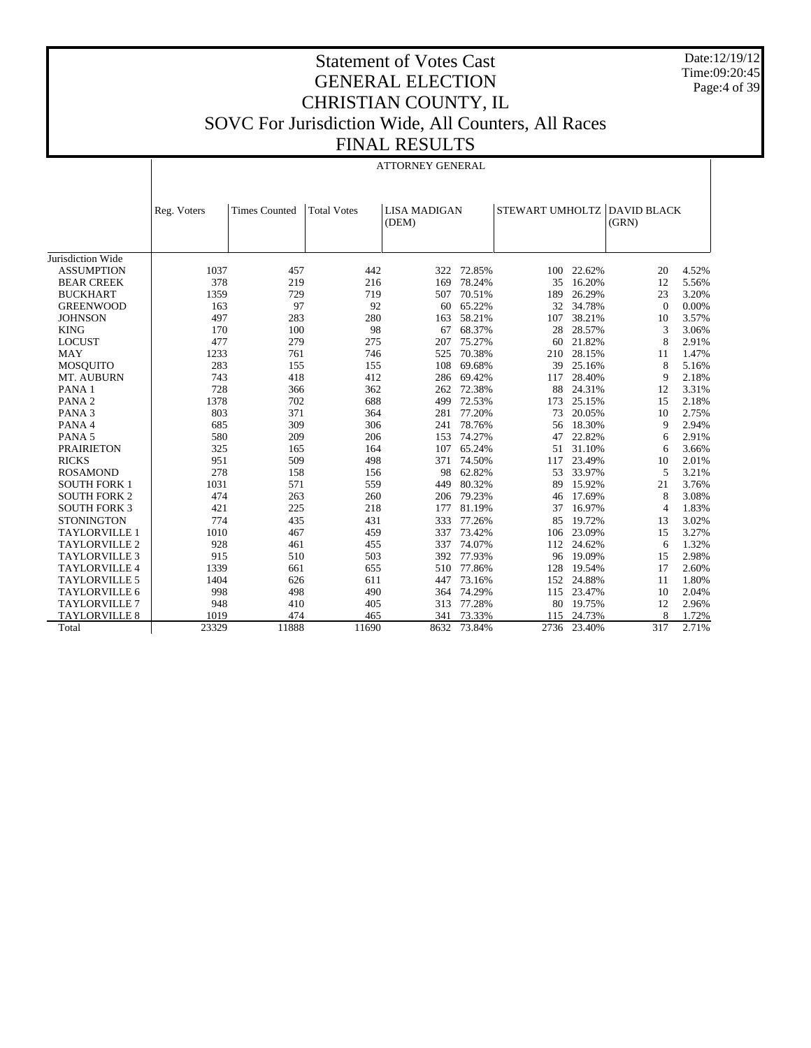Date:12/19/12 Time:09:20:45 Page:4 of 39

## Statement of Votes Cast GENERAL ELECTION CHRISTIAN COUNTY, IL SOVC For Jurisdiction Wide, All Counters, All Races FINAL RESULTS

ATTORNEY GENERAL

|                      | Reg. Voters | <b>Times Counted</b> | <b>Total Votes</b> | <b>LISA MADIGAN</b><br>(DEM) |        | STEWART UMHOLTZ |            | <b>DAVID BLACK</b><br>(GRN) |       |
|----------------------|-------------|----------------------|--------------------|------------------------------|--------|-----------------|------------|-----------------------------|-------|
|                      |             |                      |                    |                              |        |                 |            |                             |       |
| Jurisdiction Wide    |             |                      |                    |                              |        |                 |            |                             |       |
| <b>ASSUMPTION</b>    | 1037        | 457                  | 442                | 322                          | 72.85% |                 | 100 22.62% | 20                          | 4.52% |
| <b>BEAR CREEK</b>    | 378         | 219                  | 216                | 169                          | 78.24% | 35              | 16.20%     | 12                          | 5.56% |
| <b>BUCKHART</b>      | 1359        | 729                  | 719                | 507                          | 70.51% | 189             | 26.29%     | 23                          | 3.20% |
| <b>GREENWOOD</b>     | 163         | 97                   | 92                 | 60                           | 65.22% | 32              | 34.78%     | $\Omega$                    | 0.00% |
| <b>JOHNSON</b>       | 497         | 283                  | 280                | 163                          | 58.21% | 107             | 38.21%     | 10                          | 3.57% |
| <b>KING</b>          | 170         | 100                  | 98                 | 67                           | 68.37% | 28              | 28.57%     | 3                           | 3.06% |
| <b>LOCUST</b>        | 477         | 279                  | 275                | 207                          | 75.27% | 60              | 21.82%     | 8                           | 2.91% |
| <b>MAY</b>           | 1233        | 761                  | 746                | 525                          | 70.38% | 210             | 28.15%     | 11                          | 1.47% |
| <b>MOSQUITO</b>      | 283         | 155                  | 155                | 108                          | 69.68% | 39              | 25.16%     | 8                           | 5.16% |
| MT. AUBURN           | 743         | 418                  | 412                | 286                          | 69.42% | 117             | 28.40%     | 9                           | 2.18% |
| PANA <sub>1</sub>    | 728         | 366                  | 362                | 262                          | 72.38% | 88              | 24.31%     | 12                          | 3.31% |
| PANA <sub>2</sub>    | 1378        | 702                  | 688                | 499                          | 72.53% | 173             | 25.15%     | 15                          | 2.18% |
| PANA <sub>3</sub>    | 803         | 371                  | 364                | 281                          | 77.20% | 73              | 20.05%     | 10                          | 2.75% |
| PANA4                | 685         | 309                  | 306                | 241                          | 78.76% | 56              | 18.30%     | 9                           | 2.94% |
| PANA <sub>5</sub>    | 580         | 209                  | 206                | 153                          | 74.27% | 47              | 22.82%     | 6                           | 2.91% |
| <b>PRAIRIETON</b>    | 325         | 165                  | 164                | 107                          | 65.24% | 51              | 31.10%     | 6                           | 3.66% |
| <b>RICKS</b>         | 951         | 509                  | 498                | 371                          | 74.50% | 117             | 23.49%     | 10                          | 2.01% |
| <b>ROSAMOND</b>      | 278         | 158                  | 156                | 98                           | 62.82% | 53              | 33.97%     | 5                           | 3.21% |
| <b>SOUTH FORK 1</b>  | 1031        | 571                  | 559                | 449                          | 80.32% | 89              | 15.92%     | 21                          | 3.76% |
| <b>SOUTH FORK 2</b>  | 474         | 263                  | 260                | 206                          | 79.23% | 46              | 17.69%     | 8                           | 3.08% |
| <b>SOUTH FORK 3</b>  | 421         | 225                  | 218                | 177                          | 81.19% | 37              | 16.97%     | $\overline{4}$              | 1.83% |
| <b>STONINGTON</b>    | 774         | 435                  | 431                | 333                          | 77.26% | 85              | 19.72%     | 13                          | 3.02% |
| <b>TAYLORVILLE 1</b> | 1010        | 467                  | 459                | 337                          | 73.42% | 106             | 23.09%     | 15                          | 3.27% |
| <b>TAYLORVILLE 2</b> | 928         | 461                  | 455                | 337                          | 74.07% | 112             | 24.62%     | 6                           | 1.32% |
| <b>TAYLORVILLE 3</b> | 915         | 510                  | 503                | 392                          | 77.93% | 96              | 19.09%     | 15                          | 2.98% |
| <b>TAYLORVILLE 4</b> | 1339        | 661                  | 655                | 510                          | 77.86% | 128             | 19.54%     | 17                          | 2.60% |
| <b>TAYLORVILLE 5</b> | 1404        | 626                  | 611                | 447                          | 73.16% | 152             | 24.88%     | 11                          | 1.80% |
| TAYLORVILLE 6        | 998         | 498                  | 490                | 364                          | 74.29% | 115             | 23.47%     | 10                          | 2.04% |
| <b>TAYLORVILLE 7</b> | 948         | 410                  | 405                | 313                          | 77.28% | 80              | 19.75%     | 12                          | 2.96% |
| <b>TAYLORVILLE 8</b> | 1019        | 474                  | 465                | 341                          | 73.33% | 115             | 24.73%     | 8                           | 1.72% |
| Total                | 23329       | 11888                | 11690              | 8632                         | 73.84% | 2736            | 23.40%     | 317                         | 2.71% |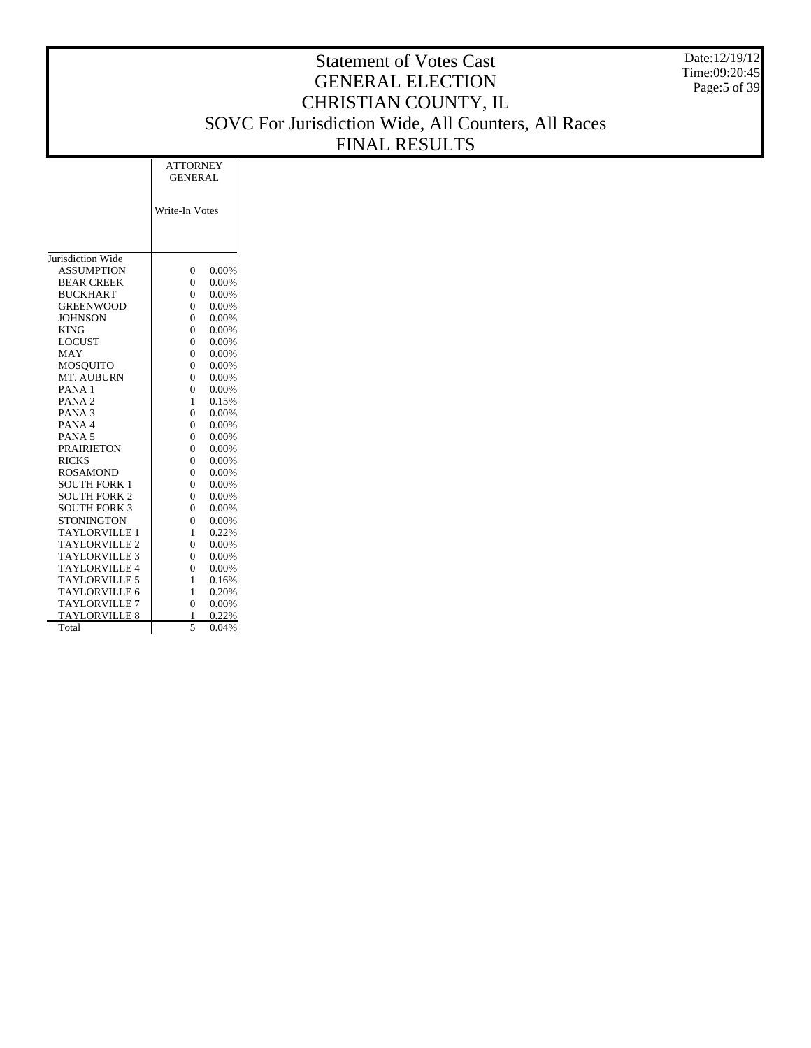Date:12/19/12 Time:09:20:45 Page:5 of 39

#### Statement of Votes Cast GENERAL ELECTION CHRISTIAN COUNTY, IL SOVC For Jurisdiction Wide, All Counters, All Races FINAL RESULTS ATTORNEY |

|                          | <b>GENERAL</b> |       |
|--------------------------|----------------|-------|
|                          | Write-In Votes |       |
| Jurisdiction Wide        |                |       |
| <b>ASSUMPTION</b>        | $\theta$       | 0.00% |
| <b>BEAR CREEK</b>        | $\theta$       | 0.00% |
| <b>BUCKHART</b>          | $\theta$       | 0.00% |
| <b>GREENWOOD</b>         | $\theta$       | 0.00% |
| <b>JOHNSON</b>           | $\theta$       | 0.00% |
| <b>KING</b>              | $\theta$       | 0.00% |
| LOCUST                   | $\theta$       | 0.00% |
| <b>MAY</b>               | $\overline{0}$ | 0.00% |
| <b>MOSQUITO</b>          | $\theta$       | 0.00% |
| MT. AUBURN               | $\theta$       | 0.00% |
| PANA <sub>1</sub>        | $\overline{0}$ | 0.00% |
| PANA <sub>2</sub>        | $\mathbf{1}$   | 0.15% |
| PANA <sub>3</sub>        | $\theta$       | 0.00% |
| PANA <sub>4</sub>        | $\theta$       | 0.00% |
| PANA <sub>5</sub>        | $\theta$       | 0.00% |
| <b>PRAIRIETON</b>        | $\theta$       | 0.00% |
| <b>RICKS</b>             | $\theta$       | 0.00% |
| <b>ROSAMOND</b>          | $\theta$       | 0.00% |
| <b>SOUTH FORK 1</b>      | $\theta$       | 0.00% |
| <b>SOUTH FORK 2</b>      | $\theta$       | 0.00% |
| <b>SOUTH FORK 3</b>      | $\theta$       | 0.00% |
| <b>STONINGTON</b>        | $\theta$       | 0.00% |
| <b>TAYLORVILLE 1</b>     | $\mathbf{1}$   | 0.22% |
| <b>TAYLORVILLE 2</b>     | $\theta$       | 0.00% |
| <b>TAYLORVILLE 3</b>     | $\Omega$       | 0.00% |
| <b>TAYLORVILLE 4</b>     | $\theta$       | 0.00% |
| TAYLORVILLE <sub>5</sub> | $\mathbf{1}$   | 0.16% |
| <b>TAYLORVILLE 6</b>     | 1              | 0.20% |
| <b>TAYLORVILLE 7</b>     | $\overline{0}$ | 0.00% |
| <b>TAYLORVILLE 8</b>     | 1              | 0.22% |
| Total                    | 5              | 0.04% |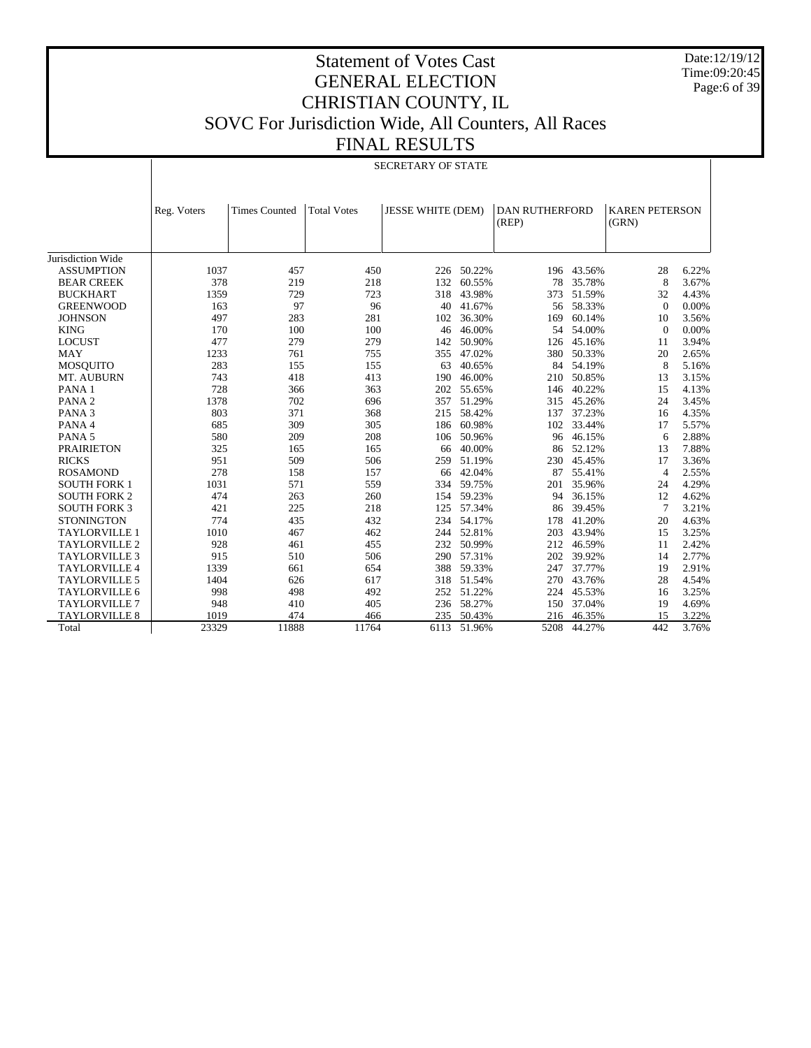Date:12/19/12 Time:09:20:45 Page:6 of 39

## Statement of Votes Cast GENERAL ELECTION CHRISTIAN COUNTY, IL SOVC For Jurisdiction Wide, All Counters, All Races FINAL RESULTS

 $\overline{\phantom{a}}$ 

SECRETARY OF STATE

|                      | Reg. Voters | <b>Times Counted</b> | <b>Total Votes</b> | <b>JESSE WHITE (DEM)</b> |             | <b>DAN RUTHERFORD</b><br>(REP) |        | <b>KAREN PETERSON</b><br>(GRN) |       |
|----------------------|-------------|----------------------|--------------------|--------------------------|-------------|--------------------------------|--------|--------------------------------|-------|
|                      |             |                      |                    |                          |             |                                |        |                                |       |
| Jurisdiction Wide    |             |                      |                    |                          |             |                                |        |                                |       |
| <b>ASSUMPTION</b>    | 1037        | 457                  | 450                | 226                      | 50.22%      | 196                            | 43.56% | 28                             | 6.22% |
| <b>BEAR CREEK</b>    | 378         | 219                  | 218                | 132                      | 60.55%      | 78                             | 35.78% | 8                              | 3.67% |
| <b>BUCKHART</b>      | 1359        | 729                  | 723                | 318                      | 43.98%      | 373                            | 51.59% | 32                             | 4.43% |
| <b>GREENWOOD</b>     | 163         | 97                   | 96                 | 40                       | 41.67%      | 56                             | 58.33% | $\Omega$                       | 0.00% |
| <b>JOHNSON</b>       | 497         | 283                  | 281                | 102                      | 36.30%      | 169                            | 60.14% | 10                             | 3.56% |
| <b>KING</b>          | 170         | 100                  | 100                | 46                       | 46.00%      | 54                             | 54.00% | $\Omega$                       | 0.00% |
| <b>LOCUST</b>        | 477         | 279                  | 279                | 142                      | 50.90%      | 126                            | 45.16% | 11                             | 3.94% |
| <b>MAY</b>           | 1233        | 761                  | 755                | 355                      | 47.02%      | 380                            | 50.33% | 20                             | 2.65% |
| <b>MOSQUITO</b>      | 283         | 155                  | 155                | 63                       | 40.65%      | 84                             | 54.19% | 8                              | 5.16% |
| MT. AUBURN           | 743         | 418                  | 413                | 190                      | 46.00%      | 210                            | 50.85% | 13                             | 3.15% |
| PANA <sub>1</sub>    | 728         | 366                  | 363                | 202                      | 55.65%      | 146                            | 40.22% | 15                             | 4.13% |
| PANA <sub>2</sub>    | 1378        | 702                  | 696                | 357                      | 51.29%      | 315                            | 45.26% | 24                             | 3.45% |
| PANA <sub>3</sub>    | 803         | 371                  | 368                | 215                      | 58.42%      | 137                            | 37.23% | 16                             | 4.35% |
| PANA4                | 685         | 309                  | 305                | 186                      | 60.98%      | 102                            | 33.44% | 17                             | 5.57% |
| PANA <sub>5</sub>    | 580         | 209                  | 208                | 106                      | 50.96%      | 96                             | 46.15% | 6                              | 2.88% |
| <b>PRAIRIETON</b>    | 325         | 165                  | 165                | 66                       | 40.00%      | 86                             | 52.12% | 13                             | 7.88% |
| <b>RICKS</b>         | 951         | 509                  | 506                | 259                      | 51.19%      | 230                            | 45.45% | 17                             | 3.36% |
| <b>ROSAMOND</b>      | 278         | 158                  | 157                | 66                       | 42.04%      | 87                             | 55.41% | 4                              | 2.55% |
| <b>SOUTH FORK 1</b>  | 1031        | 571                  | 559                | 334                      | 59.75%      | 201                            | 35.96% | 24                             | 4.29% |
| <b>SOUTH FORK 2</b>  | 474         | 263                  | 260                | 154                      | 59.23%      | 94                             | 36.15% | 12                             | 4.62% |
| <b>SOUTH FORK 3</b>  | 421         | 225                  | 218                | 125                      | 57.34%      | 86                             | 39.45% | $\overline{7}$                 | 3.21% |
| <b>STONINGTON</b>    | 774         | 435                  | 432                | 234                      | 54.17%      | 178                            | 41.20% | 20                             | 4.63% |
| <b>TAYLORVILLE 1</b> | 1010        | 467                  | 462                | 244                      | 52.81%      | 203                            | 43.94% | 15                             | 3.25% |
| <b>TAYLORVILLE 2</b> | 928         | 461                  | 455                | 232                      | 50.99%      | 212                            | 46.59% | 11                             | 2.42% |
| <b>TAYLORVILLE 3</b> | 915         | 510                  | 506                | 290                      | 57.31%      | 202                            | 39.92% | 14                             | 2.77% |
| <b>TAYLORVILLE 4</b> | 1339        | 661                  | 654                | 388                      | 59.33%      | 247                            | 37.77% | 19                             | 2.91% |
| <b>TAYLORVILLE 5</b> | 1404        | 626                  | 617                | 318                      | 51.54%      | 270                            | 43.76% | 28                             | 4.54% |
| <b>TAYLORVILLE 6</b> | 998         | 498                  | 492                | 252                      | 51.22%      | 224                            | 45.53% | 16                             | 3.25% |
| <b>TAYLORVILLE 7</b> | 948         | 410                  | 405                | 236                      | 58.27%      | 150                            | 37.04% | 19                             | 4.69% |
| <b>TAYLORVILLE 8</b> | 1019        | 474                  | 466                | 235                      | 50.43%      | 216                            | 46.35% | 15                             | 3.22% |
| Total                | 23329       | 11888                | 11764              |                          | 6113 51.96% | 5208                           | 44.27% | 442                            | 3.76% |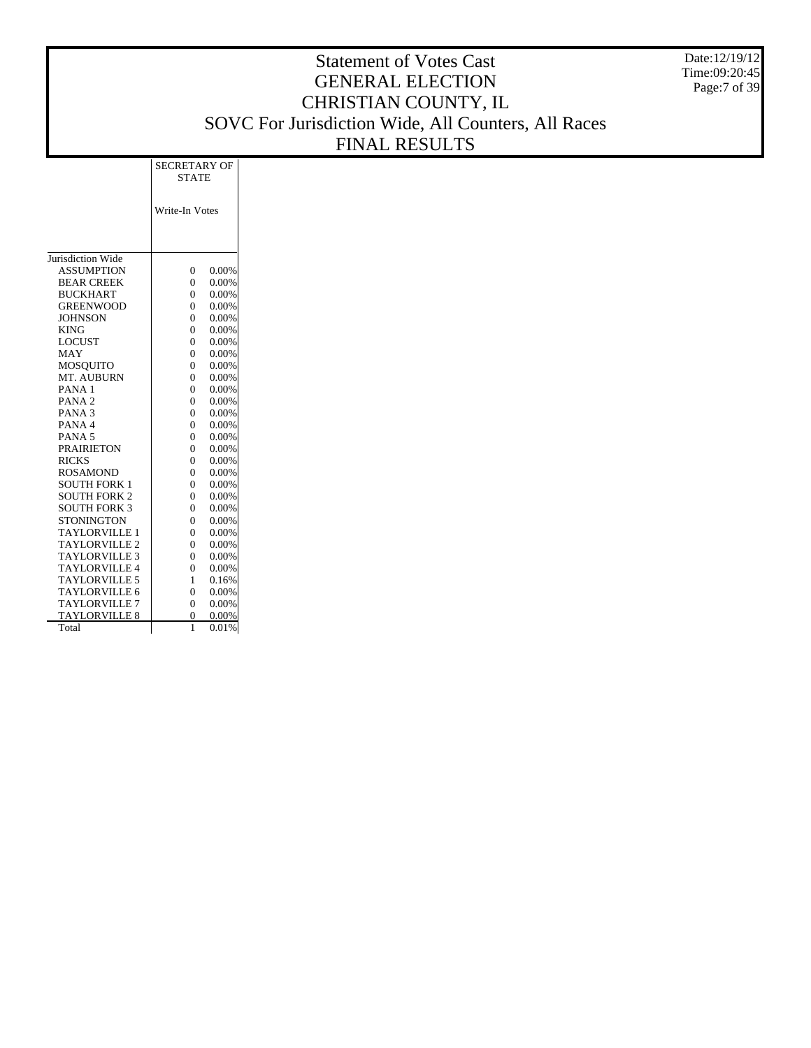Date:12/19/12 Time:09:20:45 Page:7 of 39

# Statement of Votes Cast GENERAL ELECTION CHRISTIAN COUNTY, IL SOVC For Jurisdiction Wide, All Counters, All Races FINAL RESULTS

SECRETARY OF STATE

|                      | Write-In Votes |          |
|----------------------|----------------|----------|
| Jurisdiction Wide    |                |          |
| <b>ASSUMPTION</b>    | $\theta$       | 0.00%    |
| <b>BEAR CREEK</b>    | $\theta$       | 0.00%    |
| <b>BUCKHART</b>      | $\theta$       | 0.00%    |
| <b>GREENWOOD</b>     | $\theta$       | 0.00%    |
| <b>JOHNSON</b>       | $\theta$       | 0.00%    |
| <b>KING</b>          | $\theta$       | 0.00%    |
| <b>LOCUST</b>        | $\theta$       | 0.00%    |
| MAY                  | $\theta$       | 0.00%    |
| MOSOUITO             | $\theta$       | 0.00%    |
| MT. AUBURN           | $\theta$       | 0.00%    |
| PANA 1               | $\theta$       | 0.00%    |
| PANA <sub>2</sub>    | $\theta$       | 0.00%    |
| PANA <sub>3</sub>    | $\theta$       | 0.00%    |
| PANA <sub>4</sub>    | $\theta$       | 0.00%    |
| PANA <sub>5</sub>    | $\theta$       | 0.00%    |
| <b>PRAIRIETON</b>    | $\theta$       | 0.00%    |
| <b>RICKS</b>         | $\theta$       | 0.00%    |
| <b>ROSAMOND</b>      | $\theta$       | 0.00%    |
| <b>SOUTH FORK 1</b>  | $\theta$       | $0.00\%$ |
| <b>SOUTH FORK 2</b>  | $\theta$       | 0.00%    |
| <b>SOUTH FORK 3</b>  | $\theta$       | 0.00%    |
| <b>STONINGTON</b>    | $\theta$       | 0.00%    |
| <b>TAYLORVILLE 1</b> | $\theta$       | 0.00%    |
| <b>TAYLORVILLE 2</b> | $\theta$       | 0.00%    |
| TAYLORVILLE 3        | $\theta$       | 0.00%    |
| <b>TAYLORVILLE 4</b> | 0              | 0.00%    |
| <b>TAYLORVILLE 5</b> | 1              | 0.16%    |
| <b>TAYLORVILLE 6</b> | $\overline{0}$ | 0.00%    |
| TAYLORVILLE 7        | $\theta$       | 0.00%    |
| <b>TAYLORVILLE 8</b> | $\overline{0}$ | 0.00%    |
| Total                | 1              | 0.01%    |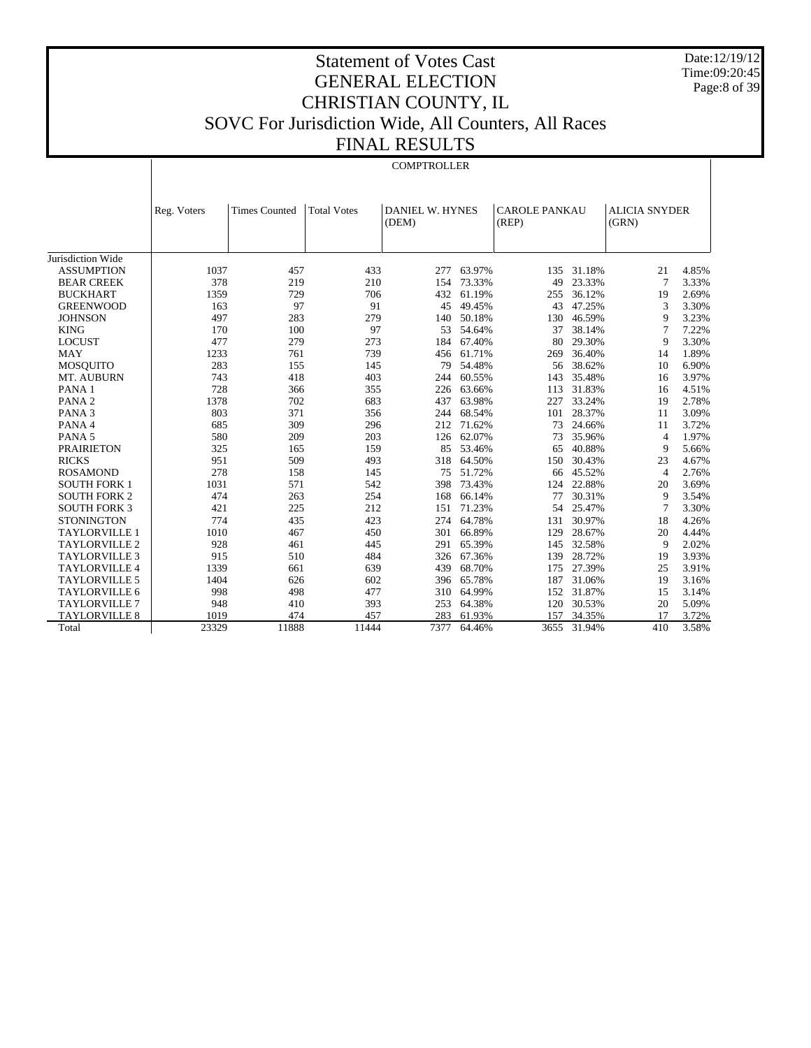Date:12/19/12 Time:09:20:45 Page:8 of 39

## Statement of Votes Cast GENERAL ELECTION CHRISTIAN COUNTY, IL SOVC For Jurisdiction Wide, All Counters, All Races FINAL RESULTS

|  | <b>COMPTROLLER</b> |
|--|--------------------|

|                      | Reg. Voters | <b>Times Counted</b> | <b>Total Votes</b> | <b>DANIEL W. HYNES</b><br>(DEM) |        | <b>CAROLE PANKAU</b><br>(REP) |        | <b>ALICIA SNYDER</b><br>(GRN) |       |
|----------------------|-------------|----------------------|--------------------|---------------------------------|--------|-------------------------------|--------|-------------------------------|-------|
|                      |             |                      |                    |                                 |        |                               |        |                               |       |
| Jurisdiction Wide    |             |                      |                    |                                 |        |                               |        |                               |       |
| <b>ASSUMPTION</b>    | 1037        | 457                  | 433                | 277                             | 63.97% | 135                           | 31.18% | 21                            | 4.85% |
| <b>BEAR CREEK</b>    | 378         | 219                  | 210                | 154                             | 73.33% | 49                            | 23.33% | $\overline{7}$                | 3.33% |
| <b>BUCKHART</b>      | 1359        | 729                  | 706                | 432                             | 61.19% | 255                           | 36.12% | 19                            | 2.69% |
| <b>GREENWOOD</b>     | 163         | 97                   | 91                 | 45                              | 49.45% | 43                            | 47.25% | 3                             | 3.30% |
| <b>JOHNSON</b>       | 497         | 283                  | 279                | 140                             | 50.18% | 130                           | 46.59% | 9                             | 3.23% |
| <b>KING</b>          | 170         | 100                  | 97                 | 53                              | 54.64% | 37                            | 38.14% | 7                             | 7.22% |
| <b>LOCUST</b>        | 477         | 279                  | 273                | 184                             | 67.40% | 80                            | 29.30% | 9                             | 3.30% |
| <b>MAY</b>           | 1233        | 761                  | 739                | 456                             | 61.71% | 269                           | 36.40% | 14                            | 1.89% |
| <b>MOSOUITO</b>      | 283         | 155                  | 145                | 79                              | 54.48% | 56                            | 38.62% | 10                            | 6.90% |
| MT. AUBURN           | 743         | 418                  | 403                | 244                             | 60.55% | 143                           | 35.48% | 16                            | 3.97% |
| PANA <sub>1</sub>    | 728         | 366                  | 355                | 226                             | 63.66% | 113                           | 31.83% | 16                            | 4.51% |
| PANA <sub>2</sub>    | 1378        | 702                  | 683                | 437                             | 63.98% | 227                           | 33.24% | 19                            | 2.78% |
| PANA <sub>3</sub>    | 803         | 371                  | 356                | 244                             | 68.54% | 101                           | 28.37% | 11                            | 3.09% |
| PANA 4               | 685         | 309                  | 296                | 212                             | 71.62% | 73                            | 24.66% | 11                            | 3.72% |
| PANA <sub>5</sub>    | 580         | 209                  | 203                | 126                             | 62.07% | 73                            | 35.96% | $\overline{4}$                | 1.97% |
| <b>PRAIRIETON</b>    | 325         | 165                  | 159                | 85                              | 53.46% | 65                            | 40.88% | 9                             | 5.66% |
| <b>RICKS</b>         | 951         | 509                  | 493                | 318                             | 64.50% | 150                           | 30.43% | 23                            | 4.67% |
| <b>ROSAMOND</b>      | 278         | 158                  | 145                | 75                              | 51.72% | 66                            | 45.52% | $\overline{4}$                | 2.76% |
| <b>SOUTH FORK 1</b>  | 1031        | 571                  | 542                | 398                             | 73.43% | 124                           | 22.88% | 20                            | 3.69% |
| <b>SOUTH FORK 2</b>  | 474         | 263                  | 254                | 168                             | 66.14% | 77                            | 30.31% | 9                             | 3.54% |
| <b>SOUTH FORK 3</b>  | 421         | 225                  | 212                | 151                             | 71.23% | 54                            | 25.47% | 7                             | 3.30% |
| <b>STONINGTON</b>    | 774         | 435                  | 423                | 274                             | 64.78% | 131                           | 30.97% | 18                            | 4.26% |
| <b>TAYLORVILLE 1</b> | 1010        | 467                  | 450                | 301                             | 66.89% | 129                           | 28.67% | 20                            | 4.44% |
| <b>TAYLORVILLE 2</b> | 928         | 461                  | 445                | 291                             | 65.39% | 145                           | 32.58% | 9                             | 2.02% |
| <b>TAYLORVILLE 3</b> | 915         | 510                  | 484                | 326                             | 67.36% | 139                           | 28.72% | 19                            | 3.93% |
| <b>TAYLORVILLE 4</b> | 1339        | 661                  | 639                | 439                             | 68.70% | 175                           | 27.39% | 25                            | 3.91% |
| <b>TAYLORVILLE 5</b> | 1404        | 626                  | 602                | 396                             | 65.78% | 187                           | 31.06% | 19                            | 3.16% |
| <b>TAYLORVILLE 6</b> | 998         | 498                  | 477                | 310                             | 64.99% | 152                           | 31.87% | 15                            | 3.14% |
| <b>TAYLORVILLE 7</b> | 948         | 410                  | 393                | 253                             | 64.38% | 120                           | 30.53% | 20                            | 5.09% |
| <b>TAYLORVILLE 8</b> | 1019        | 474                  | 457                | 283                             | 61.93% | 157                           | 34.35% | 17                            | 3.72% |
| Total                | 23329       | 11888                | 11444              | 7377                            | 64.46% | 3655                          | 31.94% | 410                           | 3.58% |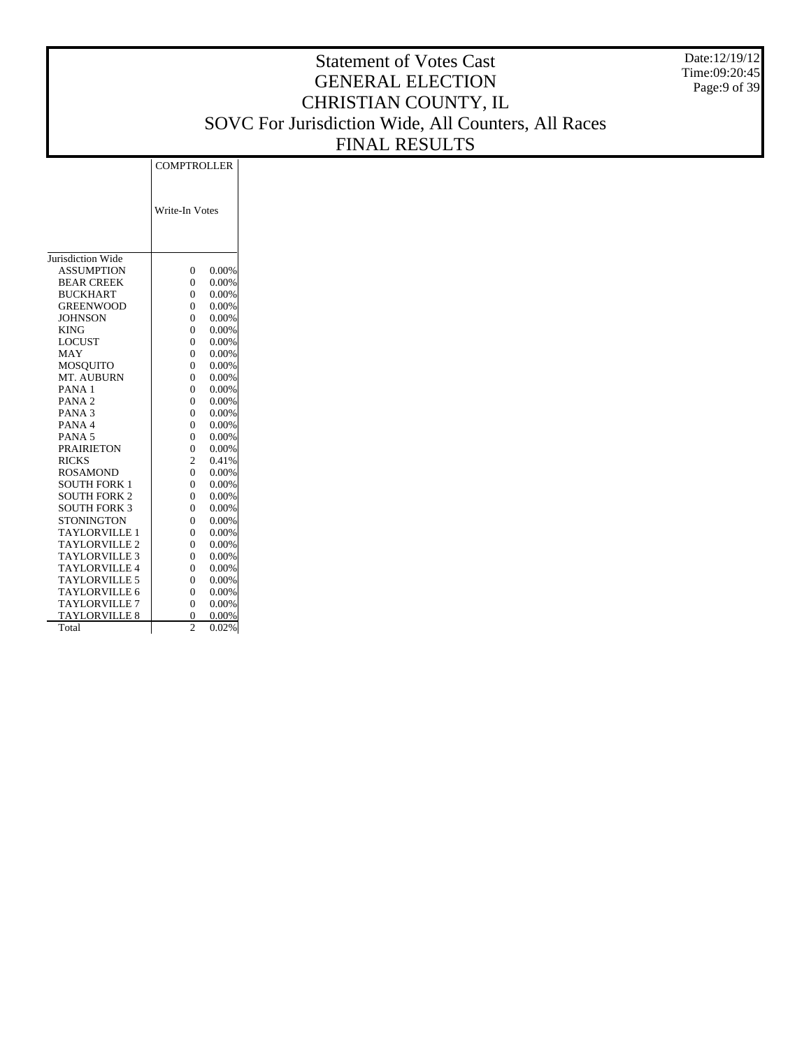Date:12/19/12 Time:09:20:45 Page:9 of 39

# Statement of Votes Cast GENERAL ELECTION CHRISTIAN COUNTY, IL SOVC For Jurisdiction Wide, All Counters, All Races FINAL RESULTS

COMPTROLLER

|                      | Write-In Votes |          |  |  |  |  |
|----------------------|----------------|----------|--|--|--|--|
| Jurisdiction Wide    |                |          |  |  |  |  |
| ASSUMPTION           | $\theta$       | 0.00%    |  |  |  |  |
| <b>BEAR CREEK</b>    | $\theta$       | 0.00%    |  |  |  |  |
| <b>BUCKHART</b>      | $\theta$       | 0.00%    |  |  |  |  |
| <b>GREENWOOD</b>     | $\theta$       | $0.00\%$ |  |  |  |  |
| <b>JOHNSON</b>       | $\theta$       | 0.00%    |  |  |  |  |
| <b>KING</b>          | $\theta$       | 0.00%    |  |  |  |  |
| <b>LOCUST</b>        | $\theta$       | $0.00\%$ |  |  |  |  |
| MAY                  | $\theta$       | 0.00%    |  |  |  |  |
| MOSQUITO             | $\theta$       | 0.00%    |  |  |  |  |
| MT. AUBURN           | $\theta$       | 0.00%    |  |  |  |  |
| PANA <sub>1</sub>    | $\theta$       | 0.00%    |  |  |  |  |
| PANA <sub>2</sub>    | $\theta$       | 0.00%    |  |  |  |  |
| PANA <sub>3</sub>    | $\theta$       | 0.00%    |  |  |  |  |
| PANA <sub>4</sub>    | $\theta$       | 0.00%    |  |  |  |  |
| PANA <sub>5</sub>    | $\theta$       | 0.00%    |  |  |  |  |
| <b>PRAIRIETON</b>    | $\theta$       | $0.00\%$ |  |  |  |  |
| <b>RICKS</b>         | $\overline{c}$ | 0.41%    |  |  |  |  |
| <b>ROSAMOND</b>      | $\theta$       | 0.00%    |  |  |  |  |
| <b>SOUTH FORK 1</b>  | $\theta$       | 0.00%    |  |  |  |  |
| <b>SOUTH FORK 2</b>  | $\theta$       | 0.00%    |  |  |  |  |
| <b>SOUTH FORK 3</b>  | $\theta$       | 0.00%    |  |  |  |  |
| <b>STONINGTON</b>    | $\theta$       | 0.00%    |  |  |  |  |
| <b>TAYLORVILLE 1</b> | $\theta$       | 0.00%    |  |  |  |  |
| <b>TAYLORVILLE 2</b> | $\theta$       | 0.00%    |  |  |  |  |
| <b>TAYLORVILLE 3</b> | $\theta$       | 0.00%    |  |  |  |  |
| TAYLORVILLE 4        | 0              | 0.00%    |  |  |  |  |
| <b>TAYLORVILLE 5</b> | $\theta$       | 0.00%    |  |  |  |  |
| TAYLORVILLE 6        | $\theta$       | 0.00%    |  |  |  |  |
| <b>TAYLORVILLE 7</b> | $\theta$       | 0.00%    |  |  |  |  |
| <b>TAYLORVILLE 8</b> | 0              | 0.00%    |  |  |  |  |
| Total                | $\mathfrak{D}$ | 0.02%    |  |  |  |  |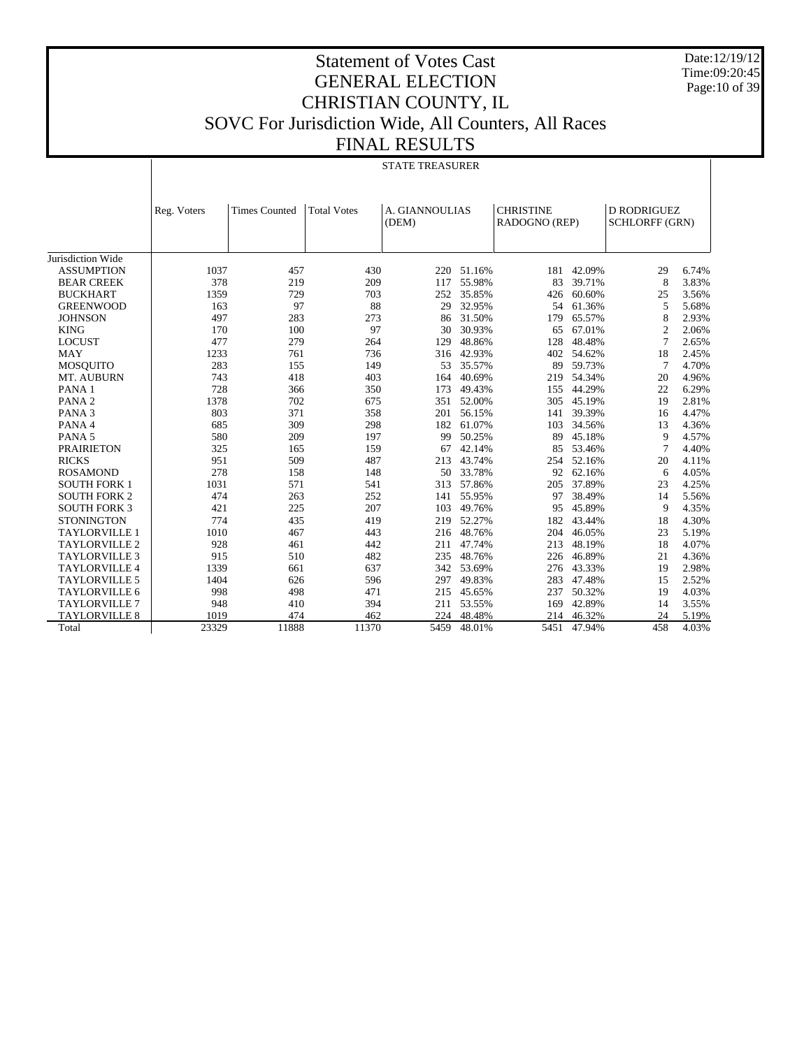Date:12/19/12 Time:09:20:45 Page:10 of 39

Τ

## Statement of Votes Cast GENERAL ELECTION CHRISTIAN COUNTY, IL SOVC For Jurisdiction Wide, All Counters, All Races FINAL RESULTS

|                          |             |                      |                    | <b>STATE TREASURER</b> |            |                  |        |                       |       |
|--------------------------|-------------|----------------------|--------------------|------------------------|------------|------------------|--------|-----------------------|-------|
|                          |             |                      |                    |                        |            |                  |        |                       |       |
|                          |             |                      |                    |                        |            |                  |        |                       |       |
|                          | Reg. Voters | <b>Times Counted</b> | <b>Total Votes</b> | A. GIANNOULIAS         |            | <b>CHRISTINE</b> |        | <b>D RODRIGUEZ</b>    |       |
|                          |             |                      |                    | (DEM)                  |            | RADOGNO (REP)    |        | <b>SCHLORFF (GRN)</b> |       |
|                          |             |                      |                    |                        |            |                  |        |                       |       |
|                          |             |                      |                    |                        |            |                  |        |                       |       |
| Jurisdiction Wide        |             |                      |                    |                        |            |                  |        |                       |       |
| <b>ASSUMPTION</b>        | 1037        | 457                  | 430                |                        | 220 51.16% | 181              | 42.09% | 29                    | 6.74% |
| <b>BEAR CREEK</b>        | 378         | 219                  | 209                | 117                    | 55.98%     | 83               | 39.71% | 8                     | 3.83% |
| <b>BUCKHART</b>          | 1359        | 729                  | 703                | 252                    | 35.85%     | 426              | 60.60% | 25                    | 3.56% |
| <b>GREENWOOD</b>         | 163         | 97                   | 88                 | 29                     | 32.95%     | 54               | 61.36% | 5                     | 5.68% |
| <b>JOHNSON</b>           | 497         | 283                  | 273                | 86                     | 31.50%     | 179              | 65.57% | 8                     | 2.93% |
| <b>KING</b>              | 170         | 100                  | 97                 | 30                     | 30.93%     | 65               | 67.01% | $\overline{c}$        | 2.06% |
| <b>LOCUST</b>            | 477         | 279                  | 264                | 129                    | 48.86%     | 128              | 48.48% | 7                     | 2.65% |
| MAY                      | 1233        | 761                  | 736                | 316                    | 42.93%     | 402              | 54.62% | 18                    | 2.45% |
| <b>MOSQUITO</b>          | 283         | 155                  | 149                | 53                     | 35.57%     | 89               | 59.73% | 7                     | 4.70% |
| MT. AUBURN               | 743         | 418                  | 403                | 164                    | 40.69%     | 219              | 54.34% | 20                    | 4.96% |
| PANA <sub>1</sub>        | 728         | 366                  | 350                | 173                    | 49.43%     | 155              | 44.29% | 22                    | 6.29% |
| PANA <sub>2</sub>        | 1378        | 702                  | 675                | 351                    | 52.00%     | 305              | 45.19% | 19                    | 2.81% |
| PANA <sub>3</sub>        | 803         | 371                  | 358                | 201                    | 56.15%     | 141              | 39.39% | 16                    | 4.47% |
| PANA 4                   | 685         | 309                  | 298                | 182                    | 61.07%     | 103              | 34.56% | 13                    | 4.36% |
| PANA <sub>5</sub>        | 580         | 209                  | 197                | 99                     | 50.25%     | 89               | 45.18% | 9                     | 4.57% |
| <b>PRAIRIETON</b>        | 325         | 165                  | 159                | 67                     | 42.14%     | 85               | 53.46% | 7                     | 4.40% |
| <b>RICKS</b>             | 951         | 509                  | 487                | 213                    | 43.74%     | 254              | 52.16% | 20                    | 4.11% |
| <b>ROSAMOND</b>          | 278         | 158                  | 148                | 50                     | 33.78%     | 92               | 62.16% | 6                     | 4.05% |
| <b>SOUTH FORK 1</b>      | 1031        | 571                  | 541                | 313                    | 57.86%     | 205              | 37.89% | 23                    | 4.25% |
| <b>SOUTH FORK 2</b>      | 474         | 263                  | 252                | 141                    | 55.95%     | 97               | 38.49% | 14                    | 5.56% |
| <b>SOUTH FORK 3</b>      | 421         | 225                  | 207                | 103                    | 49.76%     | 95               | 45.89% | 9                     | 4.35% |
| <b>STONINGTON</b>        | 774         | 435                  | 419                | 219                    | 52.27%     | 182              | 43.44% | 18                    | 4.30% |
| <b>TAYLORVILLE 1</b>     | 1010        | 467                  | 443                | 216                    | 48.76%     | 204              | 46.05% | 23                    | 5.19% |
| TAYLORVILLE <sub>2</sub> | 928         | 461                  | 442                | 211                    | 47.74%     | 213              | 48.19% | 18                    | 4.07% |
| <b>TAYLORVILLE 3</b>     | 915         | 510                  | 482                | 235                    | 48.76%     | 226              | 46.89% | 21                    | 4.36% |
| <b>TAYLORVILLE 4</b>     | 1339        | 661                  | 637                | 342                    | 53.69%     | 276              | 43.33% | 19                    | 2.98% |
| <b>TAYLORVILLE 5</b>     | 1404        | 626                  | 596                | 297                    | 49.83%     | 283              | 47.48% | 15                    | 2.52% |
| TAYLORVILLE 6            | 998         | 498                  | 471                | 215                    | 45.65%     | 237              | 50.32% | 19                    | 4.03% |
| TAYLORVILLE 7            | 948         | 410                  | 394                | 211                    | 53.55%     | 169              | 42.89% | 14                    | 3.55% |
| <b>TAYLORVILLE 8</b>     | 1019        | 474                  | 462                | 224                    | 48.48%     | 214              | 46.32% | 24                    | 5.19% |
| Total                    | 23329       | 11888                | 11370              | 5459                   | 48.01%     | 5451             | 47.94% | 458                   | 4.03% |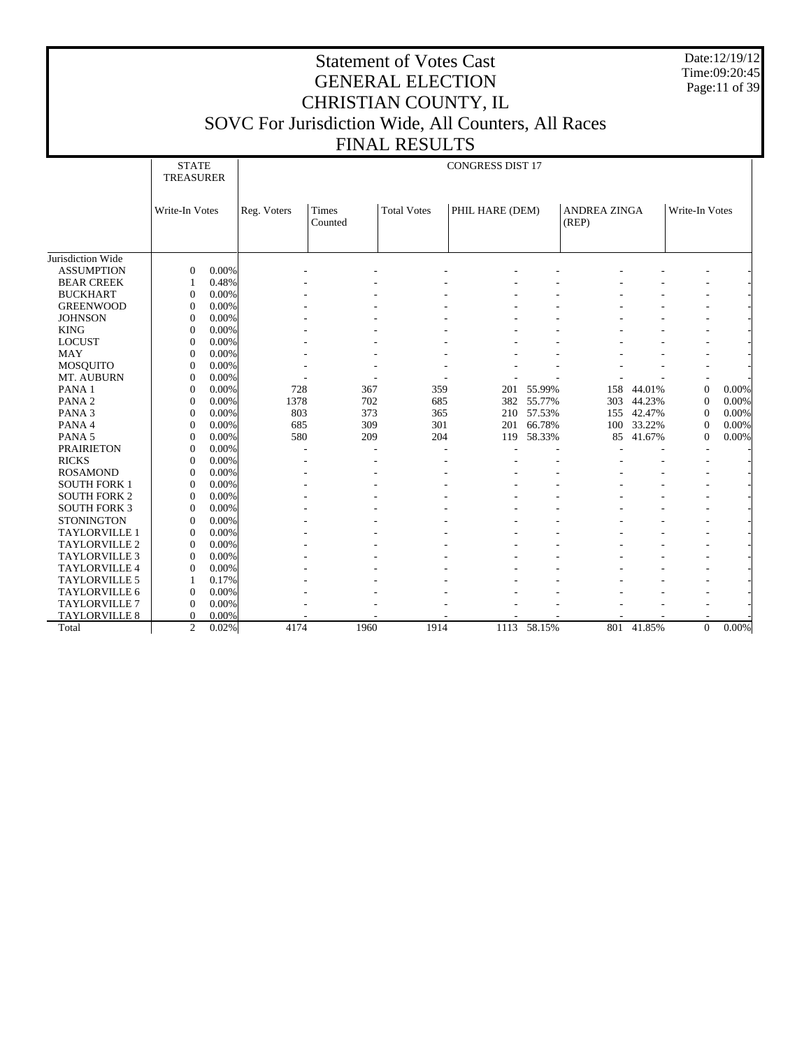Date:12/19/12 Time:09:20:45 Page:11 of 39

## Statement of Votes Cast GENERAL ELECTION CHRISTIAN COUNTY, IL SOVC For Jurisdiction Wide, All Counters, All Races

FINAL RESULTS

|                      | <b>STATE</b><br><b>TREASURER</b> |       |             |                  |                    | <b>CONGRESS DIST 17</b> |             |                              |            |                |          |
|----------------------|----------------------------------|-------|-------------|------------------|--------------------|-------------------------|-------------|------------------------------|------------|----------------|----------|
|                      | Write-In Votes                   |       | Reg. Voters | Times<br>Counted | <b>Total Votes</b> | PHIL HARE (DEM)         |             | <b>ANDREA ZINGA</b><br>(REP) |            | Write-In Votes |          |
| Jurisdiction Wide    |                                  |       |             |                  |                    |                         |             |                              |            |                |          |
| <b>ASSUMPTION</b>    | $\mathbf{0}$                     | 0.00% |             |                  |                    |                         |             |                              |            |                |          |
| <b>BEAR CREEK</b>    | -1                               | 0.48% |             |                  |                    |                         |             |                              |            |                |          |
| <b>BUCKHART</b>      | $\Omega$                         | 0.00% |             |                  |                    |                         |             |                              |            |                |          |
| <b>GREENWOOD</b>     | $\Omega$                         | 0.00% |             |                  |                    |                         |             |                              |            |                |          |
| <b>JOHNSON</b>       | $\mathbf{0}$                     | 0.00% |             |                  |                    |                         |             |                              |            |                |          |
| <b>KING</b>          | $\mathbf{0}$                     | 0.00% |             |                  |                    |                         |             |                              |            |                |          |
| <b>LOCUST</b>        | $\theta$                         | 0.00% |             |                  |                    |                         |             |                              |            |                |          |
| <b>MAY</b>           | $\theta$                         | 0.00% |             |                  |                    |                         |             |                              |            |                |          |
| <b>MOSQUITO</b>      | $\overline{0}$                   | 0.00% |             |                  |                    |                         |             |                              |            |                |          |
| MT. AUBURN           | $\Omega$                         | 0.00% |             |                  |                    |                         |             |                              |            |                |          |
| PANA <sub>1</sub>    | $\Omega$                         | 0.00% | 728         | 367              | 359                | 201                     | 55.99%      | 158                          | 44.01%     | $\overline{0}$ | 0.00%    |
| PANA <sub>2</sub>    | $\Omega$                         | 0.00% | 1378        | 702              | 685                | 382                     | 55.77%      | 303                          | 44.23%     | $\theta$       | 0.00%    |
| PANA <sub>3</sub>    | $\mathbf{0}$                     | 0.00% | 803         | 373              | 365                | 210                     | 57.53%      | 155                          | 42.47%     | $\mathbf{0}$   | 0.00%    |
| PANA 4               | $\mathbf{0}$                     | 0.00% | 685         | 309              | 301                | 201                     | 66.78%      | 100                          | 33.22%     | $\mathbf{0}$   | 0.00%    |
| PANA 5               | $\mathbf{0}$                     | 0.00% | 580         | 209              | 204                | 119                     | 58.33%      | 85                           | 41.67%     | $\overline{0}$ | 0.00%    |
| <b>PRAIRIETON</b>    | $\Omega$                         | 0.00% |             |                  |                    |                         |             |                              |            |                |          |
| <b>RICKS</b>         | $\mathbf{0}$                     | 0.00% |             |                  |                    |                         |             |                              |            |                |          |
| <b>ROSAMOND</b>      | $\theta$                         | 0.00% |             |                  |                    |                         |             |                              |            |                |          |
| <b>SOUTH FORK 1</b>  | $\Omega$                         | 0.00% |             |                  |                    |                         |             |                              |            |                |          |
| <b>SOUTH FORK 2</b>  | $\Omega$                         | 0.00% |             |                  |                    |                         |             |                              |            |                |          |
| <b>SOUTH FORK 3</b>  | $\Omega$                         | 0.00% |             |                  |                    |                         |             |                              |            |                |          |
| <b>STONINGTON</b>    | $\mathbf{0}$                     | 0.00% |             |                  |                    |                         |             |                              |            |                |          |
| <b>TAYLORVILLE 1</b> | $\mathbf{0}$                     | 0.00% |             |                  |                    |                         |             |                              |            |                |          |
| <b>TAYLORVILLE 2</b> | $\Omega$                         | 0.00% |             |                  |                    |                         |             |                              |            |                |          |
| <b>TAYLORVILLE 3</b> | $\Omega$                         | 0.00% |             |                  |                    |                         |             |                              |            |                |          |
| <b>TAYLORVILLE 4</b> | $\Omega$                         | 0.00% |             |                  |                    |                         |             |                              |            |                |          |
| <b>TAYLORVILLE 5</b> | -1                               | 0.17% |             |                  |                    |                         |             |                              |            |                |          |
| TAYLORVILLE 6        | $\Omega$                         | 0.00% |             |                  |                    |                         |             |                              |            |                |          |
| <b>TAYLORVILLE 7</b> | $\Omega$                         | 0.00% |             |                  |                    |                         |             |                              |            |                |          |
| <b>TAYLORVILLE 8</b> | $\mathbf{0}$                     | 0.00% |             |                  |                    |                         |             |                              |            |                |          |
| Total                | $\overline{c}$                   | 0.02% | 4174        | 1960             | 1914               |                         | 1113 58.15% |                              | 801 41.85% | $\mathbf{0}$   | $0.00\%$ |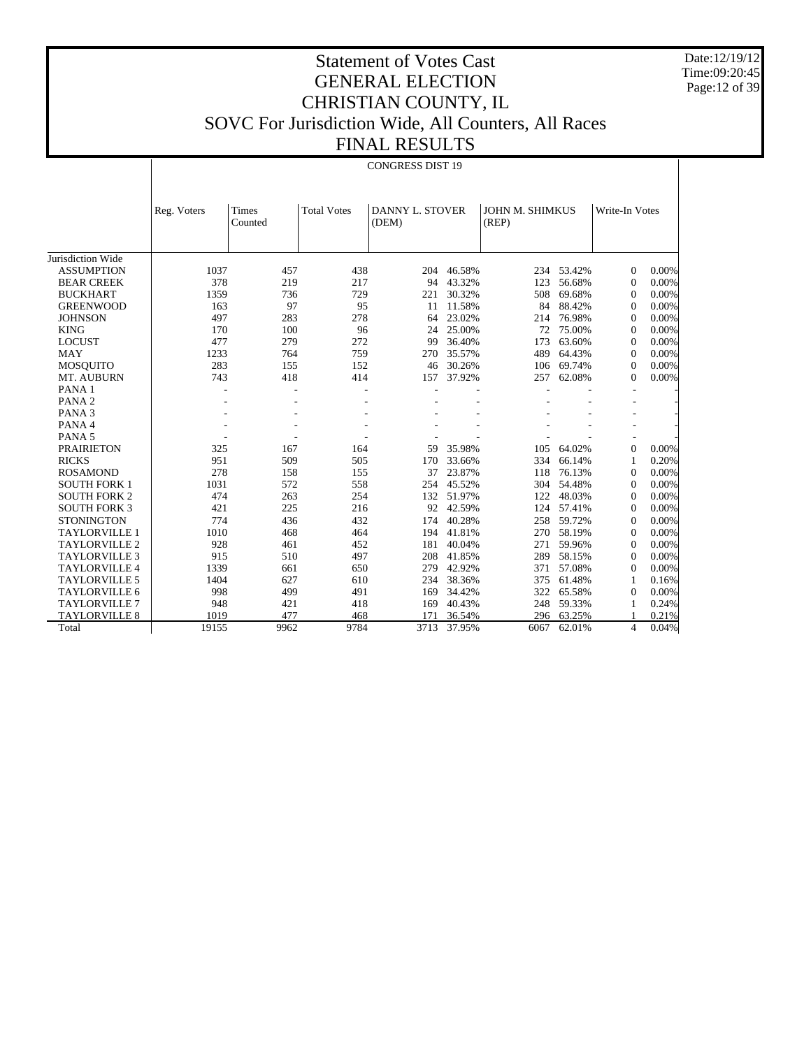Date:12/19/12 Time:09:20:45 Page:12 of 39

## Statement of Votes Cast GENERAL ELECTION CHRISTIAN COUNTY, IL SOVC For Jurisdiction Wide, All Counters, All Races FINAL RESULTS

CONGRESS DIST 19

|                      | Reg. Voters | <b>Times</b> | <b>Total Votes</b> | <b>DANNY L. STOVER</b> |        | <b>JOHN M. SHIMKUS</b> |        | Write-In Votes           |       |
|----------------------|-------------|--------------|--------------------|------------------------|--------|------------------------|--------|--------------------------|-------|
|                      |             | Counted      |                    | (DEM)                  |        | (REP)                  |        |                          |       |
|                      |             |              |                    |                        |        |                        |        |                          |       |
|                      |             |              |                    |                        |        |                        |        |                          |       |
| Jurisdiction Wide    |             |              |                    |                        |        |                        |        |                          |       |
| <b>ASSUMPTION</b>    | 1037        | 457          | 438                | 204                    | 46.58% | 234                    | 53.42% | 0                        | 0.00% |
| <b>BEAR CREEK</b>    | 378         | 219          | 217                | 94                     | 43.32% | 123                    | 56.68% | $\Omega$                 | 0.00% |
| <b>BUCKHART</b>      | 1359        | 736          | 729                | 221                    | 30.32% | 508                    | 69.68% | $\Omega$                 | 0.00% |
| <b>GREENWOOD</b>     | 163         | 97           | 95                 | 11                     | 11.58% | 84                     | 88.42% | $\Omega$                 | 0.00% |
| <b>JOHNSON</b>       | 497         | 283          | 278                | 64                     | 23.02% | 214                    | 76.98% | $\Omega$                 | 0.00% |
| <b>KING</b>          | 170         | 100          | 96                 | 24                     | 25.00% | 72                     | 75.00% | $\mathbf{0}$             | 0.00% |
| <b>LOCUST</b>        | 477         | 279          | 272                | 99                     | 36.40% | 173                    | 63.60% | $\mathbf{0}$             | 0.00% |
| <b>MAY</b>           | 1233        | 764          | 759                | 270                    | 35.57% | 489                    | 64.43% | $\Omega$                 | 0.00% |
| <b>MOSQUITO</b>      | 283         | 155          | 152                | 46                     | 30.26% | 106                    | 69.74% | $\Omega$                 | 0.00% |
| <b>MT. AUBURN</b>    | 743         | 418          | 414                | 157                    | 37.92% | 257                    | 62.08% | $\mathbf{0}$             | 0.00% |
| PANA <sub>1</sub>    |             |              |                    |                        |        |                        |        |                          |       |
| PANA <sub>2</sub>    |             |              |                    |                        |        |                        |        |                          |       |
| PANA <sub>3</sub>    |             |              |                    |                        |        |                        |        | ٠                        |       |
| PANA 4               |             |              |                    |                        |        |                        |        | $\overline{\phantom{a}}$ |       |
| PANA <sub>5</sub>    |             |              |                    |                        |        |                        |        | $\overline{\phantom{a}}$ |       |
| <b>PRAIRIETON</b>    | 325         | 167          | 164                | 59                     | 35.98% | 105                    | 64.02% | $\overline{0}$           | 0.00% |
| <b>RICKS</b>         | 951         | 509          | 505                | 170                    | 33.66% | 334                    | 66.14% | 1                        | 0.20% |
| <b>ROSAMOND</b>      | 278         | 158          | 155                | 37                     | 23.87% | 118                    | 76.13% | $\mathbf{0}$             | 0.00% |
| <b>SOUTH FORK 1</b>  | 1031        | 572          | 558                | 254                    | 45.52% | 304                    | 54.48% | $\Omega$                 | 0.00% |
| <b>SOUTH FORK 2</b>  | 474         | 263          | 254                | 132                    | 51.97% | 122                    | 48.03% | $\Omega$                 | 0.00% |
| <b>SOUTH FORK 3</b>  | 421         | 225          | 216                | 92                     | 42.59% | 124                    | 57.41% | $\Omega$                 | 0.00% |
| <b>STONINGTON</b>    | 774         | 436          | 432                | 174                    | 40.28% | 258                    | 59.72% | $\Omega$                 | 0.00% |
| <b>TAYLORVILLE 1</b> | 1010        | 468          | 464                | 194                    | 41.81% | 270                    | 58.19% | $\Omega$                 | 0.00% |
| <b>TAYLORVILLE 2</b> | 928         | 461          | 452                | 181                    | 40.04% | 271                    | 59.96% | $\Omega$                 | 0.00% |
| <b>TAYLORVILLE 3</b> | 915         | 510          | 497                | 208                    | 41.85% | 289                    | 58.15% | $\Omega$                 | 0.00% |
| <b>TAYLORVILLE 4</b> | 1339        | 661          | 650                | 279                    | 42.92% | 371                    | 57.08% | $\Omega$                 | 0.00% |
| TAYLORVILLE 5        | 1404        | 627          | 610                | 234                    | 38.36% | 375                    | 61.48% | 1                        | 0.16% |
| <b>TAYLORVILLE 6</b> | 998         | 499          | 491                | 169                    | 34.42% | 322                    | 65.58% | $\mathbf{0}$             | 0.00% |
| <b>TAYLORVILLE 7</b> | 948         | 421          | 418                | 169                    | 40.43% | 248                    | 59.33% | 1                        | 0.24% |
| <b>TAYLORVILLE 8</b> | 1019        | 477          | 468                | 171                    | 36.54% | 296                    | 63.25% |                          | 0.21% |
| Total                | 19155       | 9962         | 9784               | 3713                   | 37.95% | 6067                   | 62.01% | $\overline{4}$           | 0.04% |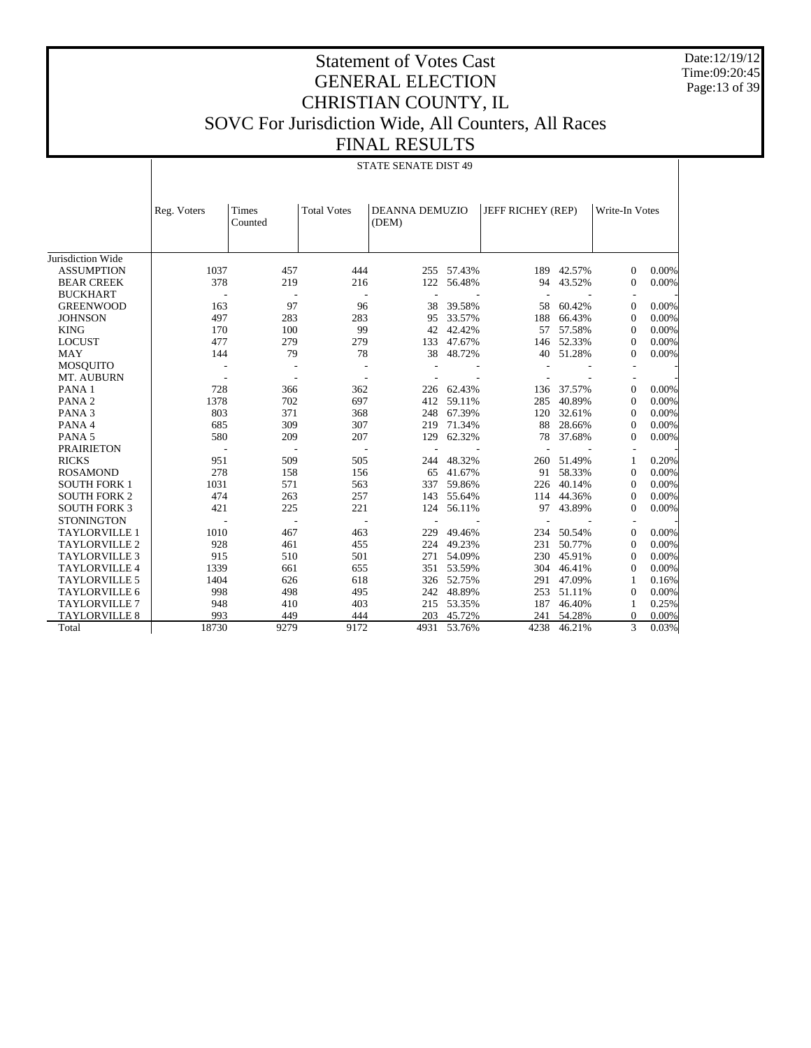Date:12/19/12 Time:09:20:45 Page:13 of 39

 $\top$ 

## Statement of Votes Cast GENERAL ELECTION CHRISTIAN COUNTY, IL SOVC For Jurisdiction Wide, All Counters, All Races FINAL RESULTS

STATE SENATE DIST 49

|                      | Reg. Voters | Times<br>Counted | <b>Total Votes</b> | <b>DEANNA DEMUZIO</b><br>(DEM) |        | JEFF RICHEY (REP) |            | Write-In Votes |       |
|----------------------|-------------|------------------|--------------------|--------------------------------|--------|-------------------|------------|----------------|-------|
| Jurisdiction Wide    |             |                  |                    |                                |        |                   |            |                |       |
| <b>ASSUMPTION</b>    | 1037        | 457              | 444                | 255                            | 57.43% | 189               | 42.57%     | $\mathbf{0}$   | 0.00% |
| <b>BEAR CREEK</b>    | 378         | 219              | 216                | 122                            | 56.48% | 94                | 43.52%     | $\mathbf{0}$   | 0.00% |
| <b>BUCKHART</b>      |             |                  |                    | $\overline{a}$                 |        |                   |            |                |       |
| <b>GREENWOOD</b>     | 163         | 97               | 96                 | 38                             | 39.58% | 58                | 60.42%     | $\mathbf{0}$   | 0.00% |
| <b>JOHNSON</b>       | 497         | 283              | 283                | 95                             | 33.57% | 188               | 66.43%     | $\mathbf{0}$   | 0.00% |
| <b>KING</b>          | 170         | 100              | 99                 | 42                             | 42.42% | 57                | 57.58%     | $\theta$       | 0.00% |
| <b>LOCUST</b>        | 477         | 279              | 279                | 133                            | 47.67% |                   | 146 52.33% | $\theta$       | 0.00% |
| <b>MAY</b>           | 144         | 79               | 78                 | 38                             | 48.72% | 40                | 51.28%     | $\Omega$       | 0.00% |
| <b>MOSOUITO</b>      |             |                  |                    |                                |        |                   |            |                |       |
| MT. AUBURN           |             |                  |                    |                                |        |                   |            |                |       |
| PANA 1               | 728         | 366              | 362                | 226                            | 62.43% | 136               | 37.57%     | $\mathbf{0}$   | 0.00% |
| PANA <sub>2</sub>    | 1378        | 702              | 697                | 412                            | 59.11% | 285               | 40.89%     | $\theta$       | 0.00% |
| PANA <sub>3</sub>    | 803         | 371              | 368                | 248                            | 67.39% | 120               | 32.61%     | $\mathbf{0}$   | 0.00% |
| PANA 4               | 685         | 309              | 307                | 219                            | 71.34% | 88                | 28.66%     | $\mathbf{0}$   | 0.00% |
| PANA <sub>5</sub>    | 580         | 209              | 207                | 129                            | 62.32% | 78                | 37.68%     | $\mathbf{0}$   | 0.00% |
| <b>PRAIRIETON</b>    |             |                  | $\overline{a}$     |                                |        |                   |            |                |       |
| <b>RICKS</b>         | 951         | 509              | 505                | 244                            | 48.32% | 260               | 51.49%     | 1              | 0.20% |
| <b>ROSAMOND</b>      | 278         | 158              | 156                | 65                             | 41.67% | 91                | 58.33%     | $\mathbf{0}$   | 0.00% |
| <b>SOUTH FORK 1</b>  | 1031        | 571              | 563                | 337                            | 59.86% | 226               | 40.14%     | $\Omega$       | 0.00% |
| <b>SOUTH FORK 2</b>  | 474         | 263              | 257                | 143                            | 55.64% | 114               | 44.36%     | $\mathbf{0}$   | 0.00% |
| <b>SOUTH FORK 3</b>  | 421         | 225              | 221                | 124                            | 56.11% | 97                | 43.89%     | $\theta$       | 0.00% |
| <b>STONINGTON</b>    |             |                  |                    | $\overline{\phantom{a}}$       |        |                   |            |                |       |
| <b>TAYLORVILLE 1</b> | 1010        | 467              | 463                | 229                            | 49.46% | 234               | 50.54%     | $\mathbf{0}$   | 0.00% |
| <b>TAYLORVILLE 2</b> | 928         | 461              | 455                | 224                            | 49.23% | 231               | 50.77%     | $\theta$       | 0.00% |
| <b>TAYLORVILLE 3</b> | 915         | 510              | 501                | 271                            | 54.09% | 230               | 45.91%     | $\theta$       | 0.00% |
| <b>TAYLORVILLE 4</b> | 1339        | 661              | 655                | 351                            | 53.59% | 304               | 46.41%     | $\Omega$       | 0.00% |
| <b>TAYLORVILLE 5</b> | 1404        | 626              | 618                | 326                            | 52.75% | 291               | 47.09%     | 1              | 0.16% |
| TAYLORVILLE 6        | 998         | 498              | 495                | 242                            | 48.89% | 253               | 51.11%     | $\mathbf{0}$   | 0.00% |
| <b>TAYLORVILLE 7</b> | 948         | 410              | 403                | 215                            | 53.35% | 187               | 46.40%     | $\mathbf{1}$   | 0.25% |
| <b>TAYLORVILLE 8</b> | 993         | 449              | 444                | 203                            | 45.72% | 241               | 54.28%     | $\Omega$       | 0.00% |
| Total                | 18730       | 9279             | 9172               | 4931                           | 53.76% | 4238              | 46.21%     | 3              | 0.03% |

 $\overline{\phantom{a}}$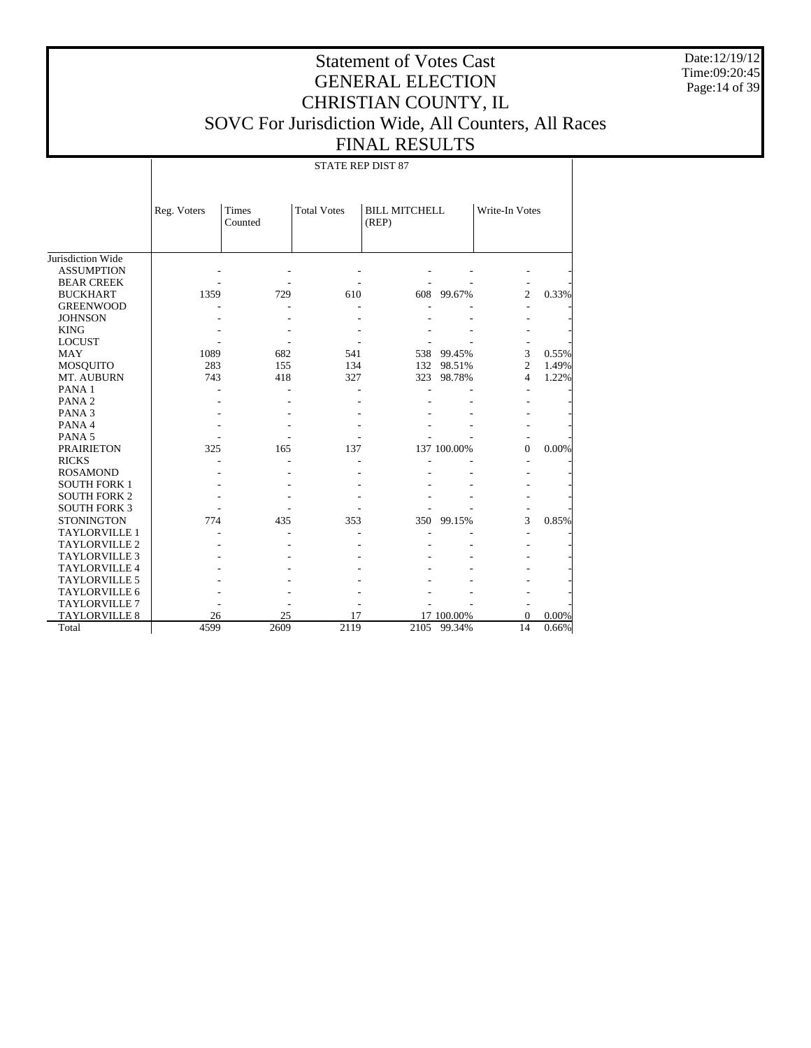Date:12/19/12 Time:09:20:45 Page:14 of 39

## Statement of Votes Cast GENERAL ELECTION CHRISTIAN COUNTY, IL SOVC For Jurisdiction Wide, All Counters, All Races FINAL RESULTS

STATE REP DIST 87

|                      | Reg. Voters | Times<br>Counted | <b>Total Votes</b> | <b>BILL MITCHELL</b><br>(REP) |             | Write-In Votes |       |
|----------------------|-------------|------------------|--------------------|-------------------------------|-------------|----------------|-------|
| Jurisdiction Wide    |             |                  |                    |                               |             |                |       |
| <b>ASSUMPTION</b>    |             |                  |                    |                               |             |                |       |
| <b>BEAR CREEK</b>    |             |                  |                    |                               |             |                |       |
| <b>BUCKHART</b>      | 1359        | 729              | 610                | 608                           | 99.67%      | $\overline{c}$ | 0.33% |
| <b>GREENWOOD</b>     |             |                  |                    |                               |             |                |       |
| <b>JOHNSON</b>       |             |                  |                    |                               |             |                |       |
| <b>KING</b>          |             |                  |                    |                               |             |                |       |
| <b>LOCUST</b>        |             |                  |                    |                               |             |                |       |
| MAY                  | 1089        | 682              | 541                | 538                           | 99.45%      | 3              | 0.55% |
| MOSQUITO             | 283         | 155              | 134                | 132                           | 98.51%      | $\overline{c}$ | 1.49% |
| MT. AUBURN           | 743         | 418              | 327                | 323                           | 98.78%      | $\overline{4}$ | 1.22% |
| PANA <sub>1</sub>    |             |                  |                    |                               |             |                |       |
| PANA <sub>2</sub>    |             |                  |                    |                               |             |                |       |
| PANA <sub>3</sub>    |             |                  |                    |                               |             |                |       |
| PANA 4               |             |                  |                    |                               |             |                |       |
| PANA <sub>5</sub>    |             |                  |                    |                               |             |                |       |
| <b>PRAIRIETON</b>    | 325         | 165              | 137                |                               | 137 100.00% | $\Omega$       | 0.00% |
| <b>RICKS</b>         |             |                  |                    |                               |             |                |       |
| <b>ROSAMOND</b>      |             |                  |                    |                               |             |                |       |
| <b>SOUTH FORK 1</b>  |             |                  |                    |                               |             |                |       |
| <b>SOUTH FORK 2</b>  |             |                  |                    |                               |             |                |       |
| <b>SOUTH FORK 3</b>  |             |                  |                    |                               |             |                |       |
| <b>STONINGTON</b>    | 774         | 435              | 353                | 350                           | 99.15%      | 3              | 0.85% |
| <b>TAYLORVILLE 1</b> |             |                  |                    |                               |             |                |       |
| <b>TAYLORVILLE 2</b> |             |                  |                    |                               |             |                |       |
| <b>TAYLORVILLE 3</b> |             |                  |                    |                               |             |                |       |
| <b>TAYLORVILLE 4</b> |             |                  |                    |                               |             |                |       |
| <b>TAYLORVILLE 5</b> |             |                  |                    |                               |             |                |       |
| <b>TAYLORVILLE 6</b> |             |                  |                    |                               |             |                |       |
| <b>TAYLORVILLE 7</b> |             |                  |                    |                               |             |                |       |
| TAYLORVILLE 8        | 26          | 25               | 17                 |                               | 17 100.00%  | $\Omega$       | 0.00% |
| Total                | 4599        | 2609             | 2119               | 2105                          | 99.34%      | 14             | 0.66% |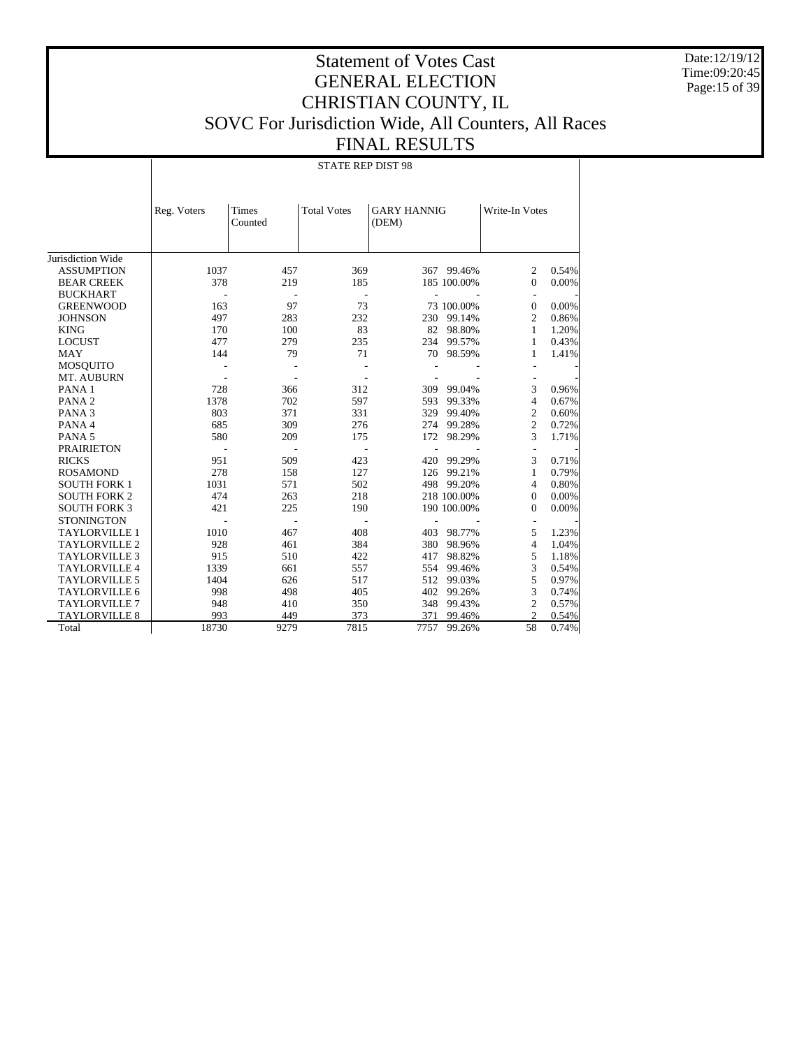Date:12/19/12 Time:09:20:45 Page:15 of 39

## Statement of Votes Cast GENERAL ELECTION CHRISTIAN COUNTY, IL SOVC For Jurisdiction Wide, All Counters, All Races FINAL RESULTS

STATE REP DIST 98

|                      | Reg. Voters | Times<br>Counted | <b>Total Votes</b> | <b>GARY HANNIG</b><br>(DEM) |             | Write-In Votes           |       |
|----------------------|-------------|------------------|--------------------|-----------------------------|-------------|--------------------------|-------|
| Jurisdiction Wide    |             |                  |                    |                             |             |                          |       |
| <b>ASSUMPTION</b>    | 1037        | 457              | 369                |                             | 367 99.46%  | $\mathfrak{2}$           | 0.54% |
| <b>BEAR CREEK</b>    | 378         | 219              | 185                |                             | 185 100.00% | $\Omega$                 | 0.00% |
| <b>BUCKHART</b>      |             |                  |                    |                             |             |                          |       |
| <b>GREENWOOD</b>     | 163         | 97               | 73                 |                             | 73 100.00%  | $\mathbf{0}$             | 0.00% |
| <b>JOHNSON</b>       | 497         | 283              | 232                | 230                         | 99.14%      | 2                        | 0.86% |
| <b>KING</b>          | 170         | 100              | 83                 | 82                          | 98.80%      | 1                        | 1.20% |
| <b>LOCUST</b>        | 477         | 279              | 235                | 234                         | 99.57%      | 1                        | 0.43% |
| <b>MAY</b>           | 144         | 79               | 71                 | 70                          | 98.59%      | 1                        | 1.41% |
| <b>MOSQUITO</b>      |             |                  |                    |                             |             |                          |       |
| MT. AUBURN           |             |                  |                    |                             |             |                          |       |
| PANA <sub>1</sub>    | 728         | 366              | 312                | 309                         | 99.04%      | 3                        | 0.96% |
| PANA <sub>2</sub>    | 1378        | 702              | 597                | 593                         | 99.33%      | $\overline{4}$           | 0.67% |
| PANA <sub>3</sub>    | 803         | 371              | 331                | 329                         | 99.40%      | $\mathfrak{2}$           | 0.60% |
| PANA 4               | 685         | 309              | 276                | 274                         | 99.28%      | $\overline{c}$           | 0.72% |
| PANA <sub>5</sub>    | 580         | 209              | 175                | 172                         | 98.29%      | 3                        | 1.71% |
| <b>PRAIRIETON</b>    |             |                  |                    |                             |             | ÷,                       |       |
| <b>RICKS</b>         | 951         | 509              | 423                | 420                         | 99.29%      | 3                        | 0.71% |
| <b>ROSAMOND</b>      | 278         | 158              | 127                | 126                         | 99.21%      | 1                        | 0.79% |
| <b>SOUTH FORK 1</b>  | 1031        | 571              | 502                | 498                         | 99.20%      | 4                        | 0.80% |
| <b>SOUTH FORK 2</b>  | 474         | 263              | 218                |                             | 218 100.00% | $\mathbf{0}$             | 0.00% |
| <b>SOUTH FORK 3</b>  | 421         | 225              | 190                |                             | 190 100.00% | $\mathbf{0}$             | 0.00% |
| <b>STONINGTON</b>    |             |                  |                    |                             |             | $\overline{\phantom{a}}$ |       |
| <b>TAYLORVILLE 1</b> | 1010        | 467              | 408                | 403                         | 98.77%      | 5                        | 1.23% |
| <b>TAYLORVILLE 2</b> | 928         | 461              | 384                | 380                         | 98.96%      | 4                        | 1.04% |
| <b>TAYLORVILLE 3</b> | 915         | 510              | 422                | 417                         | 98.82%      | 5                        | 1.18% |
| <b>TAYLORVILLE 4</b> | 1339        | 661              | 557                | 554                         | 99.46%      | 3                        | 0.54% |
| <b>TAYLORVILLE 5</b> | 1404        | 626              | 517                | 512                         | 99.03%      | 5                        | 0.97% |
| <b>TAYLORVILLE 6</b> | 998         | 498              | 405                | 402                         | 99.26%      | 3                        | 0.74% |
| <b>TAYLORVILLE 7</b> | 948         | 410              | 350                | 348                         | 99.43%      | $\mathfrak{2}$           | 0.57% |
| <b>TAYLORVILLE 8</b> | 993         | 449              | 373                | 371                         | 99.46%      | $\overline{c}$           | 0.54% |
| Total                | 18730       | 9279             | 7815               | 7757                        | 99.26%      | 58                       | 0.74% |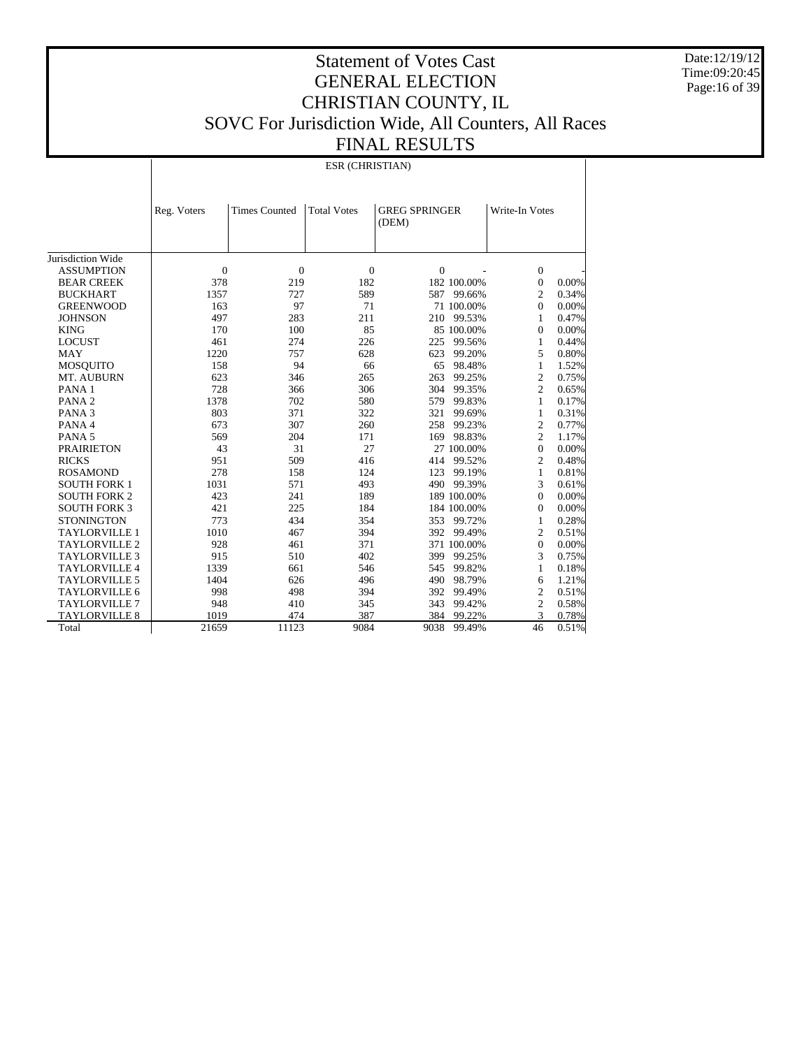Date:12/19/12 Time:09:20:45 Page:16 of 39

## Statement of Votes Cast GENERAL ELECTION CHRISTIAN COUNTY, IL SOVC For Jurisdiction Wide, All Counters, All Races FINAL RESULTS

ESR (CHRISTIAN)

|                      | Reg. Voters      | <b>Times Counted</b> | <b>Total Votes</b> | <b>GREG SPRINGER</b> |             | Write-In Votes |       |
|----------------------|------------------|----------------------|--------------------|----------------------|-------------|----------------|-------|
|                      |                  |                      |                    | (DEM)                |             |                |       |
|                      |                  |                      |                    |                      |             |                |       |
| Jurisdiction Wide    |                  |                      |                    |                      |             |                |       |
| <b>ASSUMPTION</b>    | $\boldsymbol{0}$ | $\mathbf{0}$         | $\mathbf{0}$       | $\mathbf{0}$         |             | $\overline{0}$ |       |
| <b>BEAR CREEK</b>    | 378              | 219                  | 182                |                      | 182 100.00% | $\theta$       | 0.00% |
| <b>BUCKHART</b>      | 1357             | 727                  | 589                | 587                  | 99.66%      | $\overline{2}$ | 0.34% |
| <b>GREENWOOD</b>     | 163              | 97                   | 71                 |                      | 71 100.00%  | $\Omega$       | 0.00% |
| <b>JOHNSON</b>       | 497              | 283                  | 211                | 210                  | 99.53%      | 1              | 0.47% |
| <b>KING</b>          | 170              | 100                  | 85                 |                      | 85 100.00%  | $\mathbf{0}$   | 0.00% |
| <b>LOCUST</b>        | 461              | 274                  | 226                | 225                  | 99.56%      | 1              | 0.44% |
| <b>MAY</b>           | 1220             | 757                  | 628                | 623                  | 99.20%      | 5              | 0.80% |
| <b>MOSQUITO</b>      | 158              | 94                   | 66                 | 65                   | 98.48%      | 1              | 1.52% |
| MT. AUBURN           | 623              | 346                  | 265                | 263                  | 99.25%      | $\overline{2}$ | 0.75% |
| PANA 1               | 728              | 366                  | 306                | 304                  | 99.35%      | $\overline{2}$ | 0.65% |
| PANA <sub>2</sub>    | 1378             | 702                  | 580                | 579                  | 99.83%      | 1              | 0.17% |
| PANA <sub>3</sub>    | 803              | 371                  | 322                | 321                  | 99.69%      | 1              | 0.31% |
| PANA 4               | 673              | 307                  | 260                | 258                  | 99.23%      | $\overline{c}$ | 0.77% |
| PANA <sub>5</sub>    | 569              | 204                  | 171                | 169                  | 98.83%      | $\overline{2}$ | 1.17% |
| <b>PRAIRIETON</b>    | 43               | 31                   | 27                 |                      | 27 100.00%  | $\mathbf{0}$   | 0.00% |
| <b>RICKS</b>         | 951              | 509                  | 416                | 414                  | 99.52%      | $\overline{2}$ | 0.48% |
| <b>ROSAMOND</b>      | 278              | 158                  | 124                | 123                  | 99.19%      | 1              | 0.81% |
| <b>SOUTH FORK 1</b>  | 1031             | 571                  | 493                | 490                  | 99.39%      | 3              | 0.61% |
| <b>SOUTH FORK 2</b>  | 423              | 241                  | 189                |                      | 189 100.00% | $\mathbf{0}$   | 0.00% |
| <b>SOUTH FORK 3</b>  | 421              | 225                  | 184                |                      | 184 100.00% | $\theta$       | 0.00% |
| <b>STONINGTON</b>    | 773              | 434                  | 354                | 353                  | 99.72%      | 1              | 0.28% |
| <b>TAYLORVILLE 1</b> | 1010             | 467                  | 394                | 392                  | 99.49%      | 2              | 0.51% |
| <b>TAYLORVILLE 2</b> | 928              | 461                  | 371                |                      | 371 100.00% | $\theta$       | 0.00% |
| <b>TAYLORVILLE 3</b> | 915              | 510                  | 402                | 399                  | 99.25%      | 3              | 0.75% |
| <b>TAYLORVILLE 4</b> | 1339             | 661                  | 546                | 545                  | 99.82%      | 1              | 0.18% |
| <b>TAYLORVILLE 5</b> | 1404             | 626                  | 496                | 490                  | 98.79%      | 6              | 1.21% |
| <b>TAYLORVILLE 6</b> | 998              | 498                  | 394                | 392                  | 99.49%      | 2              | 0.51% |
| <b>TAYLORVILLE 7</b> | 948              | 410                  | 345                | 343                  | 99.42%      | 2              | 0.58% |
| <b>TAYLORVILLE 8</b> | 1019             | 474                  | 387                | 384                  | 99.22%      | 3              | 0.78% |
| Total                | 21659            | 11123                | 9084               | 9038                 | 99.49%      | 46             | 0.51% |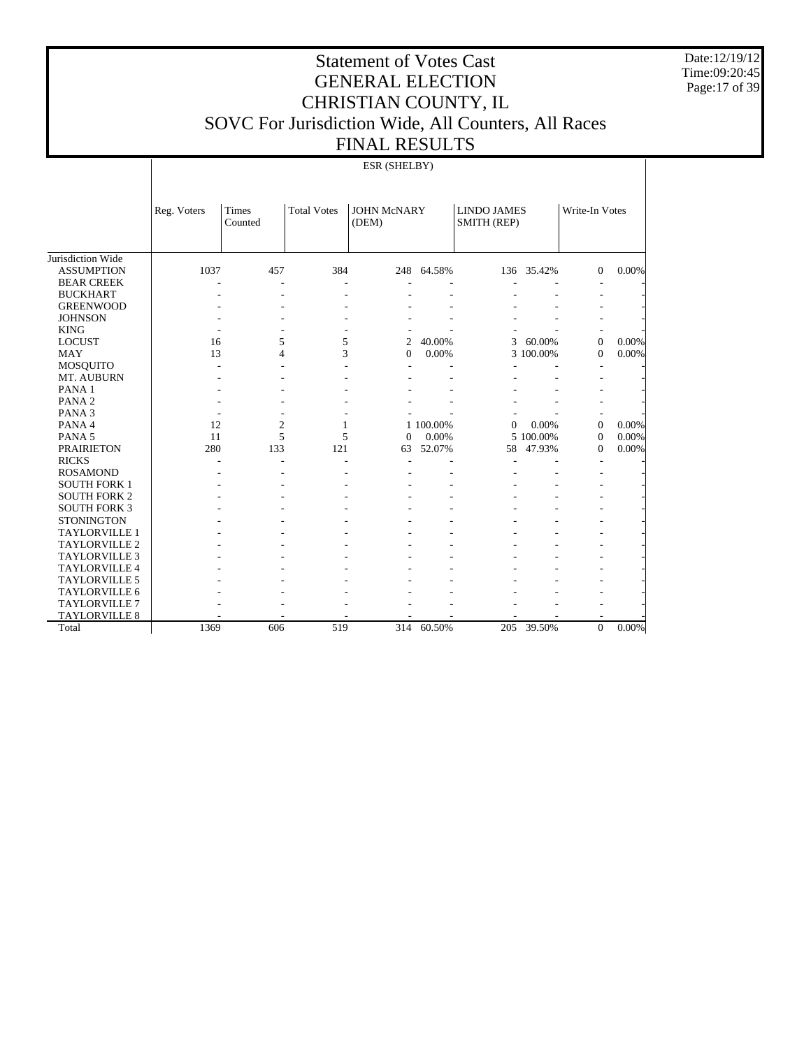Date:12/19/12 Time:09:20:45 Page:17 of 39

## Statement of Votes Cast GENERAL ELECTION CHRISTIAN COUNTY, IL SOVC For Jurisdiction Wide, All Counters, All Races FINAL RESULTS

ESR (SHELBY)

|                      | Reg. Voters | Times<br>Counted | <b>Total Votes</b> | <b>JOHN McNARY</b><br>(DEM) |           | <b>LINDO JAMES</b><br>SMITH (REP) |            | Write-In Votes |          |
|----------------------|-------------|------------------|--------------------|-----------------------------|-----------|-----------------------------------|------------|----------------|----------|
| Jurisdiction Wide    |             |                  |                    |                             |           |                                   |            |                |          |
| <b>ASSUMPTION</b>    | 1037        | 457              | 384                | 248                         | 64.58%    |                                   | 136 35.42% | $\Omega$       | 0.00%    |
| <b>BEAR CREEK</b>    |             | ٠                |                    |                             |           |                                   |            |                |          |
| <b>BUCKHART</b>      |             |                  |                    |                             |           |                                   |            |                |          |
| <b>GREENWOOD</b>     |             |                  |                    |                             |           |                                   |            |                |          |
| <b>JOHNSON</b>       |             |                  |                    |                             |           |                                   |            |                |          |
| <b>KING</b>          |             |                  |                    |                             |           |                                   |            |                |          |
| <b>LOCUST</b>        | 16          | 5                | 5                  | 2                           | 40.00%    | 3                                 | 60.00%     | $\Omega$       | 0.00%    |
| <b>MAY</b>           | 13          | 4                | 3                  | $\Omega$                    | 0.00%     |                                   | 3 100.00%  | $\Omega$       | 0.00%    |
| <b>MOSQUITO</b>      |             |                  |                    |                             |           |                                   |            |                |          |
| <b>MT. AUBURN</b>    |             |                  |                    |                             |           |                                   |            |                |          |
| PANA <sub>1</sub>    |             |                  |                    |                             |           |                                   |            |                |          |
| PANA <sub>2</sub>    |             |                  |                    |                             |           |                                   |            |                |          |
| PANA <sub>3</sub>    |             |                  |                    |                             |           |                                   |            |                |          |
| PANA 4               | 12          | $\overline{c}$   | 1                  |                             | 1 100,00% | $\Omega$                          | 0.00%      | $\Omega$       | 0.00%    |
| PANA <sub>5</sub>    | 11          | 5                | 5                  | $\Omega$                    | 0.00%     |                                   | 5 100.00%  | $\theta$       | 0.00%    |
| <b>PRAIRIETON</b>    | 280         | 133              | 121                | 63                          | 52.07%    | 58                                | 47.93%     | $\Omega$       | 0.00%    |
| <b>RICKS</b>         |             |                  |                    |                             |           |                                   |            |                |          |
| <b>ROSAMOND</b>      |             |                  |                    |                             |           |                                   |            |                |          |
| <b>SOUTH FORK 1</b>  |             |                  |                    |                             |           |                                   |            |                |          |
| <b>SOUTH FORK 2</b>  |             |                  |                    |                             |           |                                   |            |                |          |
| <b>SOUTH FORK 3</b>  |             |                  |                    |                             |           |                                   |            |                |          |
| <b>STONINGTON</b>    |             |                  |                    |                             |           |                                   |            |                |          |
| <b>TAYLORVILLE 1</b> |             |                  |                    |                             |           |                                   |            |                |          |
| TAYLORVILLE 2        |             |                  |                    |                             |           |                                   |            |                |          |
| <b>TAYLORVILLE 3</b> |             |                  |                    |                             |           |                                   |            |                |          |
| <b>TAYLORVILLE 4</b> |             |                  |                    |                             |           |                                   |            |                |          |
| <b>TAYLORVILLE 5</b> |             |                  |                    |                             |           |                                   |            |                |          |
| <b>TAYLORVILLE 6</b> |             |                  |                    |                             |           |                                   |            |                |          |
| <b>TAYLORVILLE 7</b> |             |                  |                    |                             |           |                                   |            |                |          |
| <b>TAYLORVILLE 8</b> |             |                  |                    |                             |           |                                   |            |                |          |
| Total                | 1369        | 606              | 519                | 314                         | 60.50%    |                                   | 205 39.50% | $\Omega$       | $0.00\%$ |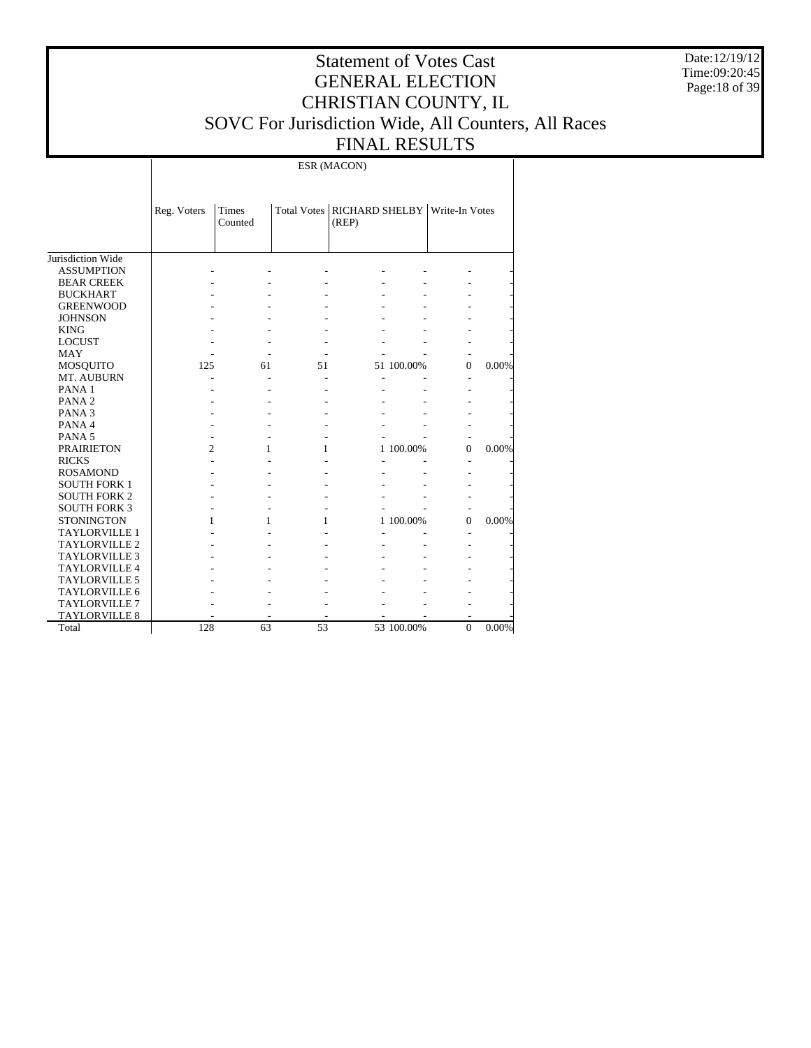Date:12/19/12 Time:09:20:45 Page:18 of 39

## Statement of Votes Cast GENERAL ELECTION CHRISTIAN COUNTY, IL SOVC For Jurisdiction Wide, All Counters, All Races FINAL RESULTS

ESR (MACON)

|                      | Reg. Voters    | <b>Times</b><br>Counted |    | Total Votes   RICHARD SHELBY   Write-In Votes<br>(REP) |            |          |       |
|----------------------|----------------|-------------------------|----|--------------------------------------------------------|------------|----------|-------|
| Jurisdiction Wide    |                |                         |    |                                                        |            |          |       |
| <b>ASSUMPTION</b>    |                |                         |    |                                                        |            |          |       |
| <b>BEAR CREEK</b>    |                |                         |    |                                                        |            |          |       |
| <b>BUCKHART</b>      |                |                         |    |                                                        |            |          |       |
| <b>GREENWOOD</b>     |                |                         |    |                                                        |            |          |       |
| <b>JOHNSON</b>       |                |                         |    |                                                        |            |          |       |
| <b>KING</b>          |                |                         |    |                                                        |            |          |       |
| <b>LOCUST</b>        |                |                         |    |                                                        |            |          |       |
| MAY                  |                |                         |    |                                                        |            |          |       |
| MOSQUITO             | 125            | 61                      | 51 |                                                        | 51 100.00% | $\Omega$ | 0.00% |
| MT. AUBURN           |                |                         |    |                                                        |            |          |       |
| PANA <sub>1</sub>    |                |                         |    |                                                        |            |          |       |
| PANA <sub>2</sub>    |                |                         |    |                                                        |            |          |       |
| PANA <sub>3</sub>    |                |                         |    |                                                        |            |          |       |
| PANA 4               |                |                         |    |                                                        |            |          |       |
| PANA <sub>5</sub>    |                |                         |    |                                                        |            |          |       |
| <b>PRAIRIETON</b>    | $\overline{c}$ | 1                       | 1  |                                                        | 1 100.00%  | $\Omega$ | 0.00% |
| <b>RICKS</b>         |                |                         |    |                                                        |            |          |       |
| <b>ROSAMOND</b>      |                |                         |    |                                                        |            |          |       |
| <b>SOUTH FORK 1</b>  |                |                         |    |                                                        |            |          |       |
| <b>SOUTH FORK 2</b>  |                |                         |    |                                                        |            |          |       |
| <b>SOUTH FORK 3</b>  |                |                         |    |                                                        |            |          |       |
| <b>STONINGTON</b>    |                | 1                       | 1  |                                                        | 1 100.00%  | $\Omega$ | 0.00% |
| <b>TAYLORVILLE 1</b> |                |                         |    |                                                        |            |          |       |
| <b>TAYLORVILLE 2</b> |                |                         |    |                                                        |            |          |       |
| <b>TAYLORVILLE 3</b> |                |                         |    |                                                        |            |          |       |
| <b>TAYLORVILLE 4</b> |                |                         |    |                                                        |            |          |       |
| <b>TAYLORVILLE 5</b> |                |                         |    |                                                        |            |          |       |
| <b>TAYLORVILLE 6</b> |                |                         |    |                                                        |            |          |       |
| <b>TAYLORVILLE 7</b> |                |                         |    |                                                        |            |          |       |
| <b>TAYLORVILLE 8</b> |                |                         |    |                                                        |            |          |       |
| Total                | 128            | 63                      | 53 |                                                        | 53 100.00% | $\Omega$ | 0.00% |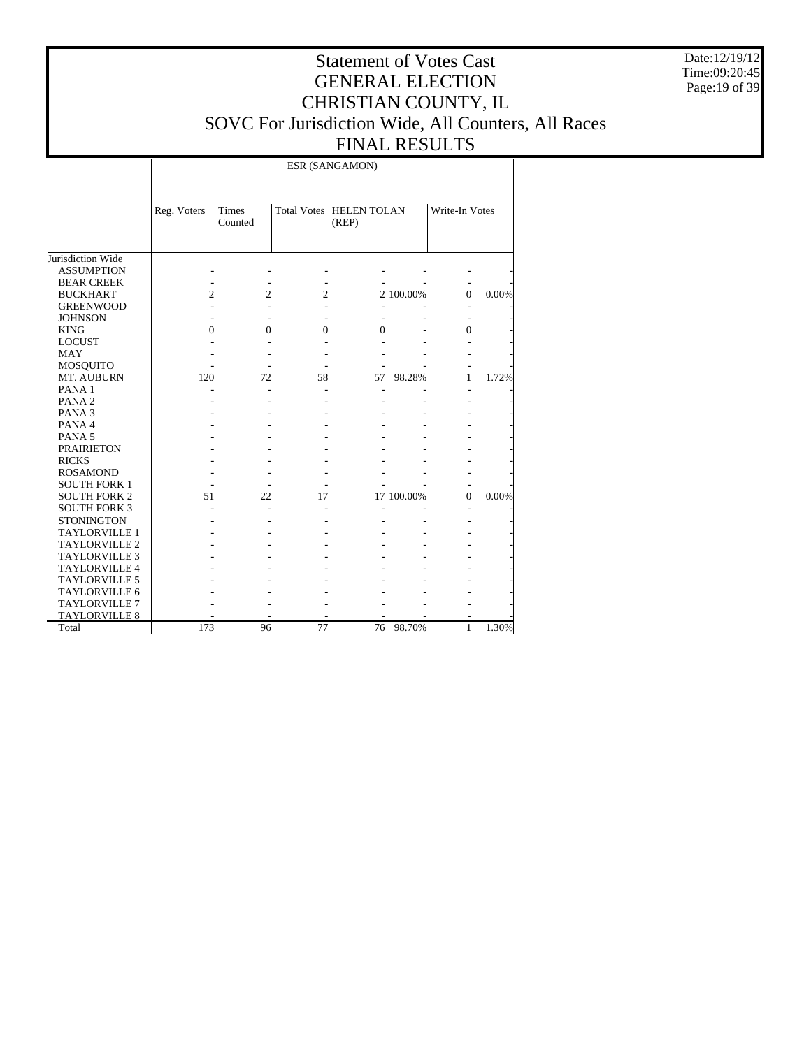Date:12/19/12 Time:09:20:45 Page:19 of 39

## Statement of Votes Cast GENERAL ELECTION CHRISTIAN COUNTY, IL SOVC For Jurisdiction Wide, All Counters, All Races FINAL RESULTS

ESR (SANGAMON)

|                      | Reg. Voters | Times<br>Counted |                | Total Votes   HELEN TOLAN<br>(REP) |            | Write-In Votes |       |
|----------------------|-------------|------------------|----------------|------------------------------------|------------|----------------|-------|
| Jurisdiction Wide    |             |                  |                |                                    |            |                |       |
| <b>ASSUMPTION</b>    |             |                  |                |                                    |            |                |       |
| <b>BEAR CREEK</b>    |             |                  |                |                                    |            |                |       |
| <b>BUCKHART</b>      | 2           | 2                | $\overline{c}$ |                                    | 2 100.00%  | $\Omega$       | 0.00% |
| <b>GREENWOOD</b>     |             |                  |                |                                    |            |                |       |
| <b>JOHNSON</b>       |             |                  |                |                                    |            |                |       |
| <b>KING</b>          | 0           | $\Omega$         | $\theta$       | 0                                  |            | 0              |       |
| <b>LOCUST</b>        |             |                  |                |                                    |            |                |       |
| <b>MAY</b>           |             |                  |                |                                    |            |                |       |
| <b>MOSQUITO</b>      |             |                  |                |                                    |            |                |       |
| MT. AUBURN           | 120         | 72               | 58             | 57                                 | 98.28%     | 1              | 1.72% |
| PANA <sub>1</sub>    |             |                  |                |                                    |            |                |       |
| PANA <sub>2</sub>    |             |                  |                |                                    |            |                |       |
| PANA <sub>3</sub>    |             |                  |                |                                    |            |                |       |
| PANA 4               |             |                  |                |                                    |            |                |       |
| PANA <sub>5</sub>    |             |                  |                |                                    |            |                |       |
| <b>PRAIRIETON</b>    |             |                  |                |                                    |            |                |       |
| <b>RICKS</b>         |             |                  |                |                                    |            |                |       |
| <b>ROSAMOND</b>      |             |                  |                |                                    |            |                |       |
| <b>SOUTH FORK 1</b>  |             |                  |                |                                    |            |                |       |
| <b>SOUTH FORK 2</b>  | 51          | 22               | 17             |                                    | 17 100.00% | $\Omega$       | 0.00% |
| <b>SOUTH FORK 3</b>  |             |                  |                |                                    |            |                |       |
| <b>STONINGTON</b>    |             |                  |                |                                    |            |                |       |
| <b>TAYLORVILLE 1</b> |             |                  |                |                                    |            |                |       |
| <b>TAYLORVILLE 2</b> |             |                  |                |                                    |            |                |       |
| <b>TAYLORVILLE 3</b> |             |                  |                |                                    |            |                |       |
| <b>TAYLORVILLE 4</b> |             |                  |                |                                    |            |                |       |
| <b>TAYLORVILLE 5</b> |             |                  |                |                                    |            |                |       |
| <b>TAYLORVILLE 6</b> |             |                  |                |                                    |            |                |       |
| <b>TAYLORVILLE 7</b> |             |                  |                |                                    |            |                |       |
| <b>TAYLORVILLE 8</b> |             |                  |                |                                    |            |                |       |
| Total                | 173         | 96               | 77             | 76                                 | 98.70%     | 1              | 1.30% |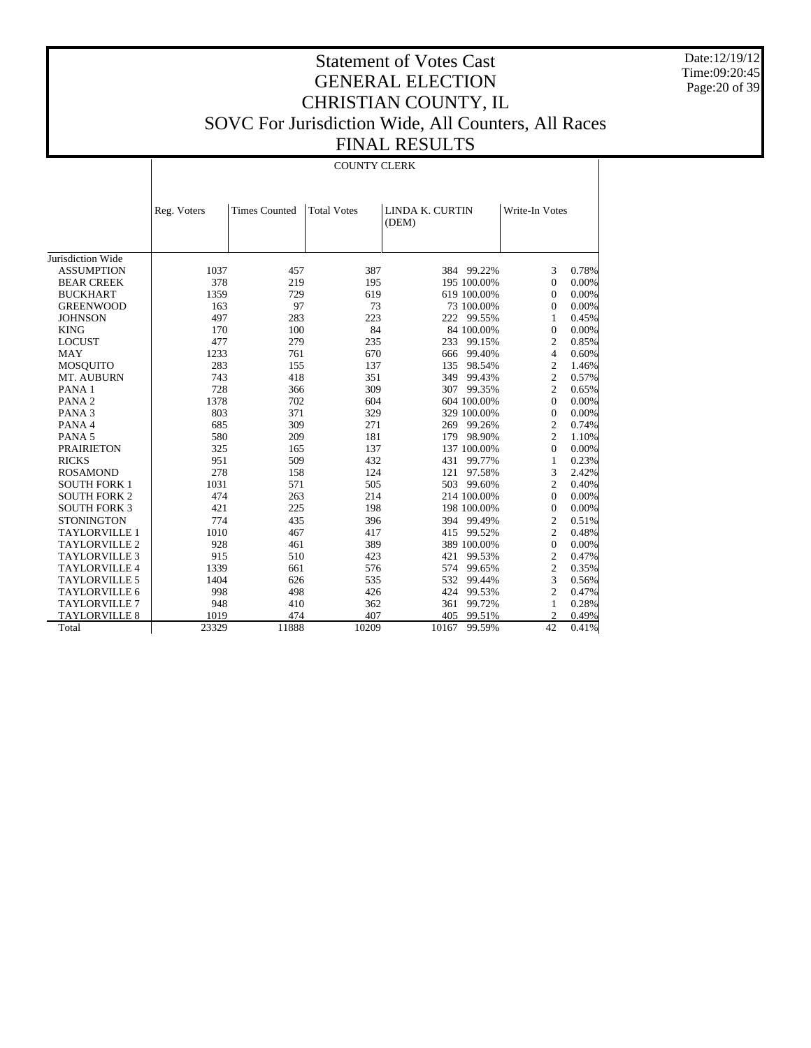Date:12/19/12 Time:09:20:45 Page:20 of 39

## Statement of Votes Cast GENERAL ELECTION CHRISTIAN COUNTY, IL SOVC For Jurisdiction Wide, All Counters, All Races FINAL RESULTS

COUNTY CLERK

|                      | Reg. Voters | <b>Times Counted</b> | <b>Total Votes</b> | LINDA K. CURTIN<br>(DEM) | Write-In Votes           |          |
|----------------------|-------------|----------------------|--------------------|--------------------------|--------------------------|----------|
|                      |             |                      |                    |                          |                          |          |
|                      |             |                      |                    |                          |                          |          |
| Jurisdiction Wide    |             |                      |                    |                          |                          |          |
| <b>ASSUMPTION</b>    | 1037        | 457                  | 387                | 384 99.22%               | 3                        | 0.78%    |
| <b>BEAR CREEK</b>    | 378         | 219                  | 195                | 195 100.00%              | $\Omega$                 | $0.00\%$ |
| <b>BUCKHART</b>      | 1359        | 729                  | 619                | 619 100.00%              | $\Omega$                 | 0.00%    |
| <b>GREENWOOD</b>     | 163         | 97                   | 73                 | 73 100.00%               | $\mathbf{0}$             | 0.00%    |
| <b>JOHNSON</b>       | 497         | 283                  | 223                | 222                      | 99.55%<br>1              | 0.45%    |
| <b>KING</b>          | 170         | 100                  | 84                 | 84 100.00%               | $\theta$                 | 0.00%    |
| <b>LOCUST</b>        | 477         | 279                  | 235                | 233                      | 99.15%<br>2              | 0.85%    |
| <b>MAY</b>           | 1233        | 761                  | 670                | 666                      | 99.40%<br>4              | 0.60%    |
| <b>MOSQUITO</b>      | 283         | 155                  | 137                | 135                      | 98.54%<br>2              | 1.46%    |
| <b>MT. AUBURN</b>    | 743         | 418                  | 351                | 349                      | $\overline{c}$<br>99.43% | 0.57%    |
| PANA <sub>1</sub>    | 728         | 366                  | 309                | 307                      | $\overline{c}$<br>99.35% | 0.65%    |
| PANA <sub>2</sub>    | 1378        | 702                  | 604                | 604 100.00%              | $\mathbf{0}$             | $0.00\%$ |
| PANA <sub>3</sub>    | 803         | 371                  | 329                | 329 100.00%              | $\theta$                 | 0.00%    |
| PANA 4               | 685         | 309                  | 271                | 269                      | $\overline{c}$<br>99.26% | 0.74%    |
| PANA <sub>5</sub>    | 580         | 209                  | 181                | 179                      | $\overline{c}$<br>98.90% | 1.10%    |
| <b>PRAIRIETON</b>    | 325         | 165                  | 137                | 137 100.00%              | $\mathbf{0}$             | $0.00\%$ |
| <b>RICKS</b>         | 951         | 509                  | 432                | 431                      | 99.77%<br>1              | 0.23%    |
| <b>ROSAMOND</b>      | 278         | 158                  | 124                | 121                      | 3<br>97.58%              | 2.42%    |
| <b>SOUTH FORK 1</b>  | 1031        | 571                  | 505                | 503                      | $\overline{c}$<br>99.60% | 0.40%    |
| <b>SOUTH FORK 2</b>  | 474         | 263                  | 214                | 214 100.00%              | $\mathbf{0}$             | $0.00\%$ |
| <b>SOUTH FORK 3</b>  | 421         | 225                  | 198                | 198 100.00%              | $\overline{0}$           | 0.00%    |
| <b>STONINGTON</b>    | 774         | 435                  | 396                | 394                      | $\overline{c}$<br>99.49% | 0.51%    |
| <b>TAYLORVILLE 1</b> | 1010        | 467                  | 417                | 415                      | $\overline{c}$<br>99.52% | 0.48%    |
| <b>TAYLORVILLE 2</b> | 928         | 461                  | 389                | 389 100.00%              | $\mathbf{0}$             | 0.00%    |
| <b>TAYLORVILLE 3</b> | 915         | 510                  | 423                | 421                      | $\overline{c}$<br>99.53% | 0.47%    |
| <b>TAYLORVILLE 4</b> | 1339        | 661                  | 576                | 574                      | $\mathfrak{2}$<br>99.65% | 0.35%    |
| <b>TAYLORVILLE 5</b> | 1404        | 626                  | 535                | 532                      | 3<br>99.44%              | 0.56%    |
| <b>TAYLORVILLE 6</b> | 998         | 498                  | 426                | 424                      | $\overline{c}$<br>99.53% | 0.47%    |
| <b>TAYLORVILLE 7</b> | 948         | 410                  | 362                | 361                      | 99.72%<br>1              | 0.28%    |
| <b>TAYLORVILLE 8</b> | 1019        | 474                  | 407                | 405                      | $\overline{c}$<br>99.51% | 0.49%    |
| Total                | 23329       | 11888                | 10209              | 10167                    | 42<br>99.59%             | 0.41%    |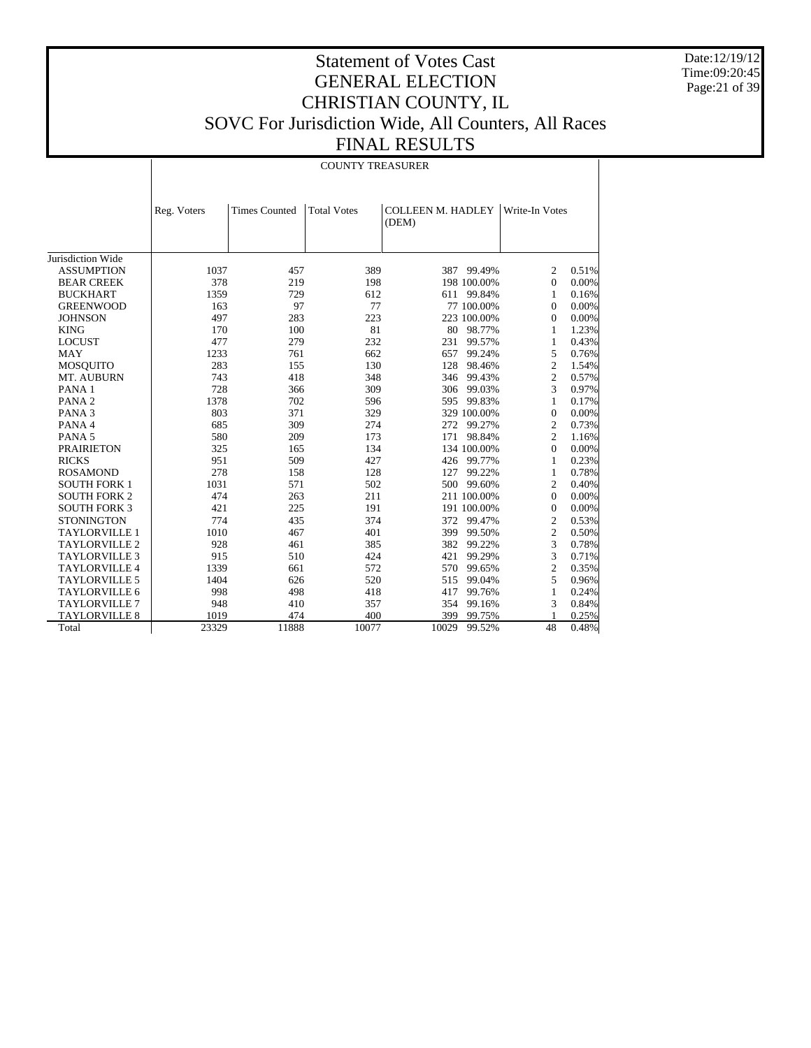Date:12/19/12 Time:09:20:45 Page:21 of 39

## Statement of Votes Cast GENERAL ELECTION CHRISTIAN COUNTY, IL SOVC For Jurisdiction Wide, All Counters, All Races FINAL RESULTS

#### COUNTY TREASURER

|                      | Reg. Voters | <b>Times Counted</b> | <b>Total Votes</b> | <b>COLLEEN M. HADLEY</b><br>(DEM) |             | Write-In Votes |          |
|----------------------|-------------|----------------------|--------------------|-----------------------------------|-------------|----------------|----------|
| Jurisdiction Wide    |             |                      |                    |                                   |             |                |          |
| <b>ASSUMPTION</b>    | 1037        | 457                  | 389                | 387                               | 99.49%      | $\mathfrak{2}$ | 0.51%    |
| <b>BEAR CREEK</b>    | 378         | 219                  | 198                |                                   | 198 100.00% | $\mathbf{0}$   | 0.00%    |
| <b>BUCKHART</b>      | 1359        | 729                  | 612                | 611                               | 99.84%      | 1              | 0.16%    |
| <b>GREENWOOD</b>     | 163         | 97                   | 77                 |                                   | 77 100.00%  | $\mathbf{0}$   | 0.00%    |
| <b>JOHNSON</b>       | 497         | 283                  | 223                |                                   | 223 100.00% | $\mathbf{0}$   | 0.00%    |
| <b>KING</b>          | 170         | 100                  | 81                 | 80                                | 98.77%      | 1              | 1.23%    |
| <b>LOCUST</b>        | 477         | 279                  | 232                | 231                               | 99.57%      | $\mathbf{1}$   | 0.43%    |
| MAY                  | 1233        | 761                  | 662                | 657                               | 99.24%      | 5              | 0.76%    |
| <b>MOSQUITO</b>      | 283         | 155                  | 130                | 128                               | 98.46%      | $\overline{c}$ | 1.54%    |
| MT. AUBURN           | 743         | 418                  | 348                | 346                               | 99.43%      | $\overline{c}$ | 0.57%    |
| PANA <sub>1</sub>    | 728         | 366                  | 309                | 306                               | 99.03%      | 3              | 0.97%    |
| PANA <sub>2</sub>    | 1378        | 702                  | 596                | 595                               | 99.83%      | 1              | 0.17%    |
| PANA <sub>3</sub>    | 803         | 371                  | 329                |                                   | 329 100.00% | $\mathbf{0}$   | 0.00%    |
| PANA 4               | 685         | 309                  | 274                | 272                               | 99.27%      | $\overline{c}$ | 0.73%    |
| PANA <sub>5</sub>    | 580         | 209                  | 173                | 171                               | 98.84%      | $\overline{c}$ | 1.16%    |
| <b>PRAIRIETON</b>    | 325         | 165                  | 134                |                                   | 134 100.00% | $\Omega$       | 0.00%    |
| <b>RICKS</b>         | 951         | 509                  | 427                | 426                               | 99.77%      | 1              | 0.23%    |
| <b>ROSAMOND</b>      | 278         | 158                  | 128                | 127                               | 99.22%      | 1              | 0.78%    |
| <b>SOUTH FORK 1</b>  | 1031        | 571                  | 502                | 500                               | 99.60%      | $\overline{c}$ | 0.40%    |
| <b>SOUTH FORK 2</b>  | 474         | 263                  | 211                |                                   | 211 100.00% | $\Omega$       | $0.00\%$ |
| <b>SOUTH FORK 3</b>  | 421         | 225                  | 191                |                                   | 191 100.00% | $\mathbf{0}$   | $0.00\%$ |
| <b>STONINGTON</b>    | 774         | 435                  | 374                | 372                               | 99.47%      | $\overline{c}$ | 0.53%    |
| <b>TAYLORVILLE 1</b> | 1010        | 467                  | 401                | 399                               | 99.50%      | $\overline{c}$ | 0.50%    |
| <b>TAYLORVILLE 2</b> | 928         | 461                  | 385                | 382                               | 99.22%      | 3              | 0.78%    |
| <b>TAYLORVILLE 3</b> | 915         | 510                  | 424                | 421                               | 99.29%      | 3              | 0.71%    |
| <b>TAYLORVILLE 4</b> | 1339        | 661                  | 572                | 570                               | 99.65%      | $\overline{c}$ | 0.35%    |
| <b>TAYLORVILLE 5</b> | 1404        | 626                  | 520                | 515                               | 99.04%      | 5              | 0.96%    |
| <b>TAYLORVILLE 6</b> | 998         | 498                  | 418                | 417                               | 99.76%      | 1              | 0.24%    |
| <b>TAYLORVILLE 7</b> | 948         | 410                  | 357                | 354                               | 99.16%      | 3              | 0.84%    |
| <b>TAYLORVILLE 8</b> | 1019        | 474                  | 400                | 399                               | 99.75%      |                | 0.25%    |
| Total                | 23329       | 11888                | 10077              | 10029                             | 99.52%      | 48             | 0.48%    |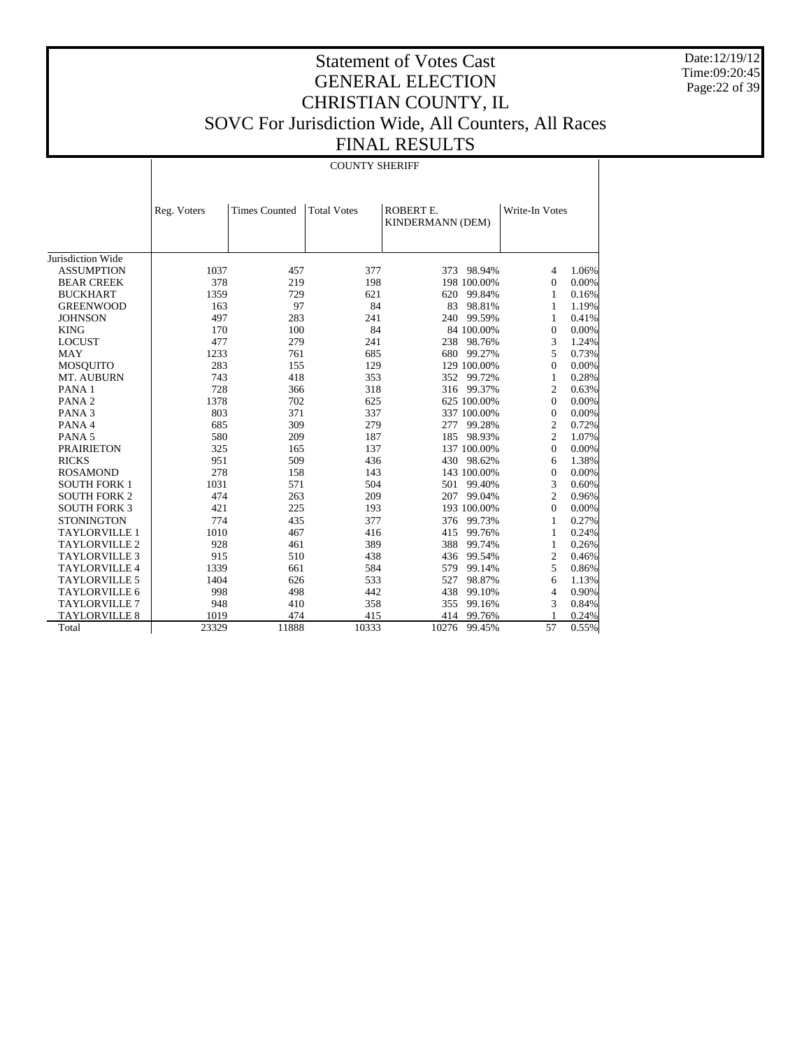Date:12/19/12 Time:09:20:45 Page:22 of 39

## Statement of Votes Cast GENERAL ELECTION CHRISTIAN COUNTY, IL SOVC For Jurisdiction Wide, All Counters, All Races FINAL RESULTS

COUNTY SHERIFF

|                      | ROBERT E.<br>Reg. Voters<br><b>Times Counted</b><br><b>Total Votes</b><br>KINDERMANN (DEM) |       | Write-In Votes |             |            |                |       |
|----------------------|--------------------------------------------------------------------------------------------|-------|----------------|-------------|------------|----------------|-------|
|                      |                                                                                            |       |                |             |            |                |       |
| Jurisdiction Wide    |                                                                                            |       |                |             |            |                |       |
| <b>ASSUMPTION</b>    | 1037                                                                                       | 457   | 377            | 373 98.94%  |            | $\overline{4}$ | 1.06% |
| <b>BEAR CREEK</b>    | 378                                                                                        | 219   | 198            | 198 100.00% |            | $\overline{0}$ | 0.00% |
| <b>BUCKHART</b>      | 1359                                                                                       | 729   | 621            | 620         | 99.84%     | 1              | 0.16% |
| <b>GREENWOOD</b>     | 163                                                                                        | 97    | 84             | 83          | 98.81%     | 1              | 1.19% |
| <b>JOHNSON</b>       | 497                                                                                        | 283   | 241            | 240 99.59%  |            | 1              | 0.41% |
| <b>KING</b>          | 170                                                                                        | 100   | 84             |             | 84 100.00% | $\theta$       | 0.00% |
| <b>LOCUST</b>        | 477                                                                                        | 279   | 241            | 238         | 98.76%     | 3              | 1.24% |
| <b>MAY</b>           | 1233                                                                                       | 761   | 685            | 680         | 99.27%     | 5              | 0.73% |
| <b>MOSQUITO</b>      | 283                                                                                        | 155   | 129            | 129 100.00% |            | $\theta$       | 0.00% |
| MT. AUBURN           | 743                                                                                        | 418   | 353            | 352 99.72%  |            | 1              | 0.28% |
| PANA <sub>1</sub>    | 728                                                                                        | 366   | 318            | 316 99.37%  |            | 2              | 0.63% |
| PANA <sub>2</sub>    | 1378                                                                                       | 702   | 625            | 625 100.00% |            | $\overline{0}$ | 0.00% |
| PANA <sub>3</sub>    | 803                                                                                        | 371   | 337            | 337 100.00% |            | $\theta$       | 0.00% |
| PANA 4               | 685                                                                                        | 309   | 279            | 277         | 99.28%     | $\overline{c}$ | 0.72% |
| PANA <sub>5</sub>    | 580                                                                                        | 209   | 187            | 185 98.93%  |            | 2              | 1.07% |
| <b>PRAIRIETON</b>    | 325                                                                                        | 165   | 137            | 137 100.00% |            | $\Omega$       | 0.00% |
| <b>RICKS</b>         | 951                                                                                        | 509   | 436            | 430 98.62%  |            | 6              | 1.38% |
| <b>ROSAMOND</b>      | 278                                                                                        | 158   | 143            | 143 100.00% |            | $\overline{0}$ | 0.00% |
| <b>SOUTH FORK 1</b>  | 1031                                                                                       | 571   | 504            | 501         | 99.40%     | 3              | 0.60% |
| <b>SOUTH FORK 2</b>  | 474                                                                                        | 263   | 209            | 207 99.04%  |            | $\overline{c}$ | 0.96% |
| <b>SOUTH FORK 3</b>  | 421                                                                                        | 225   | 193            | 193 100.00% |            | $\Omega$       | 0.00% |
| <b>STONINGTON</b>    | 774                                                                                        | 435   | 377            | 376         | 99.73%     | 1              | 0.27% |
| <b>TAYLORVILLE 1</b> | 1010                                                                                       | 467   | 416            | 415         | 99.76%     | $\mathbf{1}$   | 0.24% |
| <b>TAYLORVILLE 2</b> | 928                                                                                        | 461   | 389            | 388         | 99.74%     | 1              | 0.26% |
| <b>TAYLORVILLE 3</b> | 915                                                                                        | 510   | 438            | 436         | 99.54%     | 2              | 0.46% |
| <b>TAYLORVILLE 4</b> | 1339                                                                                       | 661   | 584            | 579         | 99.14%     | 5              | 0.86% |
| <b>TAYLORVILLE 5</b> | 1404                                                                                       | 626   | 533            | 527         | 98.87%     | 6              | 1.13% |
| TAYLORVILLE 6        | 998                                                                                        | 498   | 442            | 438         | 99.10%     | $\overline{4}$ | 0.90% |
| <b>TAYLORVILLE 7</b> | 948                                                                                        | 410   | 358            | 355         | 99.16%     | 3              | 0.84% |
| <b>TAYLORVILLE 8</b> | 1019                                                                                       | 474   | 415            | 414 99.76%  |            | 1              | 0.24% |
| Total                | 23329                                                                                      | 11888 | 10333          | 10276       | 99.45%     | 57             | 0.55% |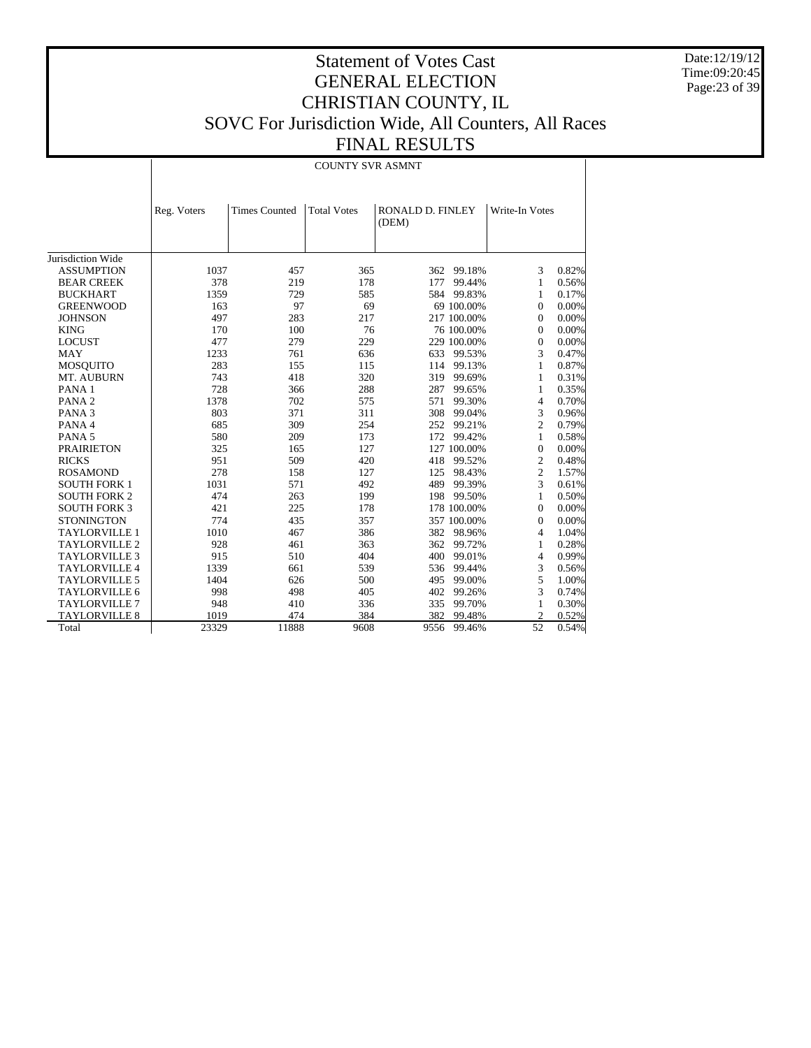Date:12/19/12 Time:09:20:45 Page:23 of 39

## Statement of Votes Cast GENERAL ELECTION CHRISTIAN COUNTY, IL SOVC For Jurisdiction Wide, All Counters, All Races FINAL RESULTS

#### COUNTY SVR ASMNT

|                      | Reg. Voters | <b>Times Counted</b> | <b>Total Votes</b> | RONALD D. FINLEY<br>(DEM) |             | Write-In Votes |       |
|----------------------|-------------|----------------------|--------------------|---------------------------|-------------|----------------|-------|
|                      |             |                      |                    |                           |             |                |       |
| Jurisdiction Wide    |             |                      |                    |                           |             |                |       |
| <b>ASSUMPTION</b>    | 1037        | 457                  | 365                | 362                       | 99.18%      | 3              | 0.82% |
| <b>BEAR CREEK</b>    | 378         | 219                  | 178                | 177                       | 99.44%      | 1              | 0.56% |
| <b>BUCKHART</b>      | 1359        | 729                  | 585                | 584                       | 99.83%      | 1              | 0.17% |
| <b>GREENWOOD</b>     | 163         | 97                   | 69                 |                           | 69 100.00%  | $\Omega$       | 0.00% |
| <b>JOHNSON</b>       | 497         | 283                  | 217                |                           | 217 100.00% | $\Omega$       | 0.00% |
| <b>KING</b>          | 170         | 100                  | 76                 |                           | 76 100.00%  | $\Omega$       | 0.00% |
| <b>LOCUST</b>        | 477         | 279                  | 229                |                           | 229 100.00% | 0              | 0.00% |
| <b>MAY</b>           | 1233        | 761                  | 636                | 633                       | 99.53%      | 3              | 0.47% |
| <b>MOSQUITO</b>      | 283         | 155                  | 115                | 114                       | 99.13%      | 1              | 0.87% |
| MT. AUBURN           | 743         | 418                  | 320                | 319                       | 99.69%      | 1              | 0.31% |
| PANA <sub>1</sub>    | 728         | 366                  | 288                | 287                       | 99.65%      | 1              | 0.35% |
| PANA <sub>2</sub>    | 1378        | 702                  | 575                | 571                       | 99.30%      | 4              | 0.70% |
| PANA <sub>3</sub>    | 803         | 371                  | 311                | 308                       | 99.04%      | 3              | 0.96% |
| PANA 4               | 685         | 309                  | 254                | 252                       | 99.21%      | $\overline{c}$ | 0.79% |
| PANA <sub>5</sub>    | 580         | 209                  | 173                | 172                       | 99.42%      | 1              | 0.58% |
| <b>PRAIRIETON</b>    | 325         | 165                  | 127                |                           | 127 100.00% | $\overline{0}$ | 0.00% |
| <b>RICKS</b>         | 951         | 509                  | 420                | 418                       | 99.52%      | 2              | 0.48% |
| <b>ROSAMOND</b>      | 278         | 158                  | 127                | 125                       | 98.43%      | $\overline{c}$ | 1.57% |
| <b>SOUTH FORK 1</b>  | 1031        | 571                  | 492                | 489                       | 99.39%      | 3              | 0.61% |
| <b>SOUTH FORK 2</b>  | 474         | 263                  | 199                | 198                       | 99.50%      | 1              | 0.50% |
| <b>SOUTH FORK 3</b>  | 421         | 225                  | 178                |                           | 178 100,00% | $\overline{0}$ | 0.00% |
| <b>STONINGTON</b>    | 774         | 435                  | 357                |                           | 357 100.00% | 0              | 0.00% |
| <b>TAYLORVILLE 1</b> | 1010        | 467                  | 386                | 382                       | 98.96%      | 4              | 1.04% |
| <b>TAYLORVILLE 2</b> | 928         | 461                  | 363                | 362                       | 99.72%      | 1              | 0.28% |
| <b>TAYLORVILLE 3</b> | 915         | 510                  | 404                | 400                       | 99.01%      | 4              | 0.99% |
| <b>TAYLORVILLE 4</b> | 1339        | 661                  | 539                | 536                       | 99.44%      | 3              | 0.56% |
| <b>TAYLORVILLE 5</b> | 1404        | 626                  | 500                | 495                       | 99.00%      | 5              | 1.00% |
| TAYLORVILLE 6        | 998         | 498                  | 405                | 402                       | 99.26%      | 3              | 0.74% |
| <b>TAYLORVILLE 7</b> | 948         | 410                  | 336                | 335                       | 99.70%      | 1              | 0.30% |
| TAYLORVILLE 8        | 1019        | 474                  | 384                | 382                       | 99.48%      | 2              | 0.52% |
| Total                | 23329       | 11888                | 9608               | 9556                      | 99.46%      | 52             | 0.54% |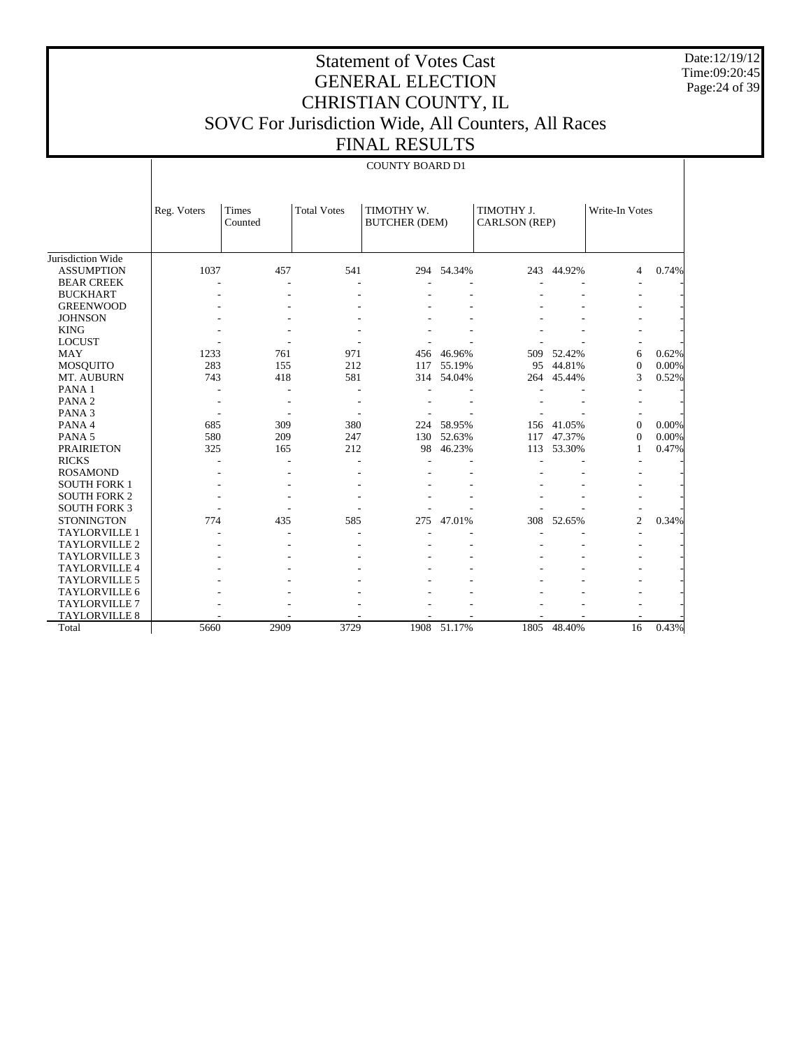Date:12/19/12 Time:09:20:45 Page:24 of 39

## Statement of Votes Cast GENERAL ELECTION CHRISTIAN COUNTY, IL SOVC For Jurisdiction Wide, All Counters, All Races FINAL RESULTS

| <b>COUNTY BOARD D1</b> |
|------------------------|
|------------------------|

|                      | Reg. Voters | Times<br>Counted | <b>Total Votes</b> | TIMOTHY W.<br><b>BUTCHER (DEM)</b> |            | TIMOTHY J.<br>CARLSON (REP) |        | Write-In Votes |       |
|----------------------|-------------|------------------|--------------------|------------------------------------|------------|-----------------------------|--------|----------------|-------|
| Jurisdiction Wide    |             |                  |                    |                                    |            |                             |        |                |       |
| <b>ASSUMPTION</b>    | 1037        | 457              | 541                |                                    | 294 54.34% | 243                         | 44.92% | 4              | 0.74% |
| <b>BEAR CREEK</b>    |             |                  |                    |                                    |            |                             |        |                |       |
| <b>BUCKHART</b>      |             |                  |                    |                                    |            |                             |        |                |       |
| <b>GREENWOOD</b>     |             |                  |                    |                                    |            |                             |        |                |       |
| <b>JOHNSON</b>       |             |                  |                    |                                    |            |                             |        |                |       |
| <b>KING</b>          |             |                  |                    |                                    |            |                             |        |                |       |
| <b>LOCUST</b>        |             |                  |                    |                                    |            |                             |        |                |       |
| <b>MAY</b>           | 1233        | 761              | 971                | 456                                | 46.96%     | 509                         | 52.42% | 6              | 0.62% |
| <b>MOSQUITO</b>      | 283         | 155              | 212                | 117                                | 55.19%     | 95                          | 44.81% | $\Omega$       | 0.00% |
| <b>MT. AUBURN</b>    | 743         | 418              | 581                | 314                                | 54.04%     | 264                         | 45.44% | 3              | 0.52% |
| PANA <sub>1</sub>    |             |                  |                    |                                    |            |                             |        |                |       |
| PANA <sub>2</sub>    |             |                  |                    |                                    |            |                             |        |                |       |
| PANA <sub>3</sub>    |             |                  |                    |                                    |            |                             |        |                |       |
| PANA 4               | 685         | 309              | 380                | 224                                | 58.95%     | 156                         | 41.05% | $\Omega$       | 0.00% |
| PANA <sub>5</sub>    | 580         | 209              | 247                | 130                                | 52.63%     | 117                         | 47.37% | $\Omega$       | 0.00% |
| <b>PRAIRIETON</b>    | 325         | 165              | 212                | 98                                 | 46.23%     | 113                         | 53.30% | 1              | 0.47% |
| <b>RICKS</b>         |             |                  |                    |                                    |            |                             |        |                |       |
| <b>ROSAMOND</b>      |             |                  |                    |                                    |            |                             |        |                |       |
| <b>SOUTH FORK 1</b>  |             |                  |                    |                                    |            |                             |        |                |       |
| <b>SOUTH FORK 2</b>  |             |                  |                    |                                    |            |                             |        |                |       |
| <b>SOUTH FORK 3</b>  |             |                  |                    |                                    |            |                             |        |                |       |
| <b>STONINGTON</b>    | 774         | 435              | 585                | 275                                | 47.01%     | 308                         | 52.65% | $\overline{c}$ | 0.34% |
| <b>TAYLORVILLE 1</b> |             |                  |                    |                                    |            |                             |        |                |       |
| <b>TAYLORVILLE 2</b> |             |                  |                    |                                    |            |                             |        |                |       |
| <b>TAYLORVILLE 3</b> |             |                  |                    |                                    |            |                             |        |                |       |
| <b>TAYLORVILLE 4</b> |             |                  |                    |                                    |            |                             |        |                |       |
| <b>TAYLORVILLE 5</b> |             |                  |                    |                                    |            |                             |        |                |       |
| <b>TAYLORVILLE 6</b> |             |                  |                    |                                    |            |                             |        |                |       |
| <b>TAYLORVILLE 7</b> |             |                  |                    |                                    |            |                             |        |                |       |
| <b>TAYLORVILLE 8</b> |             |                  |                    |                                    |            |                             |        |                |       |
| Total                | 5660        | 2909             | 3729               | 1908                               | 51.17%     | 1805                        | 48.40% | 16             | 0.43% |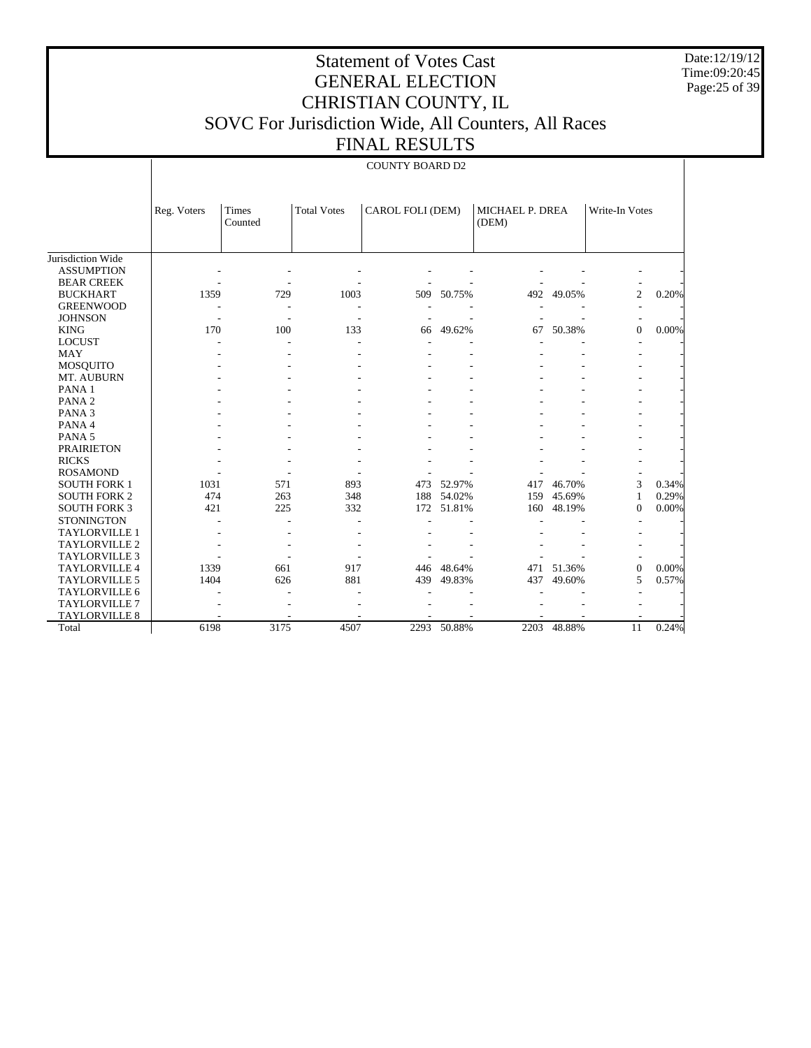Date:12/19/12 Time:09:20:45 Page:25 of 39

## Statement of Votes Cast GENERAL ELECTION CHRISTIAN COUNTY, IL SOVC For Jurisdiction Wide, All Counters, All Races FINAL RESULTS

COUNTY BOARD D2

|                      | Reg. Voters | Times<br>Counted | <b>Total Votes</b> | CAROL FOLI (DEM) |        | MICHAEL P. DREA<br>(DEM) |        | Write-In Votes |       |
|----------------------|-------------|------------------|--------------------|------------------|--------|--------------------------|--------|----------------|-------|
| Jurisdiction Wide    |             |                  |                    |                  |        |                          |        |                |       |
| <b>ASSUMPTION</b>    |             |                  |                    |                  |        |                          |        |                |       |
| <b>BEAR CREEK</b>    |             |                  |                    |                  |        |                          |        |                |       |
| <b>BUCKHART</b>      | 1359        | 729              | 1003               | 509              | 50.75% | 492                      | 49.05% | 2              | 0.20% |
| <b>GREENWOOD</b>     |             |                  |                    |                  |        |                          |        |                |       |
| <b>JOHNSON</b>       |             |                  |                    |                  |        |                          |        |                |       |
| <b>KING</b>          | 170         | 100              | 133                | 66               | 49.62% | 67                       | 50.38% | $\overline{0}$ | 0.00% |
| <b>LOCUST</b>        |             |                  |                    |                  |        |                          |        |                |       |
| MAY                  |             |                  |                    |                  |        |                          |        |                |       |
| MOSQUITO             |             |                  |                    |                  |        |                          |        |                |       |
| MT. AUBURN           |             |                  |                    |                  |        |                          |        |                |       |
| PANA <sub>1</sub>    |             |                  |                    |                  |        |                          |        |                |       |
| PANA <sub>2</sub>    |             |                  |                    |                  |        |                          |        |                |       |
| PANA <sub>3</sub>    |             |                  |                    |                  |        |                          |        |                |       |
| PANA 4               |             |                  |                    |                  |        |                          |        |                |       |
| PANA <sub>5</sub>    |             |                  |                    |                  |        |                          |        |                |       |
| <b>PRAIRIETON</b>    |             |                  |                    |                  |        |                          |        |                |       |
| <b>RICKS</b>         |             |                  |                    |                  |        |                          |        |                |       |
| <b>ROSAMOND</b>      |             |                  |                    |                  |        |                          |        |                |       |
| <b>SOUTH FORK 1</b>  | 1031        | 571              | 893                | 473              | 52.97% | 417                      | 46.70% | 3              | 0.34% |
| <b>SOUTH FORK 2</b>  | 474         | 263              | 348                | 188              | 54.02% | 159                      | 45.69% | 1              | 0.29% |
| <b>SOUTH FORK 3</b>  | 421         | 225              | 332                | 172              | 51.81% | 160                      | 48.19% | $\Omega$       | 0.00% |
| <b>STONINGTON</b>    |             |                  |                    |                  |        |                          |        |                |       |
| <b>TAYLORVILLE 1</b> |             |                  |                    |                  |        |                          |        |                |       |
| <b>TAYLORVILLE 2</b> |             |                  |                    |                  |        |                          |        |                |       |
| <b>TAYLORVILLE 3</b> |             |                  |                    |                  |        |                          |        |                |       |
| TAYLORVILLE 4        | 1339        | 661              | 917                | 446              | 48.64% | 471                      | 51.36% | 0              | 0.00% |
| TAYLORVILLE 5        | 1404        | 626              | 881                | 439              | 49.83% | 437                      | 49.60% | 5              | 0.57% |
| <b>TAYLORVILLE 6</b> |             |                  |                    |                  |        |                          |        |                |       |
| TAYLORVILLE 7        |             |                  |                    |                  |        |                          |        |                |       |
| <b>TAYLORVILLE 8</b> |             |                  |                    |                  |        |                          |        |                |       |
| Total                | 6198        | 3175             | 4507               | 2293             | 50.88% | 2203                     | 48.88% | 11             | 0.24% |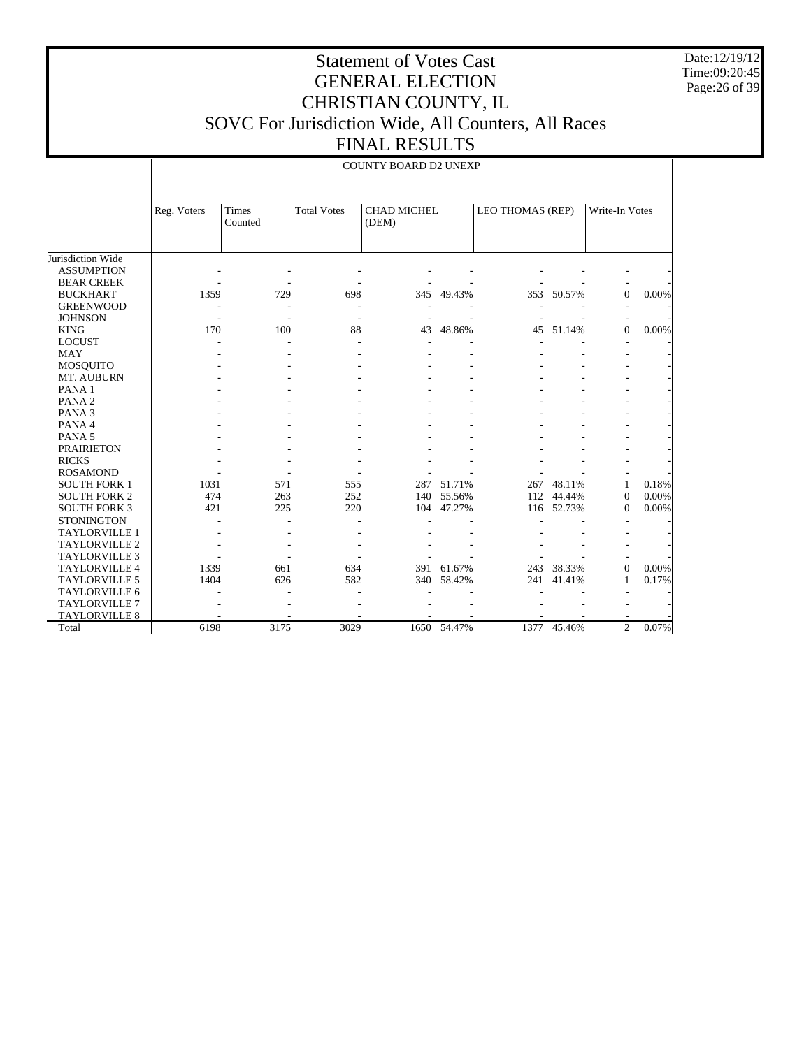Date:12/19/12 Time:09:20:45 Page:26 of 39

 $\overline{1}$ 

## Statement of Votes Cast GENERAL ELECTION CHRISTIAN COUNTY, IL SOVC For Jurisdiction Wide, All Counters, All Races FINAL RESULTS

|                      | Reg. Voters              | Times<br>Counted         | <b>Total Votes</b> | CHAD MICHEL<br>(DEM) |        | LEO THOMAS (REP) |            | Write-In Votes |       |
|----------------------|--------------------------|--------------------------|--------------------|----------------------|--------|------------------|------------|----------------|-------|
| Jurisdiction Wide    |                          |                          |                    |                      |        |                  |            |                |       |
| <b>ASSUMPTION</b>    |                          |                          |                    |                      |        |                  |            |                |       |
| <b>BEAR CREEK</b>    |                          |                          |                    |                      |        |                  |            |                |       |
| <b>BUCKHART</b>      | 1359                     | 729                      | 698                | 345                  | 49.43% | 353              | 50.57%     | $\overline{0}$ | 0.00% |
| <b>GREENWOOD</b>     |                          |                          |                    |                      |        |                  |            |                |       |
| <b>JOHNSON</b>       | $\overline{\phantom{a}}$ | $\overline{a}$           | ٠                  | ٠                    |        |                  |            |                |       |
| <b>KING</b>          | 170                      | 100                      | 88                 | 43                   | 48.86% | 45               | 51.14%     | $\overline{0}$ | 0.00% |
| <b>LOCUST</b>        |                          | $\overline{\phantom{a}}$ |                    |                      |        |                  |            |                |       |
| <b>MAY</b>           |                          |                          |                    |                      |        |                  |            |                |       |
| <b>MOSQUITO</b>      |                          |                          |                    |                      |        |                  |            |                |       |
| MT. AUBURN           |                          |                          |                    |                      |        |                  |            |                |       |
| PANA <sub>1</sub>    |                          |                          |                    |                      |        |                  |            |                |       |
| PANA <sub>2</sub>    |                          |                          |                    |                      |        |                  |            |                |       |
| PANA <sub>3</sub>    |                          |                          |                    |                      |        |                  |            |                |       |
| PANA 4               |                          |                          |                    |                      |        |                  |            |                |       |
| PANA <sub>5</sub>    |                          |                          |                    |                      |        |                  |            |                |       |
| <b>PRAIRIETON</b>    |                          |                          |                    |                      |        |                  |            |                |       |
| <b>RICKS</b>         |                          |                          |                    |                      |        |                  |            |                |       |
| <b>ROSAMOND</b>      |                          |                          |                    |                      |        |                  |            |                |       |
| <b>SOUTH FORK 1</b>  | 1031                     | 571                      | 555                | 287                  | 51.71% | 267              | 48.11%     | 1              | 0.18% |
| <b>SOUTH FORK 2</b>  | 474                      | 263                      | 252                | 140                  | 55.56% | 112              | 44.44%     | $\theta$       | 0.00% |
| <b>SOUTH FORK 3</b>  | 421                      | 225                      | 220                | 104                  | 47.27% |                  | 116 52.73% | $\Omega$       | 0.00% |
| <b>STONINGTON</b>    |                          |                          |                    |                      |        |                  |            |                |       |
| <b>TAYLORVILLE 1</b> |                          |                          |                    |                      |        |                  |            |                |       |
| TAYLORVILLE 2        |                          |                          |                    |                      |        |                  |            |                |       |
| <b>TAYLORVILLE 3</b> |                          |                          |                    |                      |        |                  |            |                |       |
| <b>TAYLORVILLE 4</b> | 1339                     | 661                      | 634                | 391                  | 61.67% | 243              | 38.33%     | $\mathbf{0}$   | 0.00% |
| <b>TAYLORVILLE 5</b> | 1404                     | 626                      | 582                | 340                  | 58.42% | 241              | 41.41%     | 1              | 0.17% |
| <b>TAYLORVILLE 6</b> |                          |                          |                    |                      |        |                  |            | ÷              |       |
| <b>TAYLORVILLE 7</b> |                          |                          |                    |                      |        |                  |            |                |       |
| <b>TAYLORVILLE 8</b> |                          |                          |                    |                      |        |                  |            |                |       |
| Total                | 6198                     | 3175                     | 3029               | 1650                 | 54.47% | 1377             | 45.46%     | $\overline{c}$ | 0.07% |

COUNTY BOARD D2 UNEXP

 $\overline{\phantom{a}}$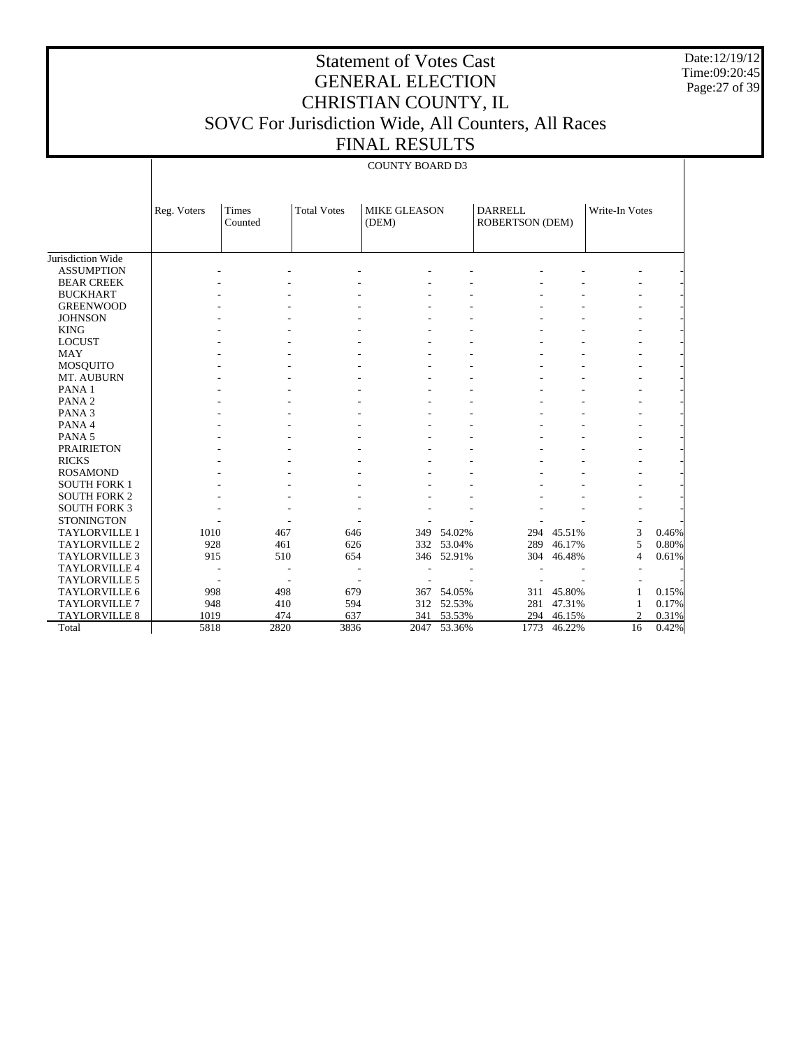Date:12/19/12 Time:09:20:45 Page:27 of 39

#### Statement of Votes Cast GENERAL ELECTION CHRISTIAN COUNTY, IL SOVC For Jurisdiction Wide, All Counters, All Races FINAL RESULTS

#### COUNTY BOARD D3

|                      | Reg. Voters | Times<br>Counted | <b>Total Votes</b> | <b>MIKE GLEASON</b><br>(DEM) |            | <b>DARRELL</b><br><b>ROBERTSON (DEM)</b> |            | Write-In Votes |       |
|----------------------|-------------|------------------|--------------------|------------------------------|------------|------------------------------------------|------------|----------------|-------|
|                      |             |                  |                    |                              |            |                                          |            |                |       |
|                      |             |                  |                    |                              |            |                                          |            |                |       |
| Jurisdiction Wide    |             |                  |                    |                              |            |                                          |            |                |       |
| <b>ASSUMPTION</b>    |             |                  |                    |                              |            |                                          |            |                |       |
| <b>BEAR CREEK</b>    |             |                  |                    |                              |            |                                          |            |                |       |
| <b>BUCKHART</b>      |             |                  |                    |                              |            |                                          |            |                |       |
| <b>GREENWOOD</b>     |             |                  |                    |                              |            |                                          |            |                |       |
| <b>JOHNSON</b>       |             |                  |                    |                              |            |                                          |            |                |       |
| <b>KING</b>          |             |                  |                    |                              |            |                                          |            |                |       |
| <b>LOCUST</b>        |             |                  |                    |                              |            |                                          |            |                |       |
| <b>MAY</b>           |             |                  |                    |                              |            |                                          |            |                |       |
| MOSQUITO             |             |                  |                    |                              |            |                                          |            |                |       |
| MT. AUBURN           |             |                  |                    |                              |            |                                          |            |                |       |
| PANA 1               |             |                  |                    |                              |            |                                          |            |                |       |
| PANA <sub>2</sub>    |             |                  |                    |                              |            |                                          |            |                |       |
| PANA <sub>3</sub>    |             |                  |                    |                              |            |                                          |            |                |       |
| PANA 4               |             |                  |                    |                              |            |                                          |            |                |       |
| PANA <sub>5</sub>    |             |                  |                    |                              |            |                                          |            |                |       |
| <b>PRAIRIETON</b>    |             |                  |                    |                              |            |                                          |            |                |       |
| <b>RICKS</b>         |             |                  |                    |                              |            |                                          |            |                |       |
| <b>ROSAMOND</b>      |             |                  |                    |                              |            |                                          |            |                |       |
| <b>SOUTH FORK 1</b>  |             |                  |                    |                              |            |                                          |            |                |       |
| <b>SOUTH FORK 2</b>  |             |                  |                    |                              |            |                                          |            |                |       |
| <b>SOUTH FORK 3</b>  |             |                  |                    |                              |            |                                          |            |                |       |
| <b>STONINGTON</b>    |             |                  |                    |                              |            |                                          |            |                |       |
| <b>TAYLORVILLE 1</b> | 1010        | 467              | 646                |                              | 349 54.02% |                                          | 294 45.51% | 3              | 0.46% |
| <b>TAYLORVILLE 2</b> | 928         | 461              | 626                |                              | 332 53.04% | 289                                      | 46.17%     | 5              | 0.80% |
| <b>TAYLORVILLE 3</b> | 915         | 510              | 654                |                              | 346 52.91% | 304                                      | 46.48%     | $\overline{4}$ | 0.61% |
| <b>TAYLORVILLE 4</b> |             |                  |                    |                              |            |                                          |            |                |       |
| <b>TAYLORVILLE 5</b> |             |                  |                    |                              |            |                                          |            |                |       |
| TAYLORVILLE 6        | 998         | 498              | 679                | 367                          | 54.05%     | 311                                      | 45.80%     |                | 0.15% |
| <b>TAYLORVILLE 7</b> | 948         | 410              | 594                |                              | 312 52.53% | 281                                      | 47.31%     | 1              | 0.17% |
| TAYLORVILLE 8        | 1019        | 474              | 637                | 341                          | 53.53%     | 294                                      | 46.15%     | 2              | 0.31% |
| Total                | 5818        | 2820             | 3836               | 2047                         | 53.36%     | 1773                                     | 46.22%     | 16             | 0.42% |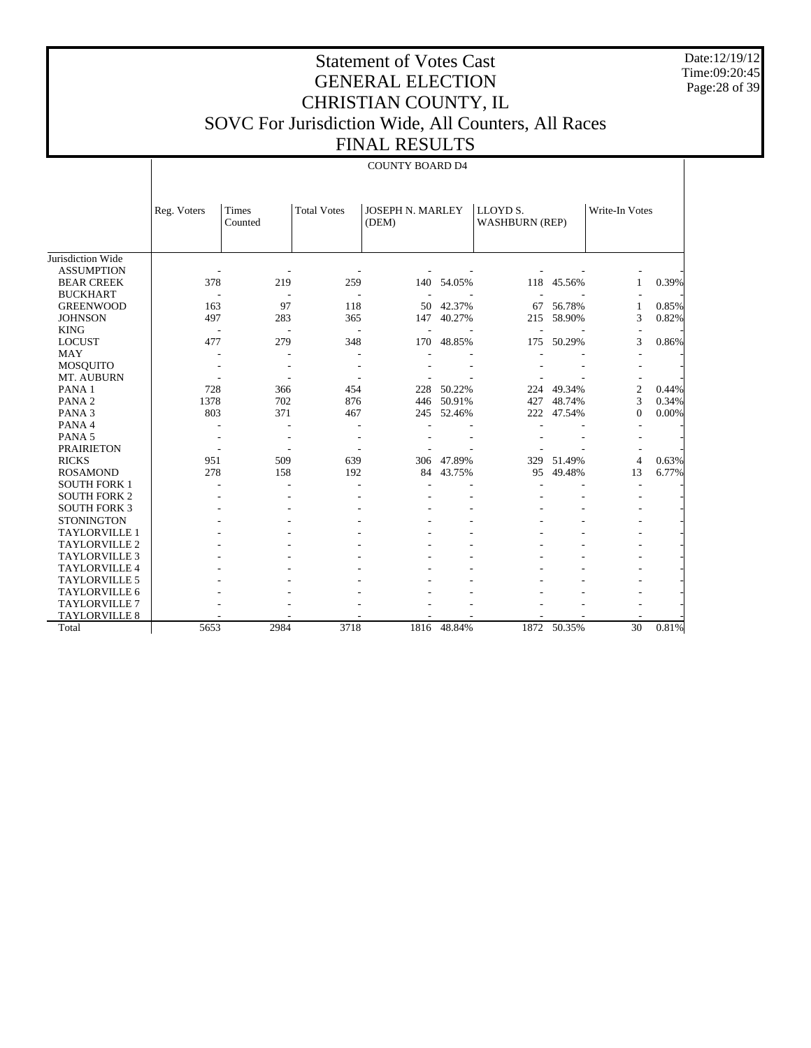Date:12/19/12 Time:09:20:45 Page:28 of 39

## Statement of Votes Cast GENERAL ELECTION CHRISTIAN COUNTY, IL SOVC For Jurisdiction Wide, All Counters, All Races FINAL RESULTS

|                      | Reg. Voters | Times<br>Counted | <b>Total Votes</b> | JOSEPH N. MARLEY<br>(DEM) |            | LLOYD <sub>S</sub> .<br><b>WASHBURN (REP)</b> |             | Write-In Votes |       |
|----------------------|-------------|------------------|--------------------|---------------------------|------------|-----------------------------------------------|-------------|----------------|-------|
| Jurisdiction Wide    |             |                  |                    |                           |            |                                               |             |                |       |
| <b>ASSUMPTION</b>    |             |                  |                    |                           |            |                                               |             |                |       |
| <b>BEAR CREEK</b>    | 378         | 219              | 259                |                           | 140 54.05% |                                               | 118 45.56%  | 1              | 0.39% |
| <b>BUCKHART</b>      |             |                  |                    |                           |            |                                               |             |                |       |
| <b>GREENWOOD</b>     | 163         | 97               | 118                | 50                        | 42.37%     | 67                                            | 56.78%      |                | 0.85% |
| <b>JOHNSON</b>       | 497         | 283              | 365                | 147                       | 40.27%     | 215                                           | 58.90%      | 3              | 0.82% |
| <b>KING</b>          |             |                  |                    |                           |            |                                               |             |                |       |
| <b>LOCUST</b>        | 477         | 279              | 348                | 170                       | 48.85%     | 175                                           | 50.29%      | 3              | 0.86% |
| <b>MAY</b>           |             |                  |                    |                           |            |                                               |             |                |       |
| MOSQUITO             |             |                  |                    |                           |            |                                               |             |                |       |
| MT. AUBURN           |             |                  |                    |                           |            |                                               |             |                |       |
| PANA <sub>1</sub>    | 728         | 366              | 454                | 228                       | 50.22%     | 224                                           | 49.34%      | 2              | 0.44% |
| PANA <sub>2</sub>    | 1378        | 702              | 876                | 446                       | 50.91%     | 427                                           | 48.74%      | 3              | 0.34% |
| PANA <sub>3</sub>    | 803         | 371              | 467                | 245                       | 52.46%     | 222                                           | 47.54%      | $\mathbf{0}$   | 0.00% |
| PANA 4               |             |                  |                    |                           |            |                                               |             |                |       |
| PANA <sub>5</sub>    |             |                  |                    |                           |            |                                               |             |                |       |
| <b>PRAIRIETON</b>    |             |                  |                    |                           |            |                                               |             |                |       |
| <b>RICKS</b>         | 951         | 509              | 639                | 306                       | 47.89%     | 329                                           | 51.49%      | $\overline{4}$ | 0.63% |
| <b>ROSAMOND</b>      | 278         | 158              | 192                | 84                        | 43.75%     | 95                                            | 49.48%      | 13             | 6.77% |
| <b>SOUTH FORK 1</b>  |             |                  |                    |                           |            |                                               |             |                |       |
| <b>SOUTH FORK 2</b>  |             |                  |                    |                           |            |                                               |             |                |       |
| <b>SOUTH FORK 3</b>  |             |                  |                    |                           |            |                                               |             |                |       |
| <b>STONINGTON</b>    |             |                  |                    |                           |            |                                               |             |                |       |
| <b>TAYLORVILLE 1</b> |             |                  |                    |                           |            |                                               |             |                |       |
| <b>TAYLORVILLE 2</b> |             |                  |                    |                           |            |                                               |             |                |       |
| <b>TAYLORVILLE 3</b> |             |                  |                    |                           |            |                                               |             |                |       |
| <b>TAYLORVILLE 4</b> |             |                  |                    |                           |            |                                               |             |                |       |
| <b>TAYLORVILLE 5</b> |             |                  |                    |                           |            |                                               |             |                |       |
| <b>TAYLORVILLE 6</b> |             |                  |                    |                           |            |                                               |             |                |       |
| <b>TAYLORVILLE 7</b> |             |                  |                    |                           |            |                                               |             |                |       |
| <b>TAYLORVILLE 8</b> |             |                  |                    |                           |            |                                               |             |                |       |
| Total                | 5653        | 2984             | 3718               | 1816                      | 48.84%     |                                               | 1872 50.35% | 30             | 0.81% |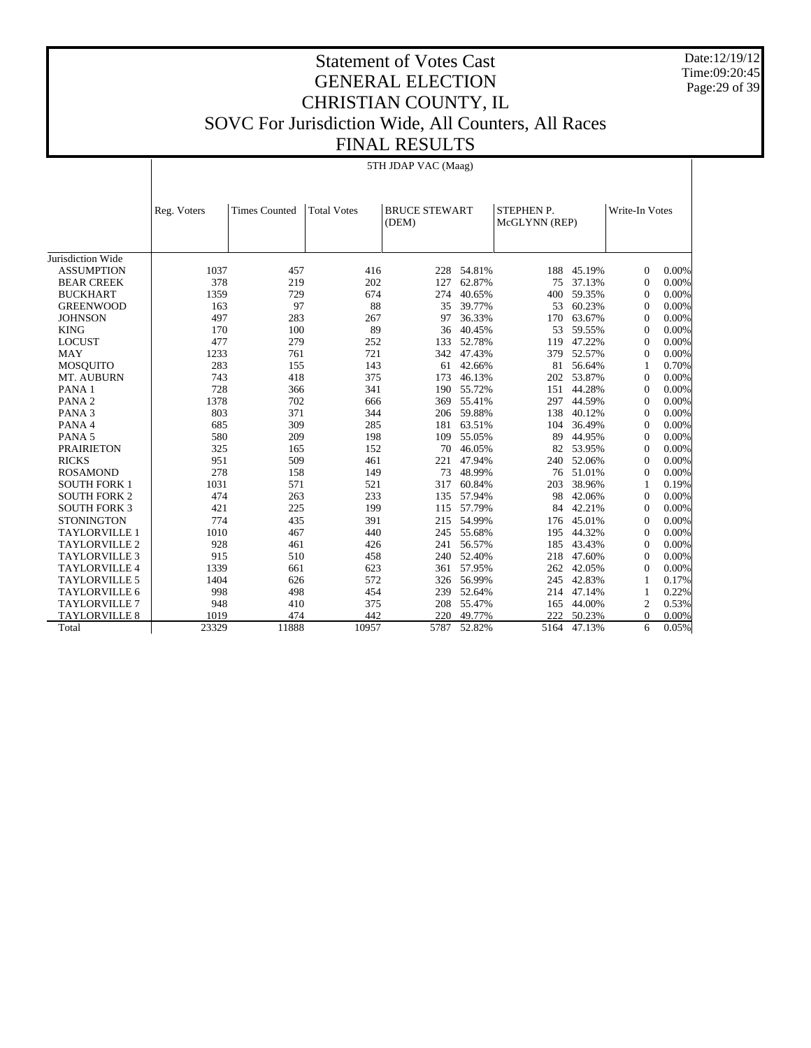Date:12/19/12 Time:09:20:45 Page:29 of 39

## Statement of Votes Cast GENERAL ELECTION CHRISTIAN COUNTY, IL SOVC For Jurisdiction Wide, All Counters, All Races FINAL RESULTS

5TH JDAP VAC (Maag)

|                      | Reg. Voters | <b>Times Counted</b> | <b>Total Votes</b> | <b>BRUCE STEWART</b><br>(DEM) |        | <b>STEPHEN P.</b><br>McGLYNN (REP) |        | Write-In Votes |       |
|----------------------|-------------|----------------------|--------------------|-------------------------------|--------|------------------------------------|--------|----------------|-------|
|                      |             |                      |                    |                               |        |                                    |        |                |       |
| Jurisdiction Wide    |             |                      |                    |                               |        |                                    |        |                |       |
| <b>ASSUMPTION</b>    | 1037        | 457                  | 416                | 228                           | 54.81% | 188                                | 45.19% | $\theta$       | 0.00% |
| <b>BEAR CREEK</b>    | 378         | 219                  | 202                | 127                           | 62.87% | 75                                 | 37.13% | $\theta$       | 0.00% |
| <b>BUCKHART</b>      | 1359        | 729                  | 674                | 274                           | 40.65% | 400                                | 59.35% | $\theta$       | 0.00% |
| <b>GREENWOOD</b>     | 163         | 97                   | 88                 | 35                            | 39.77% | 53                                 | 60.23% | $\theta$       | 0.00% |
| <b>JOHNSON</b>       | 497         | 283                  | 267                | 97                            | 36.33% | 170                                | 63.67% | $\theta$       | 0.00% |
| <b>KING</b>          | 170         | 100                  | 89                 | 36                            | 40.45% | 53                                 | 59.55% | $\theta$       | 0.00% |
| <b>LOCUST</b>        | 477         | 279                  | 252                | 133                           | 52.78% | 119                                | 47.22% | $\theta$       | 0.00% |
| <b>MAY</b>           | 1233        | 761                  | 721                | 342                           | 47.43% | 379                                | 52.57% | $\theta$       | 0.00% |
| <b>MOSQUITO</b>      | 283         | 155                  | 143                | 61                            | 42.66% | 81                                 | 56.64% | 1              | 0.70% |
| MT. AUBURN           | 743         | 418                  | 375                | 173                           | 46.13% | 202                                | 53.87% | $\theta$       | 0.00% |
| PANA <sub>1</sub>    | 728         | 366                  | 341                | 190                           | 55.72% | 151                                | 44.28% | $\theta$       | 0.00% |
| PANA <sub>2</sub>    | 1378        | 702                  | 666                | 369                           | 55.41% | 297                                | 44.59% | $\theta$       | 0.00% |
| PANA <sub>3</sub>    | 803         | 371                  | 344                | 206                           | 59.88% | 138                                | 40.12% | $\theta$       | 0.00% |
| PANA 4               | 685         | 309                  | 285                | 181                           | 63.51% | 104                                | 36.49% | $\Omega$       | 0.00% |
| PANA <sub>5</sub>    | 580         | 209                  | 198                | 109                           | 55.05% | 89                                 | 44.95% | $\Omega$       | 0.00% |
| <b>PRAIRIETON</b>    | 325         | 165                  | 152                | 70                            | 46.05% | 82                                 | 53.95% | $\Omega$       | 0.00% |
| <b>RICKS</b>         | 951         | 509                  | 461                | 221                           | 47.94% | 240                                | 52.06% | $\Omega$       | 0.00% |
| <b>ROSAMOND</b>      | 278         | 158                  | 149                | 73                            | 48.99% | 76                                 | 51.01% | $\Omega$       | 0.00% |
| <b>SOUTH FORK 1</b>  | 1031        | 571                  | 521                | 317                           | 60.84% | 203                                | 38.96% | 1              | 0.19% |
| <b>SOUTH FORK 2</b>  | 474         | 263                  | 233                | 135                           | 57.94% | 98                                 | 42.06% | $\theta$       | 0.00% |
| <b>SOUTH FORK 3</b>  | 421         | 225                  | 199                | 115                           | 57.79% | 84                                 | 42.21% | $\theta$       | 0.00% |
| <b>STONINGTON</b>    | 774         | 435                  | 391                | 215                           | 54.99% | 176                                | 45.01% | $\theta$       | 0.00% |
| <b>TAYLORVILLE 1</b> | 1010        | 467                  | 440                | 245                           | 55.68% | 195                                | 44.32% | $\Omega$       | 0.00% |
| <b>TAYLORVILLE 2</b> | 928         | 461                  | 426                | 241                           | 56.57% | 185                                | 43.43% | $\theta$       | 0.00% |
| <b>TAYLORVILLE 3</b> | 915         | 510                  | 458                | 240                           | 52.40% | 218                                | 47.60% | $\overline{0}$ | 0.00% |
| <b>TAYLORVILLE 4</b> | 1339        | 661                  | 623                | 361                           | 57.95% | 262                                | 42.05% | $\overline{0}$ | 0.00% |
| <b>TAYLORVILLE 5</b> | 1404        | 626                  | 572                | 326                           | 56.99% | 245                                | 42.83% | 1              | 0.17% |
| <b>TAYLORVILLE 6</b> | 998         | 498                  | 454                | 239                           | 52.64% | 214                                | 47.14% | 1              | 0.22% |
| <b>TAYLORVILLE 7</b> | 948         | 410                  | 375                | 208                           | 55.47% | 165                                | 44.00% | $\overline{2}$ | 0.53% |
| <b>TAYLORVILLE 8</b> | 1019        | 474                  | 442                | 220                           | 49.77% | 222                                | 50.23% | $\Omega$       | 0.00% |
| Total                | 23329       | 11888                | 10957              | 5787                          | 52.82% | 5164                               | 47.13% | 6              | 0.05% |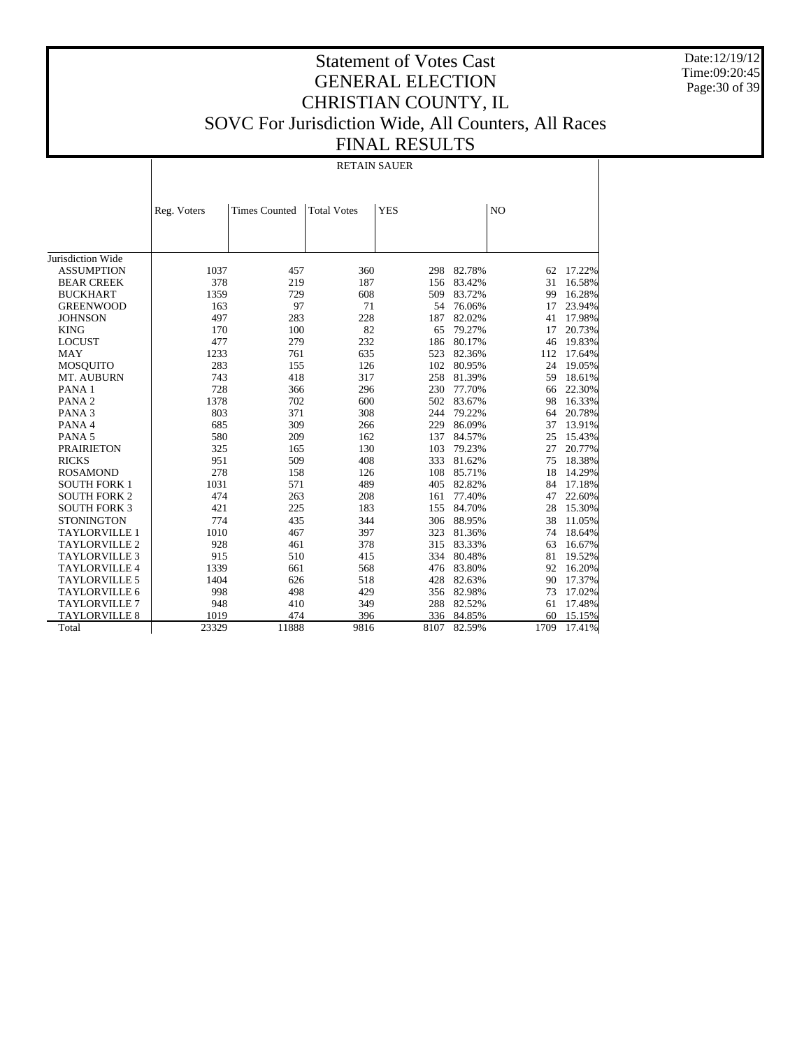Date:12/19/12 Time:09:20:45 Page:30 of 39

## Statement of Votes Cast GENERAL ELECTION CHRISTIAN COUNTY, IL SOVC For Jurisdiction Wide, All Counters, All Races FINAL RESULTS

RETAIN SAUER

|                      | Reg. Voters | <b>Times Counted</b> | <b>Total Votes</b> | <b>YES</b> |        | N <sub>O</sub> |        |
|----------------------|-------------|----------------------|--------------------|------------|--------|----------------|--------|
|                      |             |                      |                    |            |        |                |        |
|                      |             |                      |                    |            |        |                |        |
|                      |             |                      |                    |            |        |                |        |
| Jurisdiction Wide    |             |                      |                    |            |        |                |        |
| <b>ASSUMPTION</b>    | 1037        | 457                  | 360                | 298        | 82.78% | 62             | 17.22% |
| <b>BEAR CREEK</b>    | 378         | 219                  | 187                | 156        | 83.42% | 31             | 16.58% |
| <b>BUCKHART</b>      | 1359        | 729                  | 608                | 509        | 83.72% | 99             | 16.28% |
| <b>GREENWOOD</b>     | 163         | 97                   | 71                 | 54         | 76.06% | 17             | 23.94% |
| <b>JOHNSON</b>       | 497         | 283                  | 228                | 187        | 82.02% | 41             | 17.98% |
| <b>KING</b>          | 170         | 100                  | 82                 | 65         | 79.27% | 17             | 20.73% |
| <b>LOCUST</b>        | 477         | 279                  | 232                | 186        | 80.17% | 46             | 19.83% |
| <b>MAY</b>           | 1233        | 761                  | 635                | 523        | 82.36% | 112            | 17.64% |
| <b>MOSQUITO</b>      | 283         | 155                  | 126                | 102        | 80.95% | 24             | 19.05% |
| MT. AUBURN           | 743         | 418                  | 317                | 258        | 81.39% | 59             | 18.61% |
| PANA 1               | 728         | 366                  | 296                | 230        | 77.70% | 66             | 22.30% |
| PANA <sub>2</sub>    | 1378        | 702                  | 600                | 502        | 83.67% | 98             | 16.33% |
| PANA <sub>3</sub>    | 803         | 371                  | 308                | 244        | 79.22% | 64             | 20.78% |
| PANA 4               | 685         | 309                  | 266                | 229        | 86.09% | 37             | 13.91% |
| PANA <sub>5</sub>    | 580         | 209                  | 162                | 137        | 84.57% | 25             | 15.43% |
| <b>PRAIRIETON</b>    | 325         | 165                  | 130                | 103        | 79.23% | 27             | 20.77% |
| <b>RICKS</b>         | 951         | 509                  | 408                | 333        | 81.62% | 75             | 18.38% |
| <b>ROSAMOND</b>      | 278         | 158                  | 126                | 108        | 85.71% | 18             | 14.29% |
| <b>SOUTH FORK 1</b>  | 1031        | 571                  | 489                | 405        | 82.82% | 84             | 17.18% |
| <b>SOUTH FORK 2</b>  | 474         | 263                  | 208                | 161        | 77.40% | 47             | 22.60% |
| <b>SOUTH FORK 3</b>  | 421         | 225                  | 183                | 155        | 84.70% | 28             | 15.30% |
| <b>STONINGTON</b>    | 774         | 435                  | 344                | 306        | 88.95% | 38             | 11.05% |
| <b>TAYLORVILLE 1</b> | 1010        | 467                  | 397                | 323        | 81.36% | 74             | 18.64% |
| <b>TAYLORVILLE 2</b> | 928         | 461                  | 378                | 315        | 83.33% | 63             | 16.67% |
| <b>TAYLORVILLE 3</b> | 915         | 510                  | 415                | 334        | 80.48% | 81             | 19.52% |
| <b>TAYLORVILLE 4</b> | 1339        | 661                  | 568                | 476        | 83.80% | 92             | 16.20% |
| <b>TAYLORVILLE 5</b> | 1404        | 626                  | 518                | 428        | 82.63% | 90             | 17.37% |
| <b>TAYLORVILLE 6</b> | 998         | 498                  | 429                | 356        | 82.98% | 73             | 17.02% |
| <b>TAYLORVILLE 7</b> | 948         | 410                  | 349                | 288        | 82.52% | 61             | 17.48% |
| <b>TAYLORVILLE 8</b> | 1019        | 474                  | 396                | 336        | 84.85% | 60             | 15.15% |
| Total                | 23329       | 11888                | 9816               | 8107       | 82.59% | 1709           | 17.41% |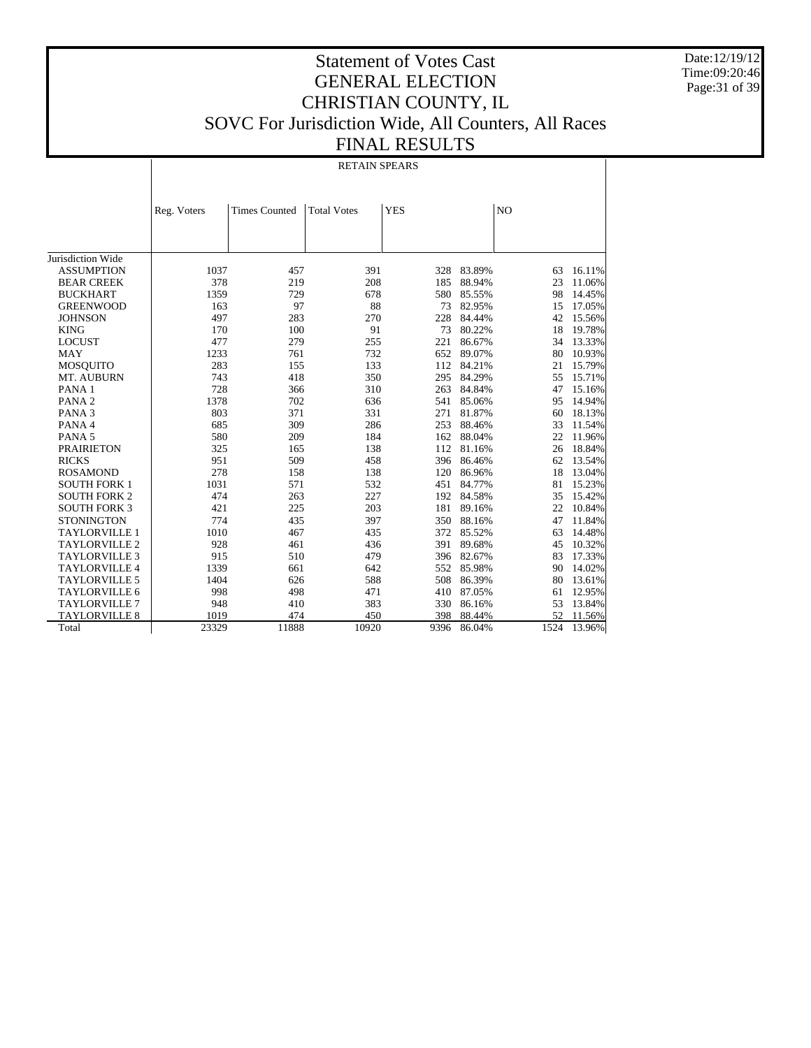Date:12/19/12 Time:09:20:46 Page:31 of 39

## Statement of Votes Cast GENERAL ELECTION CHRISTIAN COUNTY, IL SOVC For Jurisdiction Wide, All Counters, All Races FINAL RESULTS

RETAIN SPEARS

|                      | Reg. Voters | <b>Times Counted</b> | <b>Total Votes</b> | <b>YES</b> |        | N <sub>O</sub> |        |
|----------------------|-------------|----------------------|--------------------|------------|--------|----------------|--------|
|                      |             |                      |                    |            |        |                |        |
|                      |             |                      |                    |            |        |                |        |
|                      |             |                      |                    |            |        |                |        |
| Jurisdiction Wide    |             |                      |                    |            |        |                |        |
| <b>ASSUMPTION</b>    | 1037        | 457                  | 391                | 328        | 83.89% | 63             | 16.11% |
| <b>BEAR CREEK</b>    | 378         | 219                  | 208                | 185        | 88.94% | 23             | 11.06% |
| <b>BUCKHART</b>      | 1359        | 729                  | 678                | 580        | 85.55% | 98             | 14.45% |
| <b>GREENWOOD</b>     | 163         | 97                   | 88                 | 73         | 82.95% | 15             | 17.05% |
| <b>JOHNSON</b>       | 497         | 283                  | 270                | 228        | 84.44% | 42             | 15.56% |
| <b>KING</b>          | 170         | 100                  | 91                 | 73         | 80.22% | 18             | 19.78% |
| <b>LOCUST</b>        | 477         | 279                  | 255                | 221        | 86.67% | 34             | 13.33% |
| <b>MAY</b>           | 1233        | 761                  | 732                | 652        | 89.07% | 80             | 10.93% |
| <b>MOSQUITO</b>      | 283         | 155                  | 133                | 112        | 84.21% | 21             | 15.79% |
| MT. AUBURN           | 743         | 418                  | 350                | 295        | 84.29% | 55             | 15.71% |
| PANA 1               | 728         | 366                  | 310                | 263        | 84.84% | 47             | 15.16% |
| PANA <sub>2</sub>    | 1378        | 702                  | 636                | 541        | 85.06% | 95             | 14.94% |
| PANA <sub>3</sub>    | 803         | 371                  | 331                | 271        | 81.87% | 60             | 18.13% |
| PANA 4               | 685         | 309                  | 286                | 253        | 88.46% | 33             | 11.54% |
| PANA <sub>5</sub>    | 580         | 209                  | 184                | 162        | 88.04% | 22             | 11.96% |
| <b>PRAIRIETON</b>    | 325         | 165                  | 138                | 112        | 81.16% | 26             | 18.84% |
| <b>RICKS</b>         | 951         | 509                  | 458                | 396        | 86.46% | 62             | 13.54% |
| <b>ROSAMOND</b>      | 278         | 158                  | 138                | 120        | 86.96% | 18             | 13.04% |
| <b>SOUTH FORK 1</b>  | 1031        | 571                  | 532                | 451        | 84.77% | 81             | 15.23% |
| <b>SOUTH FORK 2</b>  | 474         | 263                  | 227                | 192        | 84.58% | 35             | 15.42% |
| <b>SOUTH FORK 3</b>  | 421         | 225                  | 203                | 181        | 89.16% | 22             | 10.84% |
| <b>STONINGTON</b>    | 774         | 435                  | 397                | 350        | 88.16% | 47             | 11.84% |
| <b>TAYLORVILLE 1</b> | 1010        | 467                  | 435                | 372        | 85.52% | 63             | 14.48% |
| <b>TAYLORVILLE 2</b> | 928         | 461                  | 436                | 391        | 89.68% | 45             | 10.32% |
| <b>TAYLORVILLE 3</b> | 915         | 510                  | 479                | 396        | 82.67% | 83             | 17.33% |
| <b>TAYLORVILLE 4</b> | 1339        | 661                  | 642                | 552        | 85.98% | 90             | 14.02% |
| <b>TAYLORVILLE 5</b> | 1404        | 626                  | 588                | 508        | 86.39% | 80             | 13.61% |
| <b>TAYLORVILLE 6</b> | 998         | 498                  | 471                | 410        | 87.05% | 61             | 12.95% |
| <b>TAYLORVILLE 7</b> | 948         | 410                  | 383                | 330        | 86.16% | 53             | 13.84% |
| <b>TAYLORVILLE 8</b> | 1019        | 474                  | 450                | 398        | 88.44% | 52             | 11.56% |
| Total                | 23329       | 11888                | 10920              | 9396       | 86.04% | 1524           | 13.96% |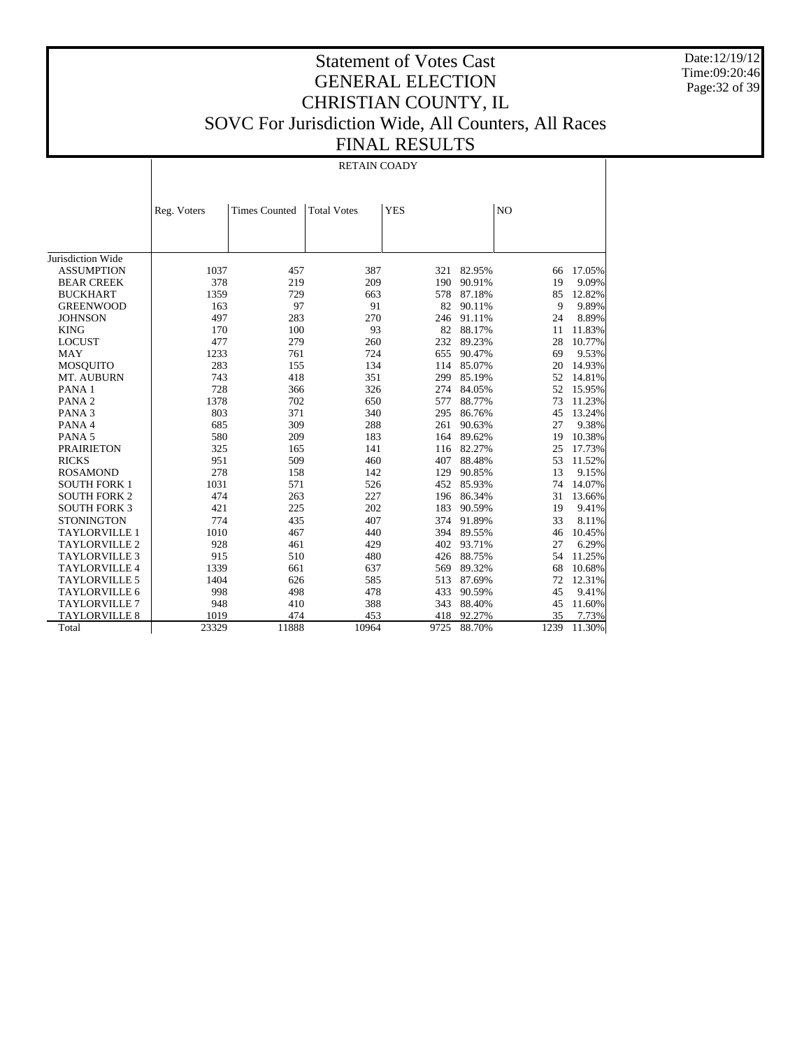Date:12/19/12 Time:09:20:46 Page:32 of 39

## Statement of Votes Cast GENERAL ELECTION CHRISTIAN COUNTY, IL SOVC For Jurisdiction Wide, All Counters, All Races FINAL RESULTS

RETAIN COADY

|                      | Reg. Voters | <b>Times Counted</b> | <b>Total Votes</b> | <b>YES</b> |        | N <sub>O</sub> |        |
|----------------------|-------------|----------------------|--------------------|------------|--------|----------------|--------|
|                      |             |                      |                    |            |        |                |        |
|                      |             |                      |                    |            |        |                |        |
| Jurisdiction Wide    |             |                      |                    |            |        |                |        |
| <b>ASSUMPTION</b>    | 1037        | 457                  | 387                | 321        | 82.95% | 66             | 17.05% |
| <b>BEAR CREEK</b>    | 378         | 219                  | 209                | 190        | 90.91% | 19             | 9.09%  |
| <b>BUCKHART</b>      | 1359        | 729                  | 663                | 578        | 87.18% | 85             | 12.82% |
| <b>GREENWOOD</b>     | 163         | 97                   | 91                 | 82         | 90.11% | 9              | 9.89%  |
| <b>JOHNSON</b>       | 497         | 283                  | 270                | 246        | 91.11% | 24             | 8.89%  |
| <b>KING</b>          | 170         | 100                  | 93                 | 82         | 88.17% | 11             | 11.83% |
| <b>LOCUST</b>        | 477         | 279                  | 260                | 232        | 89.23% | 28             | 10.77% |
| <b>MAY</b>           | 1233        | 761                  | 724                | 655        | 90.47% | 69             | 9.53%  |
| <b>MOSQUITO</b>      | 283         | 155                  | 134                | 114        | 85.07% | 20             | 14.93% |
| MT. AUBURN           | 743         | 418                  | 351                | 299        | 85.19% | 52             | 14.81% |
| PANA <sub>1</sub>    | 728         | 366                  | 326                | 274        | 84.05% | 52             | 15.95% |
| PANA <sub>2</sub>    | 1378        | 702                  | 650                | 577        | 88.77% | 73             | 11.23% |
| PANA <sub>3</sub>    | 803         | 371                  | 340                | 295        | 86.76% | 45             | 13.24% |
| PANA 4               | 685         | 309                  | 288                | 261        | 90.63% | 27             | 9.38%  |
| PANA <sub>5</sub>    | 580         | 209                  | 183                | 164        | 89.62% | 19             | 10.38% |
| <b>PRAIRIETON</b>    | 325         | 165                  | 141                | 116        | 82.27% | 25             | 17.73% |
| <b>RICKS</b>         | 951         | 509                  | 460                | 407        | 88.48% | 53             | 11.52% |
| <b>ROSAMOND</b>      | 278         | 158                  | 142                | 129        | 90.85% | 13             | 9.15%  |
| <b>SOUTH FORK 1</b>  | 1031        | 571                  | 526                | 452        | 85.93% | 74             | 14.07% |
| <b>SOUTH FORK 2</b>  | 474         | 263                  | 227                | 196        | 86.34% | 31             | 13.66% |
| <b>SOUTH FORK 3</b>  | 421         | 225                  | 202                | 183        | 90.59% | 19             | 9.41%  |
| <b>STONINGTON</b>    | 774         | 435                  | 407                | 374        | 91.89% | 33             | 8.11%  |
| <b>TAYLORVILLE 1</b> | 1010        | 467                  | 440                | 394        | 89.55% | 46             | 10.45% |
| <b>TAYLORVILLE 2</b> | 928         | 461                  | 429                | 402        | 93.71% | 27             | 6.29%  |
| <b>TAYLORVILLE 3</b> | 915         | 510                  | 480                | 426        | 88.75% | 54             | 11.25% |
| <b>TAYLORVILLE 4</b> | 1339        | 661                  | 637                | 569        | 89.32% | 68             | 10.68% |
| <b>TAYLORVILLE 5</b> | 1404        | 626                  | 585                | 513        | 87.69% | 72             | 12.31% |
| <b>TAYLORVILLE 6</b> | 998         | 498                  | 478                | 433        | 90.59% | 45             | 9.41%  |
| <b>TAYLORVILLE 7</b> | 948         | 410                  | 388                | 343        | 88.40% | 45             | 11.60% |
| <b>TAYLORVILLE 8</b> | 1019        | 474                  | 453                | 418        | 92.27% | 35             | 7.73%  |
| Total                | 23329       | 11888                | 10964              | 9725       | 88.70% | 1239           | 11.30% |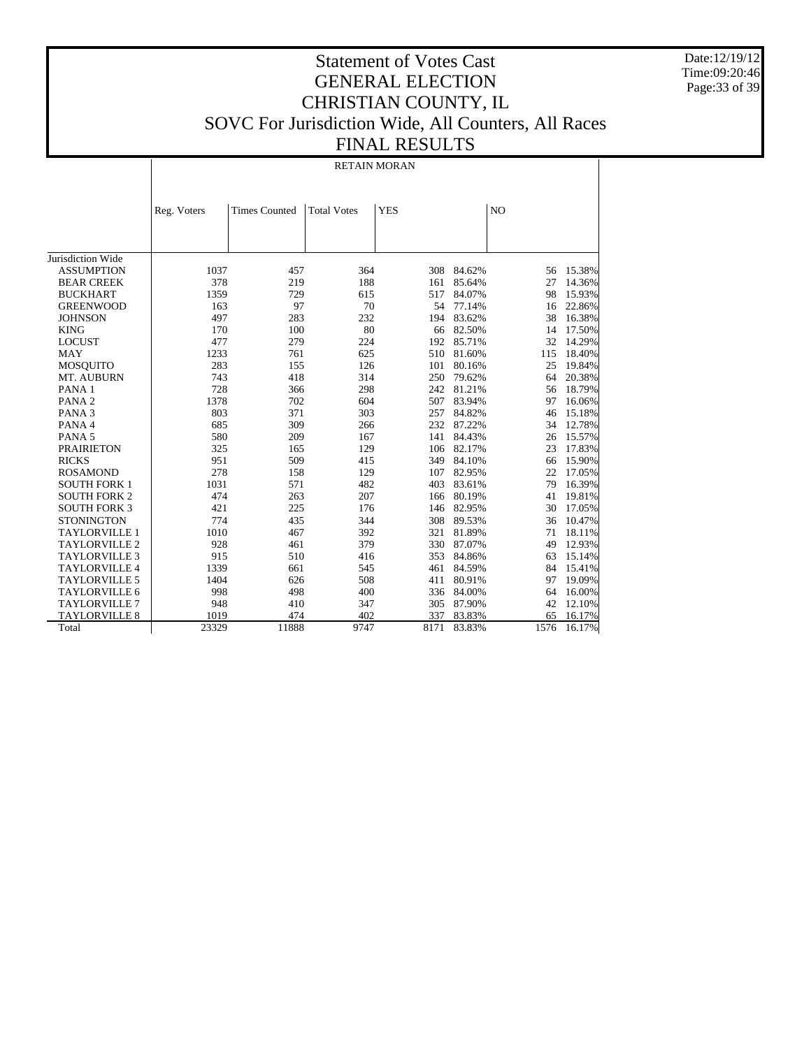Date:12/19/12 Time:09:20:46 Page:33 of 39

## Statement of Votes Cast GENERAL ELECTION CHRISTIAN COUNTY, IL SOVC For Jurisdiction Wide, All Counters, All Races FINAL RESULTS

RETAIN MORAN

|                      | Reg. Voters | <b>Times Counted</b> | <b>Total Votes</b> | <b>YES</b> |        | N <sub>O</sub> |        |
|----------------------|-------------|----------------------|--------------------|------------|--------|----------------|--------|
|                      |             |                      |                    |            |        |                |        |
|                      |             |                      |                    |            |        |                |        |
|                      |             |                      |                    |            |        |                |        |
| Jurisdiction Wide    |             |                      |                    |            |        |                |        |
| <b>ASSUMPTION</b>    | 1037        | 457                  | 364                | 308        | 84.62% | 56             | 15.38% |
| <b>BEAR CREEK</b>    | 378         | 219                  | 188                | 161        | 85.64% | 27             | 14.36% |
| <b>BUCKHART</b>      | 1359        | 729                  | 615                | 517        | 84.07% | 98             | 15.93% |
| <b>GREENWOOD</b>     | 163         | 97                   | 70                 | 54         | 77.14% | 16             | 22.86% |
| <b>JOHNSON</b>       | 497         | 283                  | 232                | 194        | 83.62% | 38             | 16.38% |
| <b>KING</b>          | 170         | 100                  | 80                 | 66         | 82.50% | 14             | 17.50% |
| <b>LOCUST</b>        | 477         | 279                  | 224                | 192        | 85.71% | 32             | 14.29% |
| <b>MAY</b>           | 1233        | 761                  | 625                | 510        | 81.60% | 115            | 18.40% |
| <b>MOSQUITO</b>      | 283         | 155                  | 126                | 101        | 80.16% | 25             | 19.84% |
| MT. AUBURN           | 743         | 418                  | 314                | 250        | 79.62% | 64             | 20.38% |
| PANA <sub>1</sub>    | 728         | 366                  | 298                | 242        | 81.21% | 56             | 18.79% |
| PANA <sub>2</sub>    | 1378        | 702                  | 604                | 507        | 83.94% | 97             | 16.06% |
| PANA <sub>3</sub>    | 803         | 371                  | 303                | 257        | 84.82% | 46             | 15.18% |
| PANA 4               | 685         | 309                  | 266                | 232        | 87.22% | 34             | 12.78% |
| PANA <sub>5</sub>    | 580         | 209                  | 167                | 141        | 84.43% | 26             | 15.57% |
| <b>PRAIRIETON</b>    | 325         | 165                  | 129                | 106        | 82.17% | 23             | 17.83% |
| <b>RICKS</b>         | 951         | 509                  | 415                | 349        | 84.10% | 66             | 15.90% |
| <b>ROSAMOND</b>      | 278         | 158                  | 129                | 107        | 82.95% | 22             | 17.05% |
| <b>SOUTH FORK 1</b>  | 1031        | 571                  | 482                | 403        | 83.61% | 79             | 16.39% |
| <b>SOUTH FORK 2</b>  | 474         | 263                  | 207                | 166        | 80.19% | 41             | 19.81% |
| <b>SOUTH FORK 3</b>  | 421         | 225                  | 176                | 146        | 82.95% | 30             | 17.05% |
| <b>STONINGTON</b>    | 774         | 435                  | 344                | 308        | 89.53% | 36             | 10.47% |
| <b>TAYLORVILLE 1</b> | 1010        | 467                  | 392                | 321        | 81.89% | 71             | 18.11% |
| <b>TAYLORVILLE 2</b> | 928         | 461                  | 379                | 330        | 87.07% | 49             | 12.93% |
| <b>TAYLORVILLE 3</b> | 915         | 510                  | 416                | 353        | 84.86% | 63             | 15.14% |
| <b>TAYLORVILLE 4</b> | 1339        | 661                  | 545                | 461        | 84.59% | 84             | 15.41% |
| <b>TAYLORVILLE 5</b> | 1404        | 626                  | 508                | 411        | 80.91% | 97             | 19.09% |
| <b>TAYLORVILLE 6</b> | 998         | 498                  | 400                | 336        | 84.00% | 64             | 16.00% |
| <b>TAYLORVILLE 7</b> | 948         | 410                  | 347                | 305        | 87.90% | 42             | 12.10% |
| <b>TAYLORVILLE 8</b> | 1019        | 474                  | 402                | 337        | 83.83% | 65             | 16.17% |
| Total                | 23329       | 11888                | 9747               | 8171       | 83.83% | 1576           | 16.17% |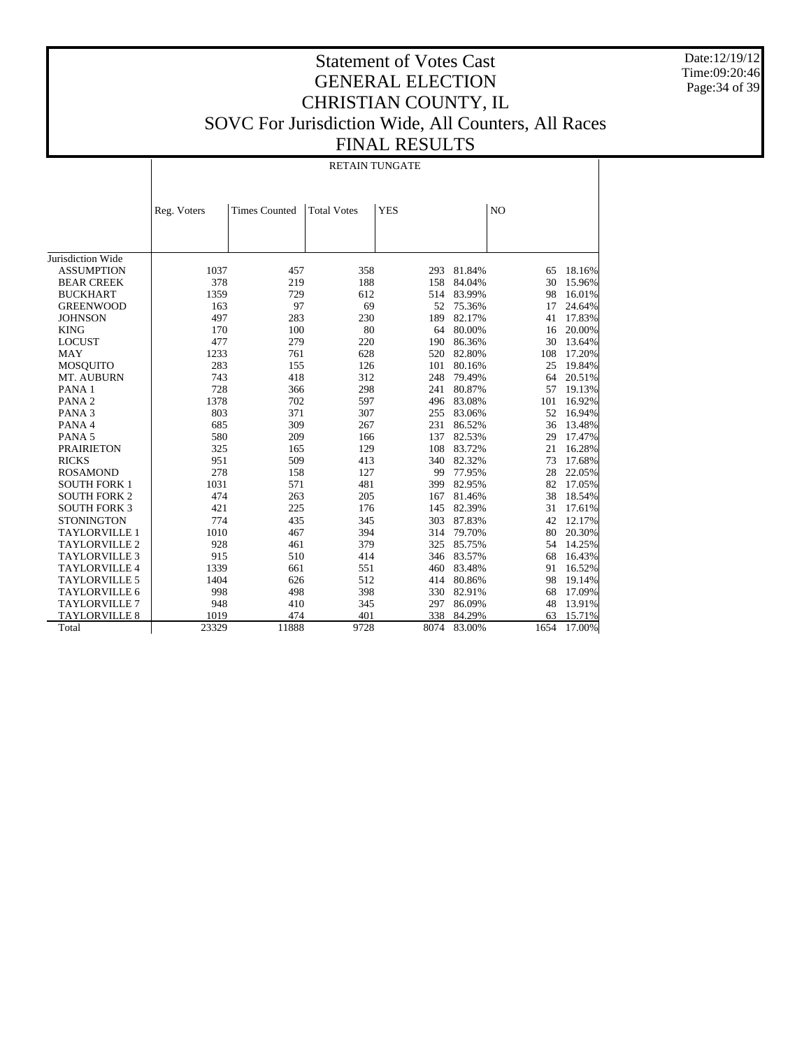Date:12/19/12 Time:09:20:46 Page:34 of 39

## Statement of Votes Cast GENERAL ELECTION CHRISTIAN COUNTY, IL SOVC For Jurisdiction Wide, All Counters, All Races FINAL RESULTS

RETAIN TUNGATE

|                      | Reg. Voters | <b>Times Counted</b> | <b>Total Votes</b> | <b>YES</b> |        | N <sub>O</sub> |        |
|----------------------|-------------|----------------------|--------------------|------------|--------|----------------|--------|
|                      |             |                      |                    |            |        |                |        |
|                      |             |                      |                    |            |        |                |        |
| Jurisdiction Wide    |             |                      |                    |            |        |                |        |
| <b>ASSUMPTION</b>    | 1037        | 457                  | 358                | 293        | 81.84% | 65             | 18.16% |
| <b>BEAR CREEK</b>    | 378         | 219                  | 188                | 158        | 84.04% | 30             | 15.96% |
| <b>BUCKHART</b>      | 1359        | 729                  | 612                | 514        | 83.99% | 98             | 16.01% |
| <b>GREENWOOD</b>     | 163         | 97                   | 69                 | 52         | 75.36% | 17             | 24.64% |
| <b>JOHNSON</b>       | 497         | 283                  | 230                | 189        | 82.17% | 41             | 17.83% |
| <b>KING</b>          | 170         | 100                  | 80                 | 64         | 80.00% | 16             | 20.00% |
| <b>LOCUST</b>        | 477         | 279                  | 220                | 190        | 86.36% | 30             | 13.64% |
| <b>MAY</b>           | 1233        | 761                  | 628                | 520        | 82.80% | 108            | 17.20% |
| <b>MOSQUITO</b>      | 283         | 155                  | 126                | 101        | 80.16% | 25             | 19.84% |
| MT. AUBURN           | 743         |                      | 312                | 248        | 79.49% | 64             | 20.51% |
|                      | 728         | 418                  |                    |            |        |                | 19.13% |
| PANA <sub>1</sub>    |             | 366                  | 298                | 241        | 80.87% | 57             |        |
| PANA <sub>2</sub>    | 1378        | 702                  | 597                | 496        | 83.08% | 101            | 16.92% |
| PANA <sub>3</sub>    | 803         | 371                  | 307                | 255        | 83.06% | 52             | 16.94% |
| PANA 4               | 685         | 309                  | 267                | 231        | 86.52% | 36             | 13.48% |
| PANA <sub>5</sub>    | 580         | 209                  | 166                | 137        | 82.53% | 29             | 17.47% |
| <b>PRAIRIETON</b>    | 325         | 165                  | 129                | 108        | 83.72% | 21             | 16.28% |
| <b>RICKS</b>         | 951         | 509                  | 413                | 340        | 82.32% | 73             | 17.68% |
| <b>ROSAMOND</b>      | 278         | 158                  | 127                | 99         | 77.95% | 28             | 22.05% |
| <b>SOUTH FORK 1</b>  | 1031        | 571                  | 481                | 399        | 82.95% | 82             | 17.05% |
| <b>SOUTH FORK 2</b>  | 474         | 263                  | 205                | 167        | 81.46% | 38             | 18.54% |
| <b>SOUTH FORK 3</b>  | 421         | 225                  | 176                | 145        | 82.39% | 31             | 17.61% |
| <b>STONINGTON</b>    | 774         | 435                  | 345                | 303        | 87.83% | 42             | 12.17% |
| <b>TAYLORVILLE 1</b> | 1010        | 467                  | 394                | 314        | 79.70% | 80             | 20.30% |
| <b>TAYLORVILLE 2</b> | 928         | 461                  | 379                | 325        | 85.75% | 54             | 14.25% |
| <b>TAYLORVILLE 3</b> | 915         | 510                  | 414                | 346        | 83.57% | 68             | 16.43% |
| <b>TAYLORVILLE 4</b> | 1339        | 661                  | 551                | 460        | 83.48% | 91             | 16.52% |
| <b>TAYLORVILLE 5</b> | 1404        | 626                  | 512                | 414        | 80.86% | 98             | 19.14% |
| <b>TAYLORVILLE 6</b> | 998         | 498                  | 398                | 330        | 82.91% | 68             | 17.09% |
| <b>TAYLORVILLE 7</b> | 948         | 410                  | 345                | 297        | 86.09% | 48             | 13.91% |
| <b>TAYLORVILLE 8</b> | 1019        | 474                  | 401                | 338        | 84.29% | 63             | 15.71% |
| Total                | 23329       | 11888                | 9728               | 8074       | 83.00% | 1654           | 17.00% |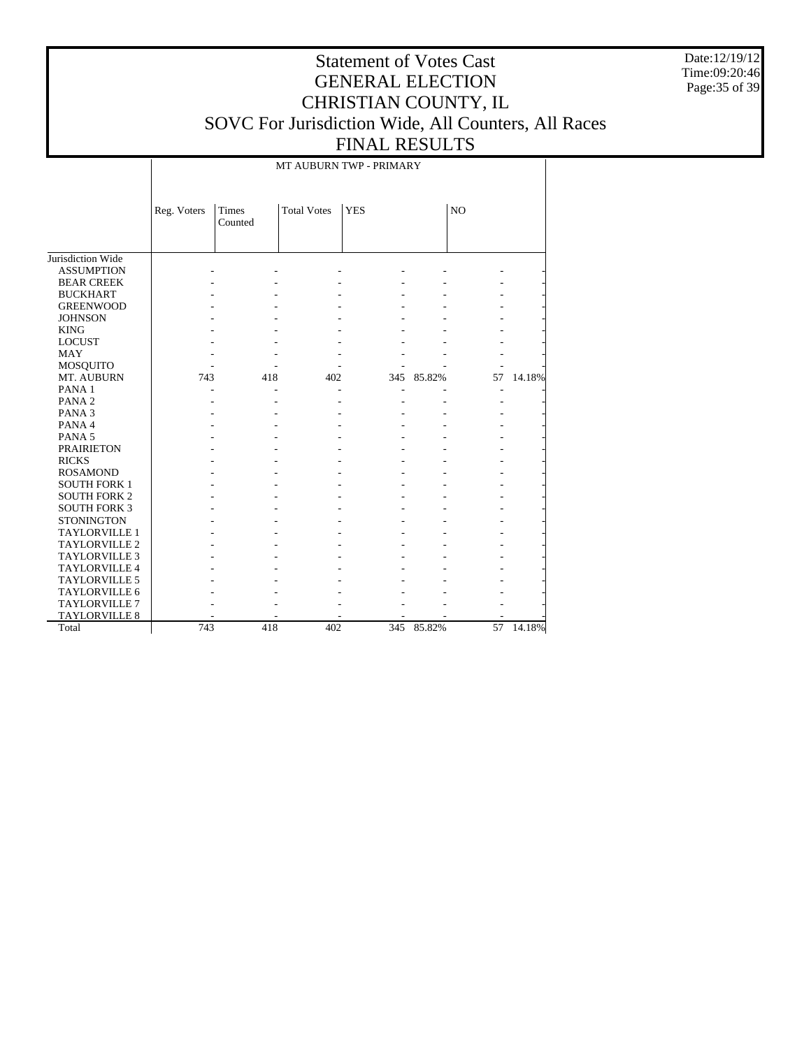Date:12/19/12 Time:09:20:46 Page:35 of 39

## Statement of Votes Cast GENERAL ELECTION CHRISTIAN COUNTY, IL SOVC For Jurisdiction Wide, All Counters, All Races FINAL RESULTS

MT AUBURN TWP - PRIMARY

|                      | Reg. Voters | Times   | <b>Total Votes</b> | <b>YES</b> |        | N <sub>O</sub> |        |
|----------------------|-------------|---------|--------------------|------------|--------|----------------|--------|
|                      |             | Counted |                    |            |        |                |        |
|                      |             |         |                    |            |        |                |        |
|                      |             |         |                    |            |        |                |        |
| Jurisdiction Wide    |             |         |                    |            |        |                |        |
| <b>ASSUMPTION</b>    |             |         |                    |            |        |                |        |
| <b>BEAR CREEK</b>    |             |         |                    |            |        |                |        |
| <b>BUCKHART</b>      |             |         |                    |            |        |                |        |
| <b>GREENWOOD</b>     |             |         |                    |            |        |                |        |
| <b>JOHNSON</b>       |             |         |                    |            |        |                |        |
| <b>KING</b>          |             |         |                    |            |        |                |        |
| <b>LOCUST</b>        |             |         |                    |            |        |                |        |
| <b>MAY</b>           |             |         |                    |            |        |                |        |
| <b>MOSQUITO</b>      |             |         |                    |            |        |                |        |
| MT. AUBURN           | 743         | 418     | 402                | 345        | 85.82% | 57             | 14.18% |
| PANA <sub>1</sub>    |             |         |                    |            |        |                |        |
| PANA <sub>2</sub>    |             |         |                    |            |        |                |        |
| PANA <sub>3</sub>    |             |         |                    |            |        |                |        |
| PANA 4               |             |         |                    |            |        |                |        |
| PANA <sub>5</sub>    |             |         |                    |            |        |                |        |
| <b>PRAIRIETON</b>    |             |         |                    |            |        |                |        |
| <b>RICKS</b>         |             |         |                    |            |        |                |        |
| <b>ROSAMOND</b>      |             |         |                    |            |        |                |        |
| <b>SOUTH FORK 1</b>  |             |         |                    |            |        |                |        |
| <b>SOUTH FORK 2</b>  |             |         |                    |            |        |                |        |
| <b>SOUTH FORK 3</b>  |             |         |                    |            |        |                |        |
| <b>STONINGTON</b>    |             |         |                    |            |        |                |        |
| <b>TAYLORVILLE 1</b> |             |         |                    |            |        |                |        |
| <b>TAYLORVILLE 2</b> |             |         |                    |            |        |                |        |
| <b>TAYLORVILLE 3</b> |             |         |                    |            |        |                |        |
| <b>TAYLORVILLE 4</b> |             |         |                    |            |        |                |        |
| <b>TAYLORVILLE 5</b> |             |         |                    |            |        |                |        |
| TAYLORVILLE 6        |             |         |                    |            |        |                |        |
| TAYLORVILLE 7        |             |         |                    |            |        |                |        |
| <b>TAYLORVILLE 8</b> |             |         |                    |            |        |                |        |
| Total                | 743         | 418     | 402                | 345        | 85.82% | 57             | 14.18% |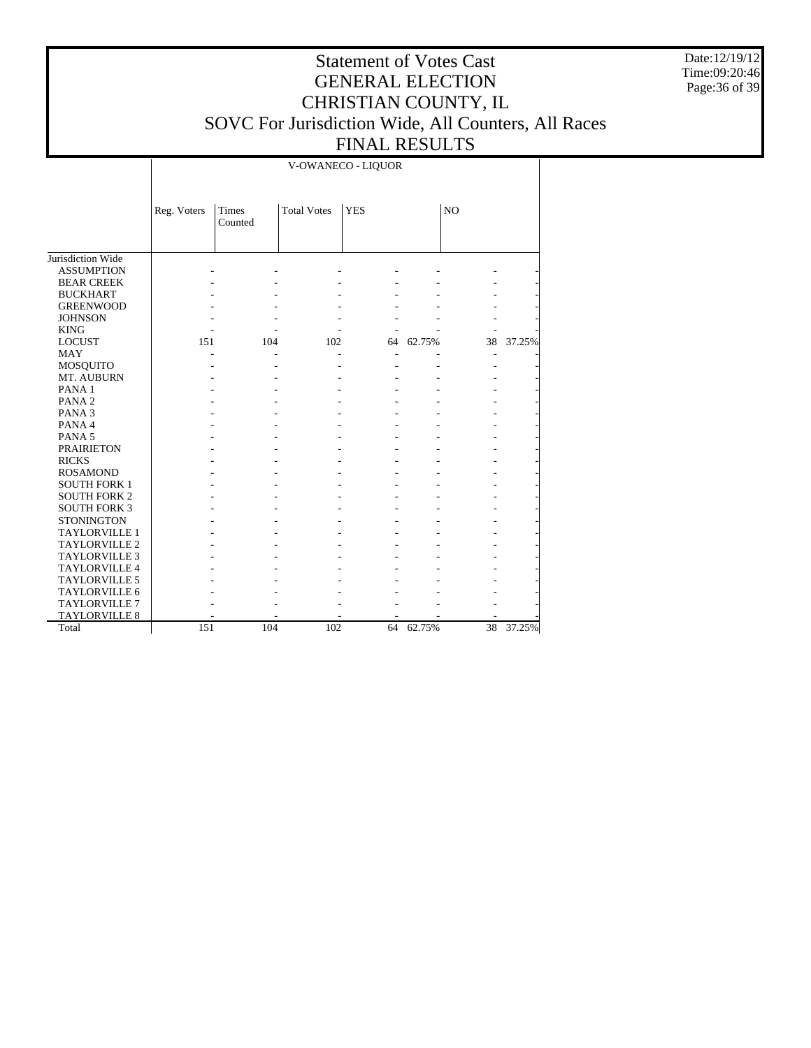Date:12/19/12 Time:09:20:46 Page:36 of 39

## Statement of Votes Cast GENERAL ELECTION CHRISTIAN COUNTY, IL SOVC For Jurisdiction Wide, All Counters, All Races FINAL RESULTS

V-OWANECO - LIQUOR

|                      | Reg. Voters | Times<br>Counted | <b>Total Votes</b> | <b>YES</b> |        | NO |        |
|----------------------|-------------|------------------|--------------------|------------|--------|----|--------|
| Jurisdiction Wide    |             |                  |                    |            |        |    |        |
| <b>ASSUMPTION</b>    |             |                  |                    |            |        |    |        |
| <b>BEAR CREEK</b>    |             |                  |                    |            |        |    |        |
| <b>BUCKHART</b>      |             |                  |                    |            |        |    |        |
| <b>GREENWOOD</b>     |             |                  |                    |            |        |    |        |
| <b>JOHNSON</b>       |             |                  |                    |            |        |    |        |
| <b>KING</b>          |             |                  |                    |            |        |    |        |
| <b>LOCUST</b>        | 151         | 104              | 102                | 64         | 62.75% | 38 | 37.25% |
| <b>MAY</b>           |             |                  |                    |            |        |    |        |
| <b>MOSQUITO</b>      |             |                  |                    |            |        |    |        |
| MT. AUBURN           |             |                  |                    |            |        |    |        |
| PANA <sub>1</sub>    |             |                  |                    |            |        |    |        |
| PANA <sub>2</sub>    |             |                  |                    |            |        |    |        |
| PANA <sub>3</sub>    |             |                  |                    |            |        |    |        |
| PANA 4               |             |                  |                    |            |        |    |        |
| PANA <sub>5</sub>    |             |                  |                    |            |        |    |        |
| <b>PRAIRIETON</b>    |             |                  |                    |            |        |    |        |
| <b>RICKS</b>         |             |                  |                    |            |        |    |        |
| <b>ROSAMOND</b>      |             |                  |                    |            |        |    |        |
| <b>SOUTH FORK 1</b>  |             |                  |                    |            |        |    |        |
| <b>SOUTH FORK 2</b>  |             |                  |                    |            |        |    |        |
| <b>SOUTH FORK 3</b>  |             |                  |                    |            |        |    |        |
| <b>STONINGTON</b>    |             |                  |                    |            |        |    |        |
| <b>TAYLORVILLE 1</b> |             |                  |                    |            |        |    |        |
| <b>TAYLORVILLE 2</b> |             |                  |                    |            |        |    |        |
| <b>TAYLORVILLE 3</b> |             |                  |                    |            |        |    |        |
| <b>TAYLORVILLE 4</b> |             |                  |                    |            |        |    |        |
| <b>TAYLORVILLE 5</b> |             |                  |                    |            |        |    |        |
| <b>TAYLORVILLE 6</b> |             |                  |                    |            |        |    |        |
| <b>TAYLORVILLE 7</b> |             |                  |                    |            |        |    |        |
| <b>TAYLORVILLE 8</b> |             |                  |                    |            |        |    |        |
| Total                | 151         | 104              | 102                | 64         | 62.75% | 38 | 37.25% |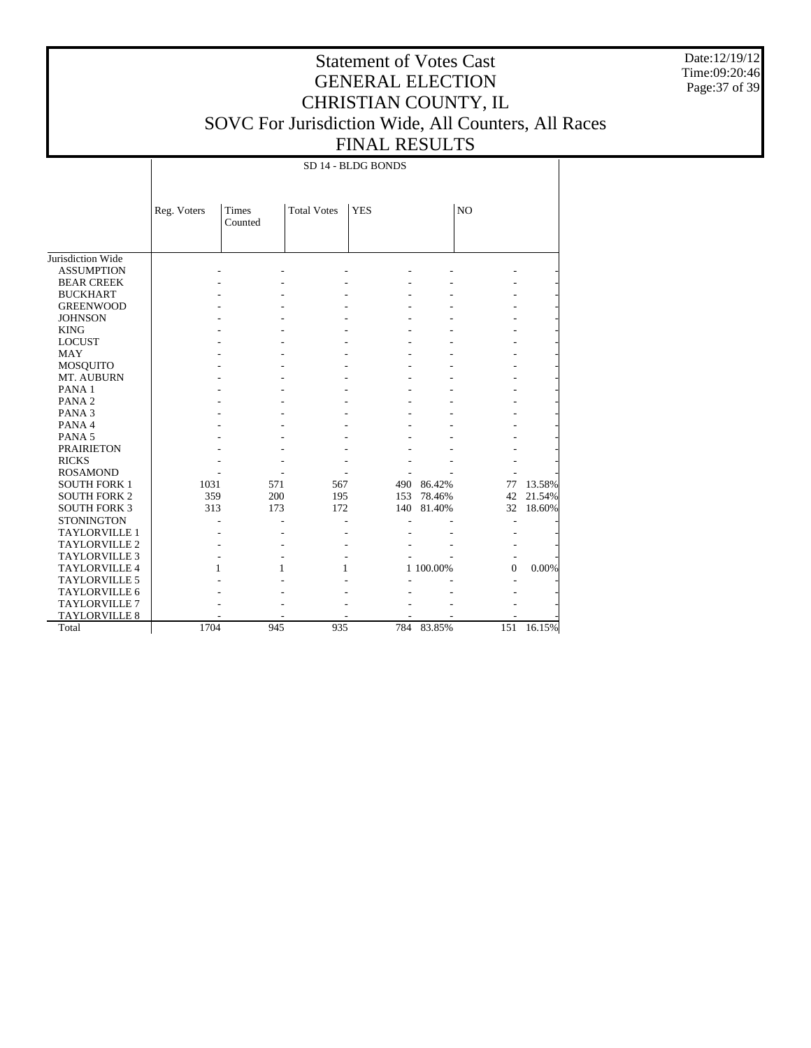Date:12/19/12 Time:09:20:46 Page:37 of 39

## Statement of Votes Cast GENERAL ELECTION CHRISTIAN COUNTY, IL SOVC For Jurisdiction Wide, All Counters, All Races FINAL RESULTS

SD 14 - BLDG BONDS

|                      | Reg. Voters | <b>Times</b><br>Counted | <b>Total Votes</b> | <b>YES</b> |           | NO           |        |
|----------------------|-------------|-------------------------|--------------------|------------|-----------|--------------|--------|
| Jurisdiction Wide    |             |                         |                    |            |           |              |        |
| <b>ASSUMPTION</b>    |             |                         |                    |            |           |              |        |
| <b>BEAR CREEK</b>    |             |                         |                    |            |           |              |        |
| <b>BUCKHART</b>      |             |                         |                    |            |           |              |        |
| <b>GREENWOOD</b>     |             |                         |                    |            |           |              |        |
| <b>JOHNSON</b>       |             |                         |                    |            |           |              |        |
| <b>KING</b>          |             |                         |                    |            |           |              |        |
| <b>LOCUST</b>        |             |                         |                    |            |           |              |        |
| <b>MAY</b>           |             |                         |                    |            |           |              |        |
| MOSQUITO             |             |                         |                    |            |           |              |        |
| MT. AUBURN           |             |                         |                    |            |           |              |        |
| PANA <sub>1</sub>    |             |                         |                    |            |           |              |        |
| PANA <sub>2</sub>    |             |                         |                    |            |           |              |        |
| PANA <sub>3</sub>    |             |                         |                    |            |           |              |        |
| PANA 4               |             |                         |                    |            |           |              |        |
| PANA <sub>5</sub>    |             |                         |                    |            |           |              |        |
| <b>PRAIRIETON</b>    |             |                         |                    |            |           |              |        |
| <b>RICKS</b>         |             |                         |                    |            |           |              |        |
| <b>ROSAMOND</b>      |             |                         |                    |            |           |              |        |
| <b>SOUTH FORK 1</b>  | 1031        | 571                     | 567                | 490        | 86.42%    | 77           | 13.58% |
| <b>SOUTH FORK 2</b>  | 359         | 200                     | 195                | 153        | 78.46%    | 42           | 21.54% |
| <b>SOUTH FORK 3</b>  | 313         | 173                     | 172                | 140        | 81.40%    | 32           | 18.60% |
| <b>STONINGTON</b>    |             |                         |                    |            |           |              |        |
| <b>TAYLORVILLE 1</b> |             |                         |                    |            |           |              |        |
| <b>TAYLORVILLE 2</b> |             |                         |                    |            |           |              |        |
| <b>TAYLORVILLE 3</b> |             |                         |                    |            |           |              |        |
| <b>TAYLORVILLE 4</b> |             |                         | 1                  |            | 1 100.00% | $\mathbf{0}$ | 0.00%  |
| <b>TAYLORVILLE 5</b> |             |                         |                    |            |           |              |        |
| TAYLORVILLE 6        |             |                         |                    |            |           |              |        |
| <b>TAYLORVILLE 7</b> |             |                         |                    |            |           |              |        |
| <b>TAYLORVILLE 8</b> |             |                         |                    |            |           |              |        |
| Total                | 1704        | 945                     | 935                | 784        | 83.85%    | 151          | 16.15% |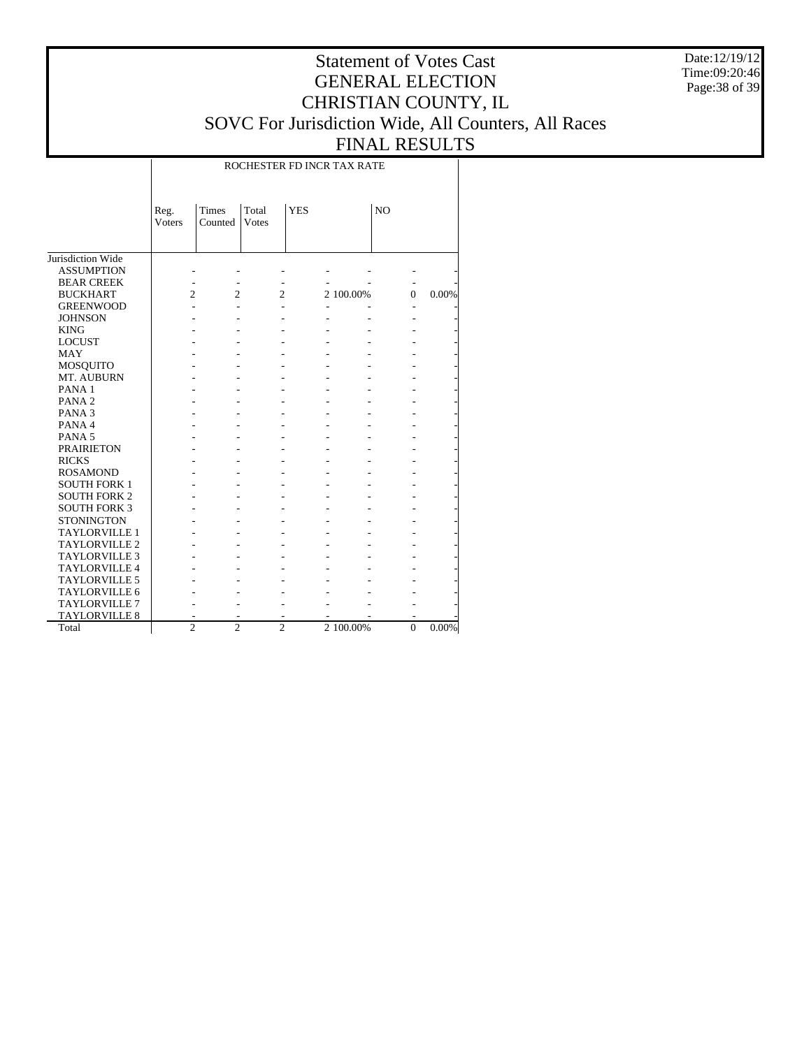Date:12/19/12 Time:09:20:46 Page:38 of 39

## Statement of Votes Cast GENERAL ELECTION CHRISTIAN COUNTY, IL SOVC For Jurisdiction Wide, All Counters, All Races FINAL RESULTS

ROCHESTER FD INCR TAX RATE

|                      | Reg.<br>Voters | Times<br>Counted | Total<br>Votes | <b>YES</b> |           | N <sub>O</sub> |       |
|----------------------|----------------|------------------|----------------|------------|-----------|----------------|-------|
|                      |                |                  |                |            |           |                |       |
| Jurisdiction Wide    |                |                  |                |            |           |                |       |
| <b>ASSUMPTION</b>    |                |                  |                |            |           |                |       |
| <b>BEAR CREEK</b>    |                |                  |                |            |           |                |       |
| <b>BUCKHART</b>      | 2              | $\mathfrak{D}$   | $\mathfrak{D}$ |            | 2 100.00% | $\Omega$       | 0.00% |
| <b>GREENWOOD</b>     |                |                  |                |            |           |                |       |
| <b>JOHNSON</b>       |                |                  |                |            |           |                |       |
| <b>KING</b>          |                |                  |                |            |           |                |       |
| <b>LOCUST</b>        |                |                  |                |            |           |                |       |
| <b>MAY</b>           |                |                  |                |            |           |                |       |
| MOSQUITO             |                |                  |                |            |           |                |       |
| MT. AUBURN           |                |                  |                |            |           |                |       |
| PANA <sub>1</sub>    |                |                  |                |            |           |                |       |
| PANA <sub>2</sub>    |                |                  |                |            |           |                |       |
| PANA <sub>3</sub>    |                |                  |                |            |           |                |       |
| PANA 4               |                |                  |                |            |           |                |       |
| PANA <sub>5</sub>    |                |                  |                |            |           |                |       |
| <b>PRAIRIETON</b>    |                |                  |                |            |           |                |       |
| <b>RICKS</b>         |                |                  |                |            |           |                |       |
| <b>ROSAMOND</b>      |                |                  |                |            |           |                |       |
| <b>SOUTH FORK 1</b>  |                |                  |                |            |           |                |       |
| <b>SOUTH FORK 2</b>  |                |                  |                |            |           |                |       |
| <b>SOUTH FORK 3</b>  |                |                  |                |            |           |                |       |
| <b>STONINGTON</b>    |                |                  |                |            |           |                |       |
| <b>TAYLORVILLE 1</b> |                |                  |                |            |           |                |       |
| <b>TAYLORVILLE 2</b> |                |                  |                |            |           |                |       |
| <b>TAYLORVILLE 3</b> |                |                  |                |            |           |                |       |
| <b>TAYLORVILLE 4</b> |                |                  |                |            |           |                |       |
| <b>TAYLORVILLE 5</b> |                |                  |                |            |           |                |       |
| <b>TAYLORVILLE 6</b> |                |                  |                |            |           |                |       |
| <b>TAYLORVILLE 7</b> |                |                  |                |            |           |                |       |
| <b>TAYLORVILLE 8</b> |                |                  |                |            |           |                |       |
| Total                | $\overline{c}$ | $\mathfrak{D}$   | $\overline{c}$ |            | 2 100.00% | $\overline{0}$ | 0.00% |